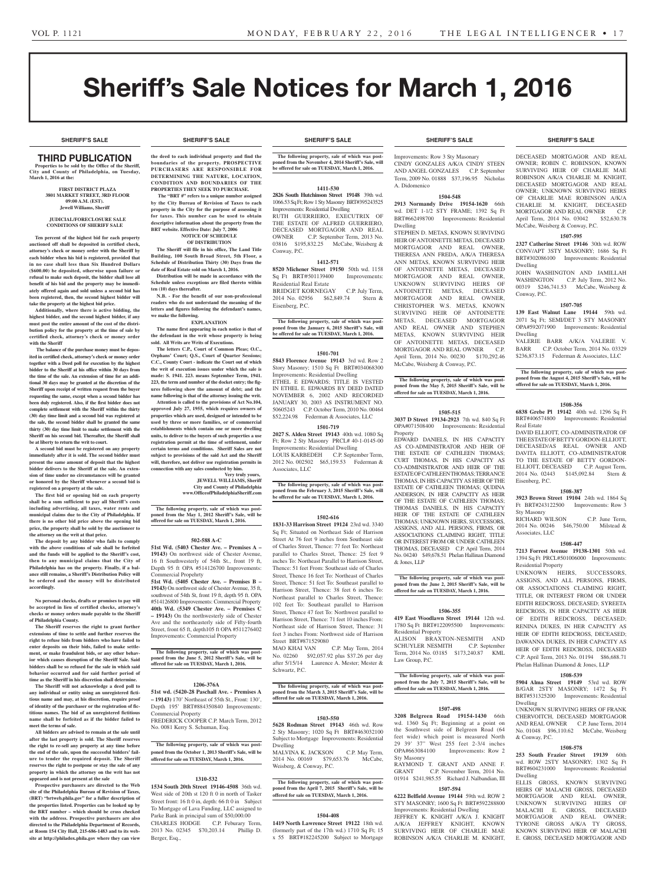# Sheriff's Sale Notices for March 1, 2016

**SHERIFF'S SALE SHERIFF'S SALE SHERIFF'S SALE SHERIFF'S SALE SHERIFF'S SALE**

# THIRD PUBLICATION

**Properties to be sold by the Office of the Sheriff, City and County of Philadelphia, on Tuesday, March 1, 2016 at the:** 

#### **FIRST DISTRICT PLAZA 3801 MARKET STREET, 3RD FLOOR 09:00 A.M. (EST). Jewell Williams, Sheriff**

#### **JUDICIAL/FORECLOSURE SALE CONDITIONS OF SHERIFF SALE**

**Ten percent of the highest bid for each property auctioned off shall be deposited in certified check, attorney's check or money order with the Sheriff by each bidder when his bid is registered, provided that in no case shall less than Six Hundred Dollars (\$600.00) be deposited, otherwise upon failure or refusal to make such deposit, the bidder shall lose all benefit of his bid and the property may be immediately offered again and sold unless a second bid has been registered, then, the second highest bidder will take the property at the highest bid price.**

**Additionally, where there is active bidding, the highest bidder, and the second highest bidder, if any must post the entire amount of the cost of the distribution policy for the property at the time of sale by certified check, attorney's check or money order with the Sheriff**

 **The balance of the purchase money must be deposited in certified check, attorney's check or money order together with a Deed poll for execution by the highest bidder to the Sheriff at his office within 30 days from the time of the sale. An extension of time for an additional 30 days may be granted at the discretion of the Sheriff upon receipt of written request from the buyer requesting the same, except when a second bidder has been duly registered. Also, if the first bidder does not complete settlement with the Sheriff within the thirty (30) day time limit and a second bid was registered at the sale, the second bidder shall be granted the same thirty (30) day time limit to make settlement with the Sheriff on his second bid. Thereafter, the Sheriff shall be at liberty to return the writ to court.**

**A second bid must be registered on any property immediately after it is sold. The second bidder must present the same amount of deposit that the highest bidder delivers to the Sheriff at the sale. An extension of time under no circumstances will be granted or honored by the Sheriff whenever a second bid is registered on a property at the sale.** 

**The first bid or opening bid on each property shall be a sum sufficient to pay all Sheriff's costs including advertising, all taxes, water rents and municipal claims due to the City of Philadelphia. If there is no other bid price above the opening bid price, the property shall be sold by the auctioneer to the attorney on the writ at that price.**

**The deposit by any bidder who fails to comply**  with the above conditions of sale shall be forfeited **and the funds will be applied to the Sheriff's cost, then to any municipal claims that the City of Philadelphia has on the property. Finally, if a balance still remains, a Sheriff's Distribution Policy will be ordered and the money will be distributed accordingly.**

#### **No personal checks, drafts or promises to pay will be accepted in lieu of certified checks, attorney's checks or money orders made payable to the Sheriff of Philadelphia County.**

**The Sheriff reserves the right to grant further extensions of time to settle and further reserves the right to refuse bids from bidders who have failed to enter deposits on their bids, failed to make settlement, or make fraudulent bids, or any other behavior which causes disruption of the Sheriff Sale. Said bidders shall be so refused for the sale in which said behavior occurred and for said further period of time as the Sheriff in his discretion shall determine.**

**The Sheriff will not acknowledge a deed poll to any individual or entity using an unregistered fictitious name and may, at his discretion, require proof of identity of the purchaser or the registration of fictitious names. The bid of an unregistered fictitious name shall be forfeited as if the bidder failed to meet the terms of sale.**

**All bidders are advised to remain at the sale until after the last property is sold. The Sheriff reserves the right to re-sell any property at any time before the end of the sale, upon the successful bidders' failure to tender the required deposit. The Sheriff reserves the right to postpone or stay the sale of any property in which the attorney on the writ has not appeared and is not present at the sale**

**Prospective purchasers are directed to the Web site of the Philadelphia Bureau of Revision of Taxes, (BRT) "brtweb.phila.gov" for a fuller description of the properties listed. Properties can be looked up by the BRT number – which should be cross checked with the address. Prospective purchasers are also directed to the Philadelphia Department of Records, at Room 154 City Hall, 215-686-1483 and to its website at http://philadox.phila.gov where they can view** 

**the deed to each individual property and find the boundaries of the property. PROSPECTIVE PURCHASERS ARE RESPONSIBLE FOR DETERMINING THE NATURE, LOCATION CONDITION AND BOUNDARIES OF THE PROPERTIES THEY SEEK TO PURCHASE.**

 **The "BRT #" refers to a unique number assigned by the City Bureau of Revision of Taxes to each property in the City for the purpose of assessing it for taxes. This number can be used to obtain descriptive information about the property from the BRT website. Effective Date: July 7, 2006 NOTICE OF SCHEDULE** 

# **OF DISTRIBUTION**

**The Sheriff will file in his office, The Land Title Building, 100 South Broad Street, 5th Floor, a Schedule of Distribution Thirty (30) Days from the date of Real Estate sold on March 1, 2016. Distribution will be made in accordance with the Schedule unless exceptions are filed thereto within ten (10) days thereafter.**

**N.B. - For the benefit of our non-professional readers who do not understand the meaning of the letters and figures following the defendant's names, we make the following.**

**EXPLANATION**

**The name first appearing in each notice is that of the defendant in the writ whose property is being sold. All Writs are Writs of Executions.**

**The letters C.P., Court of Common Pleas; O.C., Orphans' Court; Q.S., Court of Quarter Sessions; C.C., County Court - indicate the Court out of which the writ of execution issues under which the sale is made: S. 1941. 223. means September Term, 1941. 223, the term and number of the docket entry; the figures following show the amount of debt; and the name following is that of the attorney issuing the writ. Attention is called to the provisions of Act No.104, approved July 27, 1955, which requires owners of properties which are used, designed or intended to be used by three or more families, or of commercial establishments which contain one or more dwelling units, to deliver to the buyers of such properties a use registration permit at the time of settlement, under certain terms and conditions. Sheriff Sales are not subject to provisions of the said Act and the Sheriff will, therefore, not deliver use registration permits in connection with any sales conducted by him.**

**Very truly yours, JEWELL WILLIAMS, Sheriff City and County of Philadelphia www.OfficeofPhiladelphiaSheriff.com**

**The following property, sale of which was postponed from the May 1, 2012 Sheriff's Sale, will be offered for sale on TUESDAY, March 1, 2016.**

# **502-588 A-C**

**51st Wd. (5403 Chester Ave. – Premises A – 19143)** On northwest side of Chester Avenue, 16 ft Southwesterly of 54th St., front 19 ft, Depth 95 ft OPA #514126700 Improvements: Commercial Propehrty

**51st Wd. (5405 Chester Ave. – Premises B – 19143)** On northwest side of Chester Avenue, 35 ft, southwest of 54th St, front 19 ft, depth 95 ft. OPA #514126800 Improvements: Commercial Property **40th Wd. (5349 Chester Ave. – Premises C – 19143)** On the northwesterly side of Chester Ave and the northeasterly side of Fifty-fourth Street, front 65 ft, depth105 ft OPA #511276402 Improvements: Commercial Property

**The following property, sale of which was post-poned from the June 5, 2012 Sheriff's Sale, will be offered for sale on TUESDAY, March 1, 2016.**

#### **1206-376A**

**51st wd. (5420-28 Paschall Ave. - Premises A – 19143)** 170' Northeast of 55th St., Front: 130', Depth 195' BRT#884350840 Improvements: Commercial Property FREDERICK COOPER C.P. March Term, 2012 No. 0081 Kerry S. Schuman, Esq.

**The following property, sale of which was postponed from the October 1, 2013 Sheriff's Sale, will be offered for sale on TUESDAY, March 1, 2016.**

#### **1310-532**

**1534 South 20th Street 19146-4508** 36th wd. West side of 20th st 120 ft 0 in north of Tasker Street front: 16 ft 0 in, depth: 66 ft 0 in Subject To Mortgage of Lava Funding, LLC assigned to Parke Bank in principal sum of \$50,000.00 CHARLES HODGE C.P. Feburary Term, 2013 No. 02345 \$70,203.14 Phillip D. Berger, Esq.,

#### **SHERIFF'S SALE SHERIFF'S SALE SHERIFF'S SALE SHERIFF'S SALE SHERIFF'S SALE**

**The following property, sale of which was postponed from the November 4, 2014 Sheriff's Sale, will be offered for sale on TUESDAY, March 1, 2016.**

#### **1411-530**

**2826 South Hutchinson Street 19148** 39th wd. 1066.53 Sq Ft; Row 1 Sty Masonry BRT#395243525 Improvements: Residential Dwelling RUTH GUERRIERO, EXECUTRIX OF THE ESTATE OF ALFRED GUERRIERO, DECEASED MORTGAGOR AND REAL OWNER C.P. September Term, 2013 No. 03816 \$195,832.25 McCabe, Weisberg & Conway, P.C.

#### **1412-571**

**8520 Michener Street 19150** 50th wd. 1158 Sq Ft BRT#501139400 Improvements: Residential Real Estate

BRIDGET KORNEGAY C.P. July Term,<br>2014 No. 02956 \$62.849.74 Stern & 2014 No. 02956 \$62,849.74 Stern & Eisenberg, P.C.

**The following property, sale of which was postponed from the January 6, 2015 Sheriff's Sale, will be offered for sale on TUESDAY, March 1, 2016.**

#### **1501-701**

**5843 Florence Avenue 19143** 3rd wd. Row 2 Story Masonry; 1510 Sq Ft BRT#034068300 Improvements: Residential Dwelling ETHEL E EDWARDS; TITLE IS VESTED IN ETHEL E. EDWARDS BY DEED DATED NOVEMBER 6, 2002 AND RECORDED JANUARY 30, 2003 AS INSTRUMENT NO. 50605243 C.P. October Term, 2010 No. 00464 \$52,224.98 Federman & Associates, LLC

# **1501-719**

**2027 S. Alden Street 19143** 40th wd. 1080 Sq Ft; Row 2 Sty Masonry PRCL# 40-1-0145-00 Improvements: Residential Dwelling LOUIS KARBEDEH C.P. September Term, 2012 No. 002502 \$65,159.53 Federman & Associates, LLC

**The following property, sale of which was post-poned from the February 3, 2015 Sheriff's Sale, will be offered for sale on TUESDAY, March 1, 2016.**

#### **1502-616**

**1831-33 Harrison Street 19124** 23rd wd. 3340 Sq Ft; Situated on Northeast Side of Harrison Street At 76 feet 9 inches from Southeast side of Charles Street, Thence: 77 feet To: Northeast parallel to Charles Street, Thence: 25 feet 9 inches To: Northeast Parallel to Harrison Street, Thence: 51 feet From: Southeast side of Charles Street, Thence 16 feet To: Northeast of Charles Street, Thence: 51 feet To: Southeast parallel to Harrison Street, Thence: 38 feet 6 inches To: Northeast parallel to Charles Street, Thence: 102 feet To: Southeast parallel to Harrison Street, Thence 47 feet To: Northwest parallel to Harrison Street, Thence: 71 feet 10 inches From: Northeast side of Harrison Street, Thence: 31 feet 3 inches From: Northwest side of Harrison Street BRT#871529080<br>MAO KHAI VAN

C.P. May Term, 2014 No. 02260 \$92,057.92 plus \$37.26 per day after 5/15/14 Laurence A. Mester; Mester & Schwartz, P.C.

# **The following property, sale of which was post-poned from the March 3, 2015 Sheriff's Sale, will be offered for sale on TUESDAY, March 1, 2016.**

#### **1503-550**

**5628 Rodman Street 19143** 46th wd. Row 2 Sty Masonry; 1020 Sq Ft BRT#463032100 Subject to Mortgage Improvements: Residential Dwelling MALVINA K. JACKSON C.P. May Term,

2014 No. 00169 \$79,653.76 McCabe, Weisberg, & Conway, P.C.

#### **The following property, sale of which was post**poned from the April 7, 2015 Sheriff's Sale, will be **offered for sale on TUESDAY, March 1, 2016.**

### **1504-408**

**1419 North Lawrence Street 19122** 18th wd. (formerly part of the 17th wd.) 1710 Sq Ft; 15 x 55 BRT#182245200 Subject to Mortgage

Improvements: Row 3 Sty Masonary CINDY GONZALES A/K/A CINDY STEEN AND ANGEL GONZALES C.P. September Term, 2009 No. 01888 \$37,196.95 Nicholas A. Didomenico

#### **1504-548**

**2913 Normandy Drive 19154-1620** 66th wd. DET 1-1/2 STY FRAME; 1392 Sq Ft BRT#662498700 Improvements: Residential Dwelling

STEPHEN D. METAS, KNOWN SURVIVING HEIR OF ANTOINETTE METAS, DECEASED MORTGAGOR AND REAL OWNER, THERESA ANN FREDA, A/K/A THERESA ANN METAS, KNOWN SURVIVING HEIR OF ANTOINETTE METAS, DECEASED MORTGAGOR AND REAL OWNER, UNKNOWN SURVIVING HEIRS OF ANTOINETTE METAS, DECEASED MORTGAGOR AND REAL OWNER, CHRISTOPHER W.S. METAS, KNOWN SURVIVING HEIR OF ANTOINETTE METAS, DECEASED MORTGAGOR AND REAL OWNER AND STEPHEN METAS, KNOWN SURVIVING HEIR OF ANTOINETTE METAS, DECEASED MORTGAGOR AND REAL OWNER C.P. April Term, 2014 No. 00230 \$170,292.46 McCabe, Weisberg & Conway, P.C.

**The following property, sale of which was postponed from the May 5, 2015 Sheriff's Sale, will be offered for sale on TUESDAY, March 1, 2016.**

# **1505-515**

**3037 D Street 19134-2923** 7th wd. 840 Sq Ft OPA#071508400 Improvements: Residential Property

EDWARD DANIELS, IN HIS CAPACITY AS CO-ADMINISTRATOR AND HEIR OF THE ESTATE OF CATHLEEN THOMAS; CURT THOMAS, IN HIS CAPACITY AS CO-ADMINISTRATOR AND HEIR OF THE ESTATE OF CATHLEEN THOMAS; TERRANCE THOMAS, IN HIS CAPACITY AS HEIR OF THE ESTATE OF CATHLEEN THOMAS; QUDINA ANDERSON, IN HER CAPACITY AS HEIR OF THE ESTATE OF CATHLEEN THOMAS; THOMAS DANIELS, IN HIS CAPACITY HEIR OF THE ESTATE OF CATHLEEN THOMAS; UNKNOWN HEIRS, SUCCESSORS, ASSIGNS, AND ALL PERSONS, FIRMS, OR ASSOCIATIONS CLAIMING RIGHT, TITLE OR INTEREST FROM OR UNDER CATHLEEN THOMAS, DECEASED C.P. April Term, 2014 No. 04240 \$49,678.51 Phelan Hallinan Diamond & Jones, LLP

**The following property, sale of which was post-poned from the June 2, 2015 Sheriff's Sale, will be offered for sale on TUESDAY, March 1, 2016.**

#### **1506-355**

**419 East Woodlawn Street 19144** 12th wd. 1780 Sq Ft BRT#122095500 Improvements: Residential Property ALISON BRAXTON-NESMITH AND SCHUYLER NESMITH C.P. September SCHUYLER NESMITH Term, 2014 No. 03185 \$173,240.87 KML Law Group, P.C.

# **The following property, sale of which was post-poned from the July 7, 2015 Sheriff's Sale, will be offered for sale on TUESDAY, March 1, 2016.**

#### **1507-498**

**3208 Belgreen Road 19154-1430** 66th wd. 1360 Sq Ft; Beginning at a point on the Southwest side of Belgreen Road (64 feet wide) which point is measured North 29 39' 37" West 255 feet 2-3/4 inches OPA#663084100 Improvements: Row 2 Sty Masonry RAYMOND T. GRANT AND ANNE F.<br>GRANT C.P. November Term. 2014 No.

C.P. November Term, 2014 No. 01914 \$241,985.55 Richard J. Nalbandian, III **1507-594**

**6222 Belfield Avenue 19144** 59th wd. ROW 2

STY MASONRY; 1600 Sq Ft BRT#592288800 Improvements: Residential Dwelling JEFFREY K. KNIGHT A/K/A J. KNIGHT A/K/A JEFFREY KNIGHT KNOWN SURVIVING HEIR OF CHARLIE MAE ROBINSON A/K/A CHARLIE M. KNIGHT,

DECEASED MORTGAGOR AND REAL OWNER; ROBIN C. ROBINSON, KNOWN SURVIVING HEIR OF CHARLIE MAE ROBINSON A/K/A CHARLIE M. KNIGHT, DECEASED MORTGAGOR AND REAL OWNER; UNKNOWN SURVIVING HEIRS OF CHARLIE MAE ROBINSON A/K/A CHARLIE M. KNIGHT, DECEASED MORTGAGOR AND REAL OWNER C.P. April Term, 2014 No. 03042 \$52,630.78 McCabe, Weisberg & Conway, P.C.

#### **1507-595**

**2327 Catherine Street 19146** 30th wd. ROW CONV/APT 3STY MASONRY; 1686 Sq Ft BRT#302086100 Improvements: Residential Dwelling JOHN WASHINGTON AND JAMILLAH

WASHINGTON C.P. July Term, 2012 No. 00319 \$246,741.53 McCabe, Weisberg & Conway, P.C.

### **1507-705**

**139 East Walnut Lane 19144** 59th wd. 2071 Sq Ft; SEMI/DET 3 STY MASONRY OPA#592071900 Improvements: Residential Dwelling

VALERIE BARR A/K/A VALERIE V. BARR C.P. October Term, 2014 No. 03329 \$236,873.15 Federman & Associates, LLC

**The following property, sale of which was post-poned from the August 4, 2015 Sheriff's Sale, will be offered for sale on TUESDAY, March 1, 2016.**

# **1508-356**

**6838 Grebe Pl 19142** 40th wd. 1296 Sq Ft BRT#406574800 Improvements: Residential Real Estate

DAVID ELLIOTT, CO-ADMINISTRATOR OF THE ESTATE OF BETTY GORDON-ELLIOTT, DECEASED/AS REAL OWNER AND DAVITA ELLIOTT, CO-ADMINISTRATOR TO THE ESTATE OF BETTY GORDON-ELLIOTT, DECEASED C.P. August Term, 2014 No. 02443 \$145,092.84 Stern & Eisenberg, P.C.

#### **1508-387**

**3923 Brown Street 19104** 24th wd. 1864 Sq Ft BRT#243122500 Improvements: Row 3 Sty Masonry

RICHARD WILSON C.P. June Term, 2014 No. 00246 \$46,750.00 Milstead & Associates, LLC

## **1508-447**

**7213 Forrest Avenue 19138-1301** 50th wd. 1394 Sq Ft PRCL#501006000 Improvements: Residential Property

UNKNOWN HEIRS, SUCCESSORS, ASSIGNS, AND ALL PERSONS, FIRMS, OR ASSOCIATIONS CLAIMING RIGHT, TITLE, OR INTEREST FROM OR UNDER EDITH REDCROSS, DECEASED; SYREETA REDCROSS, IN HER CAPACITY AS HEIR OF EDITH REDCROSS, DECEASED; RENINA DUKES, IN HER CAPACITY AS HEIR OF EDITH REDCROSS, DECEASED; DAWANNA DUKES, IN HER CAPACITY AS HEIR OF EDITH REDCROSS, DECEASED C.P. April Term, 2013 No. 01194 \$86,688.71 Phelan Hallinan Diamond & Jones, LLP

#### **1508-539**

**5904 Alma Street 19149** 53rd wd. ROW B/GAR 2STY MASONRY; 1472 Sq Ft BRT#531325200 Improvements: Residential Dwelling

UNKNOWN SURVIVING HEIRS OF FRANK CHERVOITCH, DECEASED MORTGAGOR AND REAL OWNER C.P. June Term, 2014 No. 01048 \$96,110.62 McCabe, Weisberg & Conway, P.C.

**1508-578 253 South Frazier Street 19139** 60th wd. ROW 2STY MASONRY; 1302 Sq Ft BRT#604231000 Improvements: Residential

ELLIS GROSS, KNOWN SURVIVING HEIRS OF MALACHI GROSS, DECEASED MORTGAGOR AND REAL OWNER, UNKNOWN SURVIVING HEIRS OF MALACHI E. GROSS, DECEASED MORTGAGOR AND REAL OWNER; TYRONE GROSS A/K/A TY GROSS, KNOWN SURVIVING HEIR OF MALACHI E. GROSS, DECEASED MORTGAGOR AND

Dwelling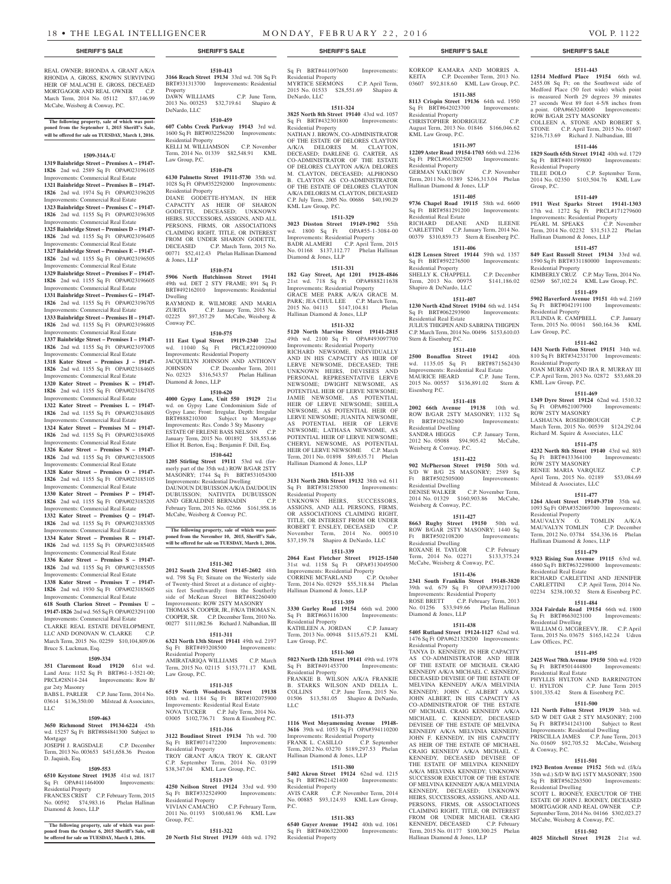REAL OWNER; RHONDA A. GRANT A/K/A RHONDA A. GROSS, KNOWN SURVIVING HEIR OF MALACHI E. GROSS, DECEAED MORTGAGOR AND REAL OWNER C.P. March Term, 2014 No. 05112 \$37,146.99

**The following property, sale of which was post-poned from the September 1, 2015 Sheriff's Sale, will be offered for sale on TUESDAY, March 1, 2016.**

**1509-314A-U 1319 Bainbridge Street – Premises A – 19147- 1826** 2nd wd. 2589 Sq Ft OPA#023196105 Improvements: Commercial Real Estate **1321 Bainbridge Street – Premises B – 19147- 1826** 2nd wd. 1974 Sq Ft OPA#023196205 Improvements: Commercial Real Estate **1323 Bainbridge Street – Premises C – 19147- 1826** 2nd wd. 1155 Sq Ft OPA#023196305 Improvements: Commercial Real Estate **1325 Bainbridge Street – Premises D – 19147- 1826** 2nd wd. 1155 Sq Ft OPA#023196405 Improvements: Commercial Real Estate **1327 Bainbridge Street – Premises E – 19147- 1826** 2nd wd. 1155 Sq Ft OPA#023196505 Improvements: Commercial Real Estate **1329 Bainbridge Street – Premises F – 19147- 1826** 2nd wd. 1155 Sq Ft OPA#023196605 Improvements: Commercial Real Estate **1331 Bainbridge Street – Premises G – 19147- 1826** 2nd wd. 1155 Sq Ft OPA#023196705 Improvements: Commercial Real Estate **1333 Bainbridge Street – Premises H – 19147- 1826** 2nd wd. 1155 Sq Ft OPA#023196805 Improvements: Commercial Real Estate **1337 Bainbridge Street – Premises I – 19147- 1826** 2nd wd. 1155 Sq Ft OPA#023197005 Improvements: Commercial Real Estate **1318 Kater Street – Premises J – 19147- 1826** 2nd wd. 1155 Sq Ft OPA#023184605 Improvements: Commercial Real Estate **1320 Kater Street – Premises K – 19147- 1826** 2nd wd. 1155 Sq Ft OPA#023184705 Improvements: Commercial Real Estate **1322 Kater Street – Premises L – 19147- 1826** 2nd wd. 1155 Sq Ft OPA#023184805 Improvements: Commercial Real Estate **1324 Kater Street – Premises M – 19147- 1826** 2nd wd. 1155 Sq Ft OPA#023184905 Improvements: Commercial Real Estate **1326 Kater Street – Premises N – 19147- 1826** 2nd wd. 1155 Sq Ft OPA#023185005 Improvements: Commercial Real Estate **1328 Kater Street – Premises O – 19147- 1826** 2nd wd. 1155 Sq Ft OPA#023185105 Improvements: Commercial Real Estate **1330 Kater Street – Premises P – 19147- 1826** 2nd wd. 1155 Sq Ft OPA#023185205 Improvements: Commercial Real Estate **1332 Kater Street – Premises Q – 19147- 1826** 2nd wd. 1155 Sq Ft OPA#023185305 Improvements: Commercial Real Estate **1334 Kater Street – Premises R – 19147- 1826** 2nd wd. 1155 Sq Ft OPA#023185405 Improvements: Commercial Real Estate **1336 Kater Street – Premises S – 19147- 1826** 2nd wd. 1155 Sq Ft OPA#023185505 Improvements: Commercial Real Estate **1338 Kater Street – Premises T – 19147- 1826** 2nd wd. 1930 Sq Ft OPA#023185605 Improvements: Commercial Real Estate **618 South Clarion Street – Premises U – 19147-1826** 2nd wd. 565 Sq Ft OPA#023291100 Improvements: Commercial Real Estate CLARKE REAL ESTATE DEVELOPMENT, LLC AND DONOVAN W. CLARKE C.P. March Term, 2015 No. 02259 \$10,104,809.06

McCabe, Weisberg & Conway, P.C.

Bruce S. Luckman, Esq.

gar 2sty Masonry

LLC

Mortgage

D. Jaquish, Esq.

Residential Property

Diamond & Jones, LLP

**1509-334 351 Claremont Road 19120** 61st wd. Land Area: 1152 Sq Ft BRT#61-1-3521-00; PRCL#28N14-244 Improvements: Row B/

BABS L. PARLER C.P. June Term, 2014 No. 03614 \$136,350.00 Milstead & Associates.

**1509-463 3650 Richmond Street 19134-6224** 45th wd. 15257 Sq Ft BRT#884841300 Subject to

JOSEPH J. RAGSDALE C.P. December Term, 2013 No. 003653 \$451,658.36 Preston

**1509-553 6510 Keystone Street 19135** 41st wd. 1817 Sq Ft OPA#411464000 Improvements:

FRANCES CRIST C.P. February Term, 2015 No. 00592 \$74,983.16 Phelan Hallinan

**The following property, sale of which was postponed from the October 6, 2015 Sheriff's Sale, will be offered for sale on TUESDAY, March 1, 2016.**

**1510-413 3166 Reach Street 19134** 33rd wd. 708 Sq Ft BRT#331313700 Improvements: Residential Property DAWN WILLIAMS C.P. June Term, 2013 No. 003253 \$32,719.61 Shapiro & DeNardo, LLC

**1510-459**

**607 Cobbs Creek Parkway 19143** 3rd wd. 1600 Sq Ft BRT#032256200 Improvements: Residential Property KELLI M. WILLIAMSON C.P. November Term, 2014 No. 01339 \$82,548.91 KML Law Group, P.C.

# **1510-478**

**6130 Palmetto Street 19111-5730** 35th wd. 1028 Sq Ft OPA#352292000 Improvements: Residential Property

DIANE GODETTE-HYMAN, IN HER CAPACITY AS HEIR OF SHARON GODETTE, DECEASED; UNKNOWN HEIRS, SUCCESSORS, ASSIGNS, AND ALL PERSONS, FIRMS, OR ASSOCIATIONS CLAIMING RIGHT, TITLE, OR INTEREST FROM OR UNDER SHARON GODETTE. DECEASED C.P. March Term, 2015 No. 00771 \$52,412.43 Phelan Hallinan Diamond & Jones, LLP

#### **1510-574**

**5906 North Hutchinson Street 19141**  49th wd. DET 2 STY FRAME; 891 Sq Ft BRT#492162010 Improvements: Residential Dwelling RAYMOND R. WILMORE AND MARIA<br>ZURITA C.P. January Term, 2015 No. C.P. January Term, 2015 No. 02225 \$97,357.29 McCabe, Weisberg & Conway P.C.

# **1510-575**

**111 East Upsal Street 19119-2340** 22nd wd. 11040 Sq Ft PRCL#221090900 Improvements: Residential Property

JACQUELYN JOHNSON AND ANTHONY JOHNSON C.P. December Term, 2011 No. 02323 \$316,543.57 Phelan Hallinan Diamond & Jones, LLP

#### **1510-620**

**4000 Gypsy Lane, Unit 550 19129** 21st wd. on Gypsy Lane Condominium Side of Gypsy Lane; Front: Irregular, Depth: Irregular<br>BRT#888210300 Subject to Mortgage BRT#888210300 Subject to Mortgage Improvements: Res. Condo 3 Sty Masonry ESTATE OF ERLENE BASS NELSON C.P. ESTATE OF ERLENE BASS NELSON C.P.<br>January Term, 2015 No. 001892 \$18,553.66 Elliot H. Berton, Esq.; Benjamin F. Dill, Esq.

#### **1510-642**

**1205 Stirling Street 19111** 53rd wd. (formerly part of the 35th wd.) ROW B/GAR 2STY MASONRY; 1744 Sq Ft BRT#531054300 Improvements: Residential Dwelling DAUNOUN DUBUISSON A/K/A DAUDOUIN DUBUISSON; NATIVITA DUBUISSON AND GERALDINE BERNADIN C.P. February Term, 2015 No. 02366 \$161,958.16 McCabe, Weisberg & Conway P.C.

following property, sale of which was post**poned from the November 10, 2015, Sheriff's Sale, will be offered for sale on TUESDAY, March 1, 2016.**

#### **1511-302**

**2012 South 23rd Street 19145-2602** 48th wd. 798 Sq Ft; Situate on the Westerly side of Twenty-third Street at a distance of eightysix feet Southwardly from the Southerly side of McKean Street BRT#482260400 Improvements: ROW 2STY MASONRY THOMAS N. COOPER, JR., F/K/A THOMAS N. COOPER, SR. C.P. December Term, 2010 No. 00277 \$111,082.56 Richard J. Nalbandian, III

#### **1511-311**

**6321 North 13th Street 19141** 49th wd. 2197 Sq Ft BRT#493208500 Improvements: Residential Property

AMIRATARIQA WILLIAMS C.P. March Term, 2015 No. 02115 \$153,771.17 KML Law Group, P.C.

#### **1511-315**

**6519 North Woodstock Street 19138**  10th wd. 1184 Sq Ft BRT#102075900 Improvements: Residential Real Estate NOVA TUCKER C.P. July Term, 2014 No. 03005 \$102,736.71 Stern & Eisenberg P.C.

#### **1511-316**

**3122 Boudinot Street 19134** 7th wd. 700 Sq Ft BRT#071472200 Improvements: Residential Property TROY GRANT A/K/A TROY K. GRANT C.P. September Term, 2014 No. 03199 \$38,347.04 KML Law Group, P.C.

#### **1511-319**

**4250 Neilson Street 19124** 33rd wd. 930 Sq Ft BRT#332524900 Improvements: Residential Property VIVIAN CAMACHO C.P. February Term, 2011 No. 01193 \$100,681.96 KML Law Group, P.C.

#### **1511-322**

**20 North 51st Street 19139** 44th wd. 1792

Sq Ft BRT#441097600 Improvements: Residential Property MYRTICE SERMONS C.P. April Term, 2015 No. 01533 \$28,551.69 Shapiro & DeNardo, LLC

#### **1511-324**

**3825 North 8th Street 19140** 43rd wd. 1057 Sq Ft BRT#432301800 Improvements: Residential Property NATHAN J. BROWN, CO-ADMINISTRATOR OF THE ESTATE OF DELORES CLAYTON A/K/A DELORES M. CLAYTON, DECEASED; DARLENE G. CARTER, AS CO-ADMINISTRATOR OF THE ESTATE OF DELORES CLAYTON A/K/A DELORES M. CLAYTON, DECEASED; ALPHONSO B. CLAYTON AS CO-ADMINISTRATOR OF THE ESTATE OF DELORES CLAYTON A/K/A DELORES M. CLAYTON, DECEASED C.P. July Term, 2005 No. 00686 \$40,190.29 KML Law Group, P.C.

#### **1511-329**

**3023 Disston Street 19149-1902** 55th wd. 1800 Sq Ft OPA#55-1-3084-00 Improvements: Residential Property BADR ALAMERI C.P. April Term, 2015 No. 01168 \$137,112.77 Phelan Hallinan Diamond & Jones, LLP

#### **1511-331**

**182 Gay Street, Apt 1201 19128-4846**  21st wd. 718 Sq Ft OPA#888211638 Improvements: Residential Property GRACE MEE PARK A/K/A GRACE M. PARK; JEA CHUL LEE C.P. March Term, 2015 No. 04113 \$147,104.81 Phelan Hallinan Diamond & Jones, LLP

#### **1511-332**

**5120 North Marvine Street 19141-2815**  49th wd. 2100 Sq Ft OPA#493097700 Improvements: Residential Property RICHARD NEWSOME, INDIVIDUALLY AND IN HIS CAPACITY AS HEIR OF LERVE NEWSOME, DECEASED; THE UNKNOWN HEIRS, DEVISEES AND PERSONAL REPRESENTATIVE LERVE NEWSOME; DWIGHT NEWSOME, AS POTENTIAL HEIR OF LERVE NEWSOME; JAMIE NEWSOME, AS POTENTIAL HEIR OF LERVE NEWSOME; SHEILA NEWSOME, AS POTENTIAL HEIR OF LERVE NEWSOME; JUANITA NEWSOME, AS POTENTIAL HEIR OF LERVE NEWSOME; LATHASA NEWSOME, AS POTENTIAL HEIR OF LERVE NEWSOME; CHERYL NEWSOME, AS POTENTIAL HEIR OF LERVE NEWSOME C.P. March Term, 2011 No. 01898 \$89,635.71 Phelan Hallinan Diamond & Jones, LLP

#### **1511-335**

**3131 North 28th Street 19132** 38th wd. 611 Sq Ft BRT#381258500 Improvements: Residential Property UNKNOWN HEIRS, SUCCESSORS, ASSIGNS, AND ALL PERSONS, FIRMS, OR ASSOCIATIONS CLAIMING RIGHT, TITLE, OR INTEREST FROM OR UNDER ROBERT T. ENSLEY, DECEASED C.P. November Term, 2014 No. 000510 \$37,159.78 Shapiro & DeNardo, LLC

**1511-339 2064 East Fletcher Street 19125-1540**  31st wd. 1158 Sq Ft OPA#313049500 Improvements: Residential Property CORRINE MCFARLAND C.P. October Term, 2014 No. 02929 \$55,318.84 Phelan Hallinan Diamond & Jones, LLP

#### **1511-359**

**3330 Gurley Road 19154** 66th wd. 2000 Sq Ft BRT#663116300 Improvements: Residential Property KATHLEEN A. JORDAN C.P. January

Term, 2013 No. 00948 \$115,675.21 KML Law Group, P.C.

# **1511-360**

**5023 North 12th Street 19141** 49th wd. 1978 Sq Ft BRT#491453700 Improvements: Residential Property FRANKIE B. WILSON A/K/A FRANKIE B. STARKS WILSON AND DELIA L. COLLINS C.P. June Term, 2015 No. 01506 \$13,581.05 Shapiro & DeNardo, LLC

# **1511-373**

**1116 West Moyamensing Avenue 19148- 3616** 39th wd. 1053 Sq Ft OPA#394110200 Improvements: Residential Property FRANK L. CASILLO C.P. September Term, 2012 No. 03270 \$189,297.53 Phelan Hallinan Diamond & Jones, LLP

#### **1511-380**

**5402 Akron Street 19124** 62nd wd. 1215 Sq Ft BRT#621421400 Improvements: Residential Property<br>AVIS CARR C.P. C.P. November Term, 2014

No. 00885 \$93,124.93 KML Law Group, P.C.

# **1511-383**

**6540 Guyer Avenue 19142** 40th wd. 1061 Sq Ft BRT#406322000 Improvements: Residential Property

#### **SHERIFF'S SALE SHERIFF'S SALE SHERIFF'S SALE SHERIFF'S SALE SHERIFF'S SALE**

KORKOP KAMARA AND MORRIS A. KEITA C.P. December Term, 2013 No. 03607 \$92,818.60 KML Law Group, P.C. **1511-385**

# **8113 Crispin Street 19136** 64th wd. 1950

Sq Ft BRT#642023700 Residential Property

CHRISTOPHER RODRIGUEZ C.P. August Term, 2013 No. 01846 \$166,046.62 KML Law Group, P.C.

#### **1511-397**

**12209 Aster Road 19154-1703** 66th wd. 2236 Sq Ft PRCL#663202500 Improvements: Residential Property GERMAN YAKUBOV C.P. November Term, 2011 No. 01389 \$246,313.04 Phelan Hallinan Diamond & Jones, LLP

# **1511-405**

**9736 Chapel Road 19115** 58th wd. 6600 Sq Ft BRT#581291200 Improvements: Residential Real Estate RICHARD DEANE AND ILEENE CARLETTINI C.P. January Term, 2014 No. 00379 \$310,859.73 Stern & Eisenberg P.C.

# **1511-406**

**6128 Lensen Street 19144** 59th wd. 1357 Sq Ft BRT#592276500 Improvements: Residential Property SHELLY K. CHAPPELL C.P. Decembe Term, 2013 No. 00975 \$141,186.02 Shapiro & DeNardo, LLC

# **1511-407**

**1230 North 42nd Street 19104** 6th wd. 1454 Sq Ft BRT#062293900 Improvements: Residential Real Estate JULIUS THIGPEN AND SABRINA THIGPEN C.P. March Term, 2014 No. 00496 \$153,610.03 Stern & Eisenberg P.C.

#### **1511-410**

**2500 Bonaffon Street 19142** 40th wd. 1135.05 Sq Ft BRT#871562430 Improvements: Residential Real Estate MAURICE HEARD C.P. June Term, 2015 No. 00557 \$136,891.02 Stern & Eisenberg P.C.

# **1511-418**

**2002 66th Avenue 19138** 10th wd. ROW B/GAR 2STY MASONRY; 1132 Sq Ft BRT#102362800 Improvements: Residential Dwelling SANDRA HEGGS C.P. January Term,

2012 No. 05088 \$94,905.42 McCabe, Weisberg & Conway, P.C.

# **1511-422**

**902 McPherson Street 19150** 50th wd. S/D W B/G 2S MASONRY; 2589 Sq BRT#502505000 Residential Dwelling DENISE WALKER C.P. November Term, 2014 No. 01329 \$160,903.86 McCabe, Weisberg & Conway, P.C.

#### **1511-427**

**8663 Rugby Street 19150** 50th wd. ROW B/GAR 2STY MASONRY; 1440 Sq Ft BRT#502108200 Improvements: Residential Dwelling ROXANE H. TAYLOR C.P. February

Term, 2014 No. 02271 \$133,375.24 McCabe, Weisberg & Conway, P.C.

#### **1511-436**

**2341 South Franklin Street 19148-3820**  39th wd. 679 Sq Ft OPA#393217100 Improvements: Residential Property ROSE BRETT C.P. February Term, 2013 No. 01256 \$33,949.66 Phelan Hallinan Diamond & Jones, LLP

#### **1511-438 5405 Rutland Street 19124-1127** 62nd wd.

1476 Sq Ft OPA#621328200 Improvements: Residential Property TANYA D. KENNEDY, IN HER CAPACITY

AS CO-ADMINISTRATOR AND HEIR OF THE ESTATE OF MICHAEL CRAIG KENNEDY A/K/A MICHAEL C. KENNEDY, DECEASED DEVISEE OF THE ESTATE OF MELVINA KENNEDY A/K/A MELVINIA KENNEDY; JOHN C. ALBERT A/K/A JOHN ALBERT, IN HIS CAPACITY AS CO-ADMINISTRATOR OF THE ESTATE OF MICHAEL CRAIG KENNEDY A/K/A MICHAEL C. KENNEDY, DECEASED DEVISEE OF THE ESTATE OF MELVINA KENNEDY A/K/A MELVINIA KENNEDY; JOHN F. KENNEDY, IN HIS CAPACITY AS HEIR OF THE ESTATE OF MICHAEL CRAIG KENNEDY A/K/A MICHAEL C. KENNEDY, DECEASED DEVISEE OF THE ESTATE OF MELVINA KENNEDY A/K/A MELVINIA KENNEDY; UNKNOWN SUCCESSOR EXECUTOR OF THE ESTATE OF MELVINA KENNEDY A/K/A MELVINIA KENNEDY, DECEASED; UNKNOWN HEIRS, SUCCESSORS, ASSIGNS, AND ALL PERSONS, FIRMS, OR ASSOCIATIONS CLAIMING RIGHT, TITLE, OR INTEREST FROM OR UNDER MICHAEL CRAIG KENNEDY, DECEASED C.P. February Term, 2015 No. 01177 \$100,300.25 Phelan Hallinan Diamond & Jones, LLP

# **1511-443**

**12514 Medford Place 19154** 66th wd. 2455.08 Sq Ft; on the Southwest side of Medford Place (50 feet wide) which point is measured North 29 degrees 39 minutes 27 seconds West 89 feet 4-5/8 inches from a point. OPA#663240000 Improvements: ROW B/GAR 2STY MASONRY COLLEEN A. STONE AND ROBERT S.

STONE C.P. April Term, 2015 No. 01607 \$216,713.69 Richard J. Nalbandian, III **1511-446**

**1829 South 65th Street 19142** 40th wd. 1729<br>Sq Ft BRT#401199800 Improvements: Sq Ft BRT#401199800 Improvements: Residential Property TILEE DOLO C.P. September Term, 2014 No. 02350 \$103,504.76 KML Law Group, P.C.

# **1511-449**

**1911 West Sparks Street 19141-1303**  17th wd. 1272 Sq Ft PRCL#171279600 Improvements: Residential Property PEARL M. SPEAKS C.P. November Term, 2014 No. 02232 \$31,513.22 Phelan Hallinan Diamond & Jones, LLP

# **1511-457**

**849 East Russell Street 19134** 33rd wd. 1590 Sq Ft BRT#331180000 Improvements: Residential Property KIMBERLY CRUZ C.P. May Term, 2014 No. 02369 \$67,102.24 KML Law Group, P.C.

# **1511-459**

**5902 Haverford Avenue 19151** 4th wd. 2169 Sq Ft BRT#042191100 Improvements: Residential Property

JULINDA R. CAMPBELL C.P. January Term, 2015 No. 00161 \$60,164.36 KML Law Group, P.C.

810 Sq Ft BRT#342331700 Improvements:

JOAN MURRAY AND IRA R. MURRAY III C.P. April Term, 2013 No. 02872 \$53,688.20

**1511-469 1349 Dyre Street 19124** 62nd wd. 1510.32 Sq Ft OPA#621007900 Improvements:

LASHAUNA ROSEBOROUGH C.P. March Term, 2015 No. 00539 \$124,292.04 Richard M. Squire & Associates, LLC **1511-475 4232 North 8th Street 19140** 43rd wd. 803 Sq Ft BRT#433364100 Improvements:

RENEE MARIA VARQUEZ C.P. April Term, 2015 No. 02189 \$53,084.69

**1511-477 1264 Alcott Street 19149-3710** 35th wd. 1093 Sq Ft OPA#352069700 Improvements:

MAUVALYN O. TOMLIN A/K/A MAUVALYN TOMLIN C.P. December Term, 2012 No. 03784 \$54,336.16 Phelan Hallinan Diamond & Jones, LLP

**1511-479 9323 Rising Sun Avenue 19115** 63rd wd. 4860 Sq Ft BRT#632298000 Improvements:

RICHARD CARLETTINI AND JENNIFER CARLETTINI C.P. April Term, 2014 No. 02234 \$238,100.52 Stern & Eisenberg P.C. **1511-484 3324 Fairdale Road 19154** 66th wd. 1800 Sq Ft BRT#663023100 Improvements:

WILLIAM G. MCGREEVY, JR. C.P. April Term, 2015 No. 03675 \$165,142.24 Udren

**1511-495 2425 West 78th Avenue 19150** 50th wd. 1920 Sq Ft BRT#501444800 Improvements:

PHYLLIS HYLTON AND BARRINGTON<br>U HYLTON CP June Term 2015

**1511-501 1923 Benton Avenue 19152** 56th wd. (f/k/a 35th wd.) S/D W B/G 1STY MASONRY; 3500 Sq Ft BRT#562263500 Improvements:

SCOTT L. ROONEY, EXECUTOR OF THE ESTATE OF JOHN J. ROONEY, DECEASED MORTGAGOR AND REAL OWNER C.P. September Term, 2014 No. 04166 \$302,023.27 McCabe, Weisberg & Conway, P.C.

**1511-502 4025 Mitchell Street 19128** 21st wd.

\$101,335.42 Stern & Eisenberg P.C. **1511-500 121 North Felton Street 19139** 34th wd. S/D W DET GAR 2 STY MASONRY; 2100 Sq Ft BRT#341243100 Subject to Rent Improvements: Residential Dwelling<br>PRISCILLA JAMES C.P. June Ter PRISCILLA JAMES C.P. June Term, 2013 No. 01609 \$92,705.52 McCabe, Weisberg

C.P. June Term 2015

#### **1511-462 1431 North Felton Street 19151** 34th wd.

Residential Property

KML Law Group, P.C.

ROW 2STY MASONRY

ROW 2STY MASONRY

Residential Property

Residential Real Estate

Residential Dwelling

Residential Real Estate

Law Offices, P.C.

& Conway, P.C.

Residential Dwelling

Milstead & Associates, LLC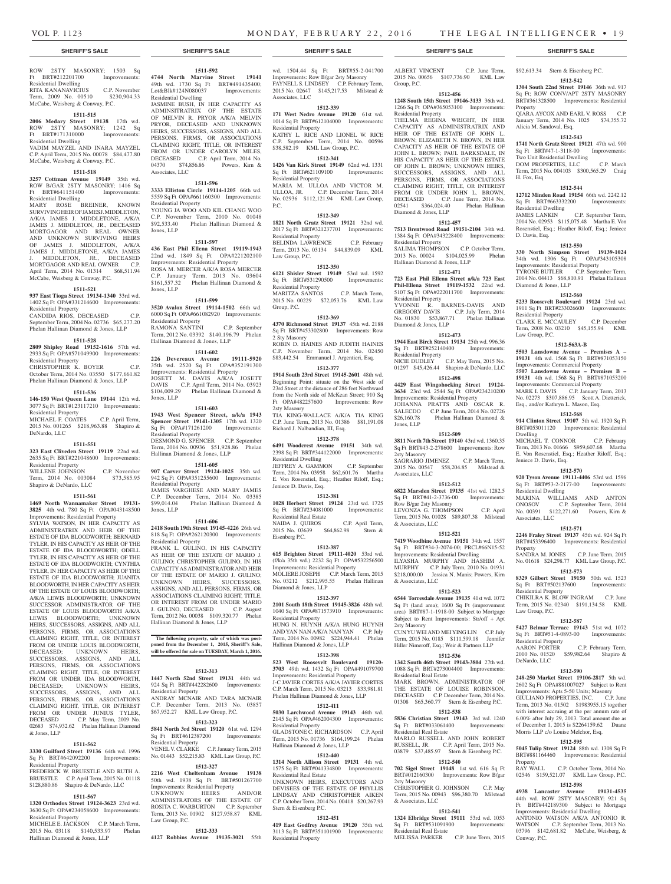ROW 2STY MASONRY; 1503 Sq Ft BRT#212201700 Improvements: Residential Dwelling RITA KANANAVICIUS C.P. November

Term, 2009 No. 00510 \$230,904.33 McCabe, Weisberg & Conway, P.C.

# **1511-515**

**2006 Medary Street 19138** 17th wd. ROW 2STY MASONRY; 1242 Sq Ft BRT#171310000 Improvements: Residential Dwelling VADIM MAYZEL AND INARA MAYZEL C.P. April Term, 2015 No. 00078 \$84,477.80 McCabe, Weisberg & Conway, P.C.

# **1511-518**

**3257 Cottman Avenue 19149** 35th wd. ROW B/GAR 2STY MASONRY; 1416 Sq Ft BRT#641151400 Improvements: Residential Dwelling

MARY ROSE BREINER, KNOWN SURVIVING HEIR OF JAMES J. MIDDLETON, A/K/A JAMES J. MIDDLETONE, A/K/A JAMES J. MIDDLETON, JR., DECEASED MORTGAGOR AND REAL OWNER AND UNKNOWN SURVIVING HEIRS OF JAMES J. MIDDLETON, A/K/A JAMES J. MIDDLETON, ANNIT J. MIDDLETON, JR., DECEASED MORTGAGOR AND REAL OWNER C.P. April Term, 2014 No. 01314 \$68,511.94 McCabe, Weisberg & Conway, P.C.

#### **1511-521**

**937 East Tioga Street 19134-1340** 33rd wd. 1402 Sq Ft OPA#331214600 Improvements:

Residential Property CANDIDA RIOS, DECEASED C.P. September Term, 2004 No. 02736 \$65,277.20

Phelan Hallinan Diamond & Jones, LLP

# **1511-528**

**2809 Shipley Road 19152-1616** 57th wd. 2933 Sq Ft OPA#571049900 Improvements: Residential Property

CHRISTOPHER K. BOYER C.P. October Term, 2014 No. 03550 \$177,661.82 Phelan Hallinan Diamond & Jones, LLP

# **1511-536**

**146-150 West Queen Lane 19144** 12th wd. 3077 Sq Ft BRT#123117210 Improvements: Residential Property MICHAEL F. COATES C.P. April Term,

2015 No. 001265 \$218,963.88 Shapiro & DeNardo, LLC

### **1511-551**

**323 East Cliveden Street 19119** 22nd wd. 2635 Sq Ft BRT#221048600 Improvements: Residential Property WILLENE JOHNSON C.P. November

Term, 2014 No. 003084 \$73,585.95 Shapiro & DeNardo, LLC

### **1511-561**

**1469 North Wannamaker Street 19131- 3825** 4th wd. 780 Sq Ft OPA#043148500 Improvements: Residential Property

SYLVIA WATSON, IN HER CAPACITY AS ADMINISTRATRIX AND HEIR OF THE ESTATE OF IDA BLOODWORTH; BERNARD TYLER, IN HIS CAPACITY AS HEIR OF THE ESTATE OF IDA BLOODWORTH; ODELL TYLER, IN HIS CAPACITY AS HEIR OF THE ESTATE OF IDA BLOODWORTH; CYNTHIA TYLER, IN HER CAPACITY AS HEIR OF THE ESTATE OF IDA BLOODWORTH; JUANITA BLOODWORTH, IN HER CAPACITY AS HEIR OF THE ESTATE OF LOUIS BLOODWORTH; A/K/A LEWIS BLOODWORTH; UNKNOWN SUCCESSOR ADMINISTRATOR OF THE ESTATE OF LOUIS BLOODWORTH A/K/A LEWIS BLOODWORTH: UNKNOWN HEIRS, SUCCESSORS, ASSIGNS, AND ALL PERSONS, FIRMS, OR ASSOCIATIONS CLAIMING RIGHT, TITLE, OR INTEREST FROM OR UNDER LOUIS BLOODWORTH, DECEASED; UNKNOWN HEIRS, SUCCESSORS, ASSIGNS, AND ALL PERSONS, FIRMS, OR ASSOCIATIONS CLAIMING RIGHT, TITLE, OR INTEREST FROM OR UNDER IDA BLOODWORTH, DECEASED; UNKNOWN HEIRS, SUCCESSORS, ASSIGNS, AND ALL PERSONS, FIRMS, OR ASSOCIATIONS CLAIMING RIGHT, TITLE, OR INTEREST FROM OR UNDER JUNIUS TYLER,<br>DECEASED C.P. May Term. 2009 No. C.P. May Term, 2009 No. 02683 \$74,932.62 Phelan Hallinan Diamond & Jones, LLP

#### **1511-562**

**3330 Guilford Street 19136** 64th wd. 1996 Sq Ft BRT#642092200 Improvements: Residential Property

FREDERICK W. BRUESTLE AND RUTH A. BRUESTLE C.P. April Term, 2015 No. 01118 \$128,880.86 Shapiro & DeNardo, LLC

#### **1511-567**

**1320 Orthodox Street 19124-3623** 23rd wd. 3630 Sq Ft OPA#234058600 Improvements: Residential Property MICHELE E. JACKSON C.P. March Term,

2015 No. 03118 \$140,533.97 Phelan Hallinan Diamond & Jones, LLP

**1511-592**

**4744 North Marvine Street 19141**  49th wd. 1730 Sq Ft BRT#491435400; Lot&Blk#124N080037 Improvements: Residential Dwelling JASMINE BUSH, IN HER CAPACITY AS

ADMINSITRATRIX OF THE ESTATE OF MELVIN R. PRYOR A/K/A MELVIN PRYOR, DECEASED AND UNKNOWN HEIRS, SUCCESSORS, ASSIGNS, AND ALL PERSONS, FIRMS, OR ASSOCIATIONS CLAIMING RIGHT, TITLE, OR INTEREST FROM OR UNDER CAROLYN MILES, DECEASED C.P. April Term, 2014 No. 04370 \$74,856.86 Powers, Kirn & Associates, LLC

# **1511-596**

**3333 Elliston Circle 19114-1205** 66th wd. 5559 Sq Ft OPA#661160300 Improvements: Residential Property YOUNG JA WOO AND KIL CHANG WOO C.P. November Term, 2010 No. 01048 \$92,533.40 Phelan Hallinan Diamond & Jones, LLP

# **1511-597**

**436 East Phil Ellena Street 19119-1943**  22nd wd. 1849 Sq Ft OPA#221202100 Improvements: Residential Property ROSA M. MERCER A/K/A ROSA MERCER C.P. January Term, 2013 No. 03604 \$161,557.32 Phelan Hallinan Diamond & Jones, LLP

#### **1511-599**

**3520 Avalon Street 19114-1502** 66th wd. 6000 Sq Ft OPA#661082920 Improvements: Residential Property RAMONA SANTINI C.P. September RAMONA SANTINI C.P. September<br>Term, 2012 No. 03392 \$140,196.79 Phelan Hallinan Diamond & Jones, LLP

# **1511-602**

**226 Devereaux Avenue 19111-5920**  35th wd. 2520 Sq Ft OPA#352191300 Improvements: Residential Property JOSETT M. DAVIS A/K/A JOSETT DAVIS C.P. April Term, 2014 No. 03923 \$104,009.29 Phelan Hallinan Diamond & Jones, LLP

#### **1511-603**

**1943 West Spencer Street, a/k/a 1943 Spencer Street 19141-1305** 17th wd. 1320<br>
Sq Ft OPA#171261200 Improvements: Residential Property DESMOND G. SPENCER C.P. September Term, 2014 No. 00936 \$51,928.86 Phelan Hallinan Diamond & Jones, LLP

# **1511-605**

**907 Carver Street 19124-1025** 35th wd. 942 Sq Ft OPA#351255600 Improvements: Residential Property JAMES VARGHESE AND MARY JAMES C.P. December Term, 2014 No. 03385 \$99,014.04 Phelan Hallinan Diamond & Jones, LLP

#### **1511-606**

**2418 South 19th Street 19145-4226** 26th wd. 818 Sq Ft OPA#262120300 Improvements: Residential Property FRANK L. GULINO, IN HIS CAPACITY AS HEIR OF THE ESTATE OF MARIO J. GULINO; CHRISTOPHER GULINO, IN HIS CAPACITY AS ADMINISTRATOR AND HEIR OF THE ESTATE OF MARIO J. GULINO; UNKNOWN HEIRS, SUCCESSORS, ASSIGNS, AND ALL PERSONS, FIRMS, OR ASSOCIATIONS CLAIMING RIGHT, TITLE, OR INTEREST FROM OR UNDER MARIO J. GULINO, DECEASED C.P. August

Term, 2012 No. 00038 \$109,320.77 Phelan Hallinan Diamond & Jones, LLP **The following property, sale of which was post-**

# **poned from the December 1, 2015, Sheriff's Sale, will be offered for sale on TUESDAY, March 1, 2016.**

#### **1512-313**

**1447 North 52nd Street 19131** 44th wd. 924 Sq Ft BRT#442282600 Improvements: Residential Property ANDRAY MCNAIR AND TARA MCNAIR C.P. December Term, 2013 No. 03857 \$67,952.27 KML Law Group, P.C.

# **1512-323**

**5841 North 3rd Street 19120** 61st wd. 1294  $S_G$  Ft BRT#612387200 Residential Property VENEL V. CLARKE C.P. January Term, 2015 No. 01443 \$52,215.83 KML Law Group, P.C.

# **1512-327 2216 West Cheltenham Avenue 19138** 50th wd. 1938 Sq Ft BRT#501267700 Improvements: Residential Property

UNKNOWN HEIRS AND/OR ADMINISTRATORS OF THE ESTATE OF ROSITA C. WARBURTON C.P. September Term, 2013 No. 01902 \$127,958.87 KML Law Group, P.C.

#### **1512-333**

**4127 Robbins Avenue 19135-3021** 55th

wd. 1504.44 Sq Ft BRT#55-2-041700 Improvements: Row B/gar 2sty Masonry FAYNELL S. LINDSEY C.P. February Term, 2015 No. 02647 \$145,217.53 Milstead & Associates, LLC

# **1512-339**

**171 West Nedro Avenue 19120** 61st wd. 1014 Sq Ft BRT#612104000 Improvements: Residential Property KATHY L. RICE AND LIONEL W. RICE C.P. September Term, 2014 No. 00596 \$38,582.19 KML Law Group, P.C.

# **1512-341**

**1426 Van Kirk Street 19149** 62nd wd. 1331 s in the series of the series of the series of the series of the series of the series of the series of the series of the series of the series of the series of the series of the series of the series of the series of the ser Residential Property MARIA M. ULLOA AND VICTOR M.<br>ULLOA, JR. C.P. December Term, 2014 C.P. December Term, 2014 No. 02936 \$112,121.94 KML Law Group,

#### **1512-349**

P.C.

**1821 North Gratz Street 19121** 32nd wd. 2017 Sq Ft BRT#321237701 Improvements: Residential Property BELINDA LAWRENCE C.P. February Term, 2013 No. 03134 \$44,839.09 KML

Law Group, P.C. **1512-350**

**6121 Shisler Street 19149** 53rd wd. 1592 Sq Ft BRT#531290500 Residential Property MARITZA SANTOS C.P. March Term, 2015 No. 00229 \$72,053.76 KML Law Group, P.C.

# **1512-369**

**4370 Richmond Street 19137** 45th wd. 2188 Sq Ft BRT#453302800 Improvements: Row 2 Sty Masonry ROBIN D. HAINES AND JUDITH HAINES C.P. November Term, 2014 No. 02450

\$83,442.54 Emmanuel J. Argentieri, Esq. **1512-377**

**1914 South 23rd Street 19145-2601** 48th wd. Beginning Point: situate on the West side of 23rd Street at the distance of 286 feet Northward from the North side of McKean Street; 910 Sq Ft OPA#482257600 Improvements: Row 2sty Masonry TIA KING-WALLACE A/K/A TIA KING

C.P. June Term, 2013 No. 01386 \$81,191.08 Richard J. Nalbandian, III, Esq. **1512-378**

**6491 Woodcrest Avenue 19151** 34th wd. 2398 Sq Ft BRT#344122000 Improvements: Residential Dwelling JEFFREY A. GAMMON C.P. September Term, 2014 No. 03958 \$62,601.76 Martha E. Von Rosenstiel, Esq.; Heather Riloff, Esq.; Jeniece D. Davis, Esq.

#### **1512-381**

**1028 Herbert Street 19124** 23rd wd. 1725 Sq Ft BRT#234081000 Improvements: Residential Real Estate NAIDA J. QUIROS C.P. April Term, 2015 No. 03639 \$64,862.98 Stern & Eisenberg P.C.

#### **1512-387**

**615 Brighton Street 19111-4020** 53rd wd. (f/k/a 35th wd.) 2232 Sq Ft OPA#532256500 Improvements: Residential Property MOLIERE JOSEPH C.P. March Term, 2015 No. 03212 \$212,995.55 Phelan Hallinan Diamond & Jones, LLP

# **1512-397**

**2101 South 18th Street 19145-3826** 48th wd. 1040 Sq Ft OPA#871573910 Improvements: Residential Property HUNG N. HUYNH A/K/A HUNG HUYNH AND YAN NAN A/K/A NAN YAN C.P. July Term, 2014 No. 00982 \$224,944.41 Phelan Hallinan Diamond & Jones, LLP

# **1512-398**

**523 West Roosevelt Boulevard 19120- 3703** 49th wd. 1432 Sq Ft OPA#491079700 Improvements: Residential Property J-C JAVIER CORTES A/K/A JAVIER CORTES C.P. March Term, 2015 No. 03213 \$33,981.81 Phelan Hallinan Diamond & Jones, LLP

#### **1512-411**

**5030 Larchwood Avenue 19143** 46th wd. 2145 Sq Ft OPA#462004300 Improvements: Residential Property GLADSTONE C. RICHARDSON C.P. April Term, 2015 No. 01736 \$164,199.24 Phelan Hallinan Diamond & Jones, LLP

#### **1512-440**

**1314 North Allison Street 19131** 4th wd. 1575 Sq Ft BRT#041334800 Improvements: Residential Real Estate UNKNOWN HEIRS, EXECUTORS AND DEVISEES OF THE ESTATE OF PHYLLIS LINDSAY AND CHRISTOPHER AIKEN C.P. October Term, 2014 No. 00418 \$20,267.93 Stern & Eisenberg P.C.

#### **1512-451**

**419 East Godfrey Avenue 19120** 35th wd. 3113 Sq Ft BRT#351101900 Improvements: Residential Property

ALBERT VINCENT C.P. June Term, 2015 No. 00656 \$107,736.90 KML Law Group, P.C.

\$92,613.34 Stern & Eisenberg P.C. **1512-542 1304 South 22nd Street 19146** 36th wd. 917 Sq Ft; ROW CONV/APT 2STY MASONRY BRT#361328500 Improvements: Residential

QIARA AYCOX AND EARL V. ROSS C.P. January Term, 2014 No. 1025 \$74,355.72

**1512-543 1741 North Gratz Street 19121** 47th wd. 900 Sq Ft BRT#47-1-3118-00 Improvements:

DOM PROPERTIES, LLC C.P. March Term, 2015 No. 004103 \$300,565.29 Craig

**1512-544 12712 Minden Road 19154** 66th wd. 2242.12 Sq Ft BRT#663332200 Improvements: Sq Ft  $B_{N.1}$  Residential Dwelling<br>  $R = \frac{1}{N} \times N K N$ <br>
C.P. September Term,<br>  $\frac{1}{N} \times \frac{1}{N} N$  Von JAMES LANKIN C.P. September Term, 2014 No. 02953 \$115,075.48 Martha E. Von Rosenstiel, Esq.; Heather Riloff, Esq.; Jeniece

**1512-550 330 North Simpson Street 19139-1024**  34th wd. 1306 Sq Ft OPA#343105308 Improvements: Residential Property TYRONE BUTLER C.P. September Term, 2014 No. 04413 \$68,810.91 Phelan Hallinan

**1512-560 5233 Roosevelt Boulevard 19124** 23rd wd. 1911 Sq Ft BRT#233026600 Improvements:

CLARK E. MCCAULEY C.P. December Term, 2008 No. 03210 \$45,155.94 KML

**1512-563A-B 5503 Lansdowne Avenue – Premises A – 19131** 4th wd. 1568 Sq Ft BRT#871053150 Improvements: Commercial Property **5507 Lansdowne Avenue – Premises B – 19131** 4th wd. 1568 Sq Ft BRT#871053200 Improvements: Commercial Property MARK I. DAVIS C.P. January Term, 2013 No. 02273 \$307,886.95 Scott A. Dietterick, Esq., and/or Kathryn L. Mason, Esq. **1512-568 914 Clinton Street 19107** 5th wd. 1920 Sq Ft BRT#053011120 Improvements: Residential

MICHAEL T. CONNOR C.P. February Term, 2013 No. 01666 \$959,607.68 Martha E. Von Rosenstiel, Esq.; Heather Riloff, Esq.;

**1512-570 920 Tyson Avenue 19111-4406** 53rd wd. 1596 Sq Ft BRT#53-2-2177-00 Improvements:

MARINA WILLIAMS AND ANTON ONOSOV C.P. September Term, 2014 No. 00391 \$122,271.60 Powers, Kirn &

**1512-571 2246 Fraley Street 19137** 45th wd. 924 Sq Ft BRT#453396400 Improvements: Residential

SANDRA M. JONES C.P. June Term, 2015 No. 01618 \$24,298.77 KML Law Group, P.C. **1512-573 8329 Gilbert Street 19150** 50th wd. 1523 Sq Ft BRT#502137600 Improvements:

CHIKILRA K. BLOW INGRAM C.P. June Term, 2015 No. 02340 \$191,134.58 KML

**1512-587 5427 Belmar Terrace 19143** 51st wd. 1072 Sq Ft BRT#51-4-0893-00 Improvements:

2010 No. 01520 \$59,982.64 Shapiro &

**1512-590 248-250 Market Street 19106-2817** 5th wd. 2602 Sq Ft OPA#881007027 Subject to Rent Improvements: Apts 5-50 Units; Masonry GIULIANO PROPERTIES, INC. Term, 2013 No. 01502 \$1983955.15 together with interest accruing at the per annum rate of 6.00% after July 29, 2013. Total amount due as of December 1, 2015 is \$2264159.62 Duane Morris LLP c/o Louise Melchor, Esq. **1512-595 5045 Tulip Street 19124** 88th wd. 1308 Sq Ft BRT#881164460 Improvements: Residential

C.P. February Term,

C.P. October Term, 2014 No.

02546 \$159,521.07 KML Law Group, P.C. **1512-598 4938 Lancaster Avenue 19131-4535**  44th wd. ROW 2STY MASONRY; 921 Sq Ft BRT#442189300 Subject to Mortgage Improvements: Residential Dwelling ANTONIO WATSON A/K/A ANTONIO R. WATSON C.P. September Term, 2013 No. 03796 \$142,681.82 McCabe, Weisberg, &

Property

H. Fox, Esq

D. Davis, Esq.

Diamond & Jones, LLP

Residential Property

Law Group, P.C.

Dwelling

Jeniece D. Davis, Esq.

Residential Dwelling

Associates, LLC

Residential Property

Law Group, P.C.

Residential Property<br>AARON PORTER

DeNardo, LLC

Property<br>RAY WALL

Conway, P.C.

Property

Alicia M. Sandoval, Esq.

Two Unit Residential Dwelling

#### **1512-456**

**1248 South 15th Street 19146-3133** 36th wd. 1266 Sq Ft OPA#365053100 Improvements: Residential Property THELMA REGINA WRIGHT, IN HER CAPACITY AS ADMINISTRATRIX AND HEIR OF THE ESTATE OF JOHN L. BROWN; ELIZABETH N. BROWN, IN HER CAPACITY AS HEIR OF THE ESTATE OF JOHN L. BROWN; PAUL BARKSDALE, IN HIS CAPACITY AS HEIR OF THE ESTATE OF JOHN L. BROWN; UNKNOWN HEIRS, SUCCESSORS, ASSIGNS, AND ALL PERSONS, FIRMS, OR ASSOCIATIONS CLAIMING RIGHT, TITLE, OR INTEREST FROM OR UNDER JOHN L. BROWN, DECEASED C.P. June Term, 2014 No. 02541 \$364,024.40 Phelan Hallinan Diamond & Jones, LLP

#### **1512-457**

**7513 Brentwood Road 19151-2104** 34th wd. 1384 Sq Ft OPA#343228400 Improvements: Residential Property SALIMA THOMPSON C.P. October Term,

#### 2013 No. 00024 \$104,025.99 Phelan Hallinan Diamond & Jones, LLP

**1512-471**

**723 East Phil Ellena Street a/k/a 723 East Phil-Ellena Street 19119-1532** 22nd wd. 5107 Sq Ft OPA#222011700 Improvements: Residential Property YVONNE R. BARNES-DAVIS AND GREGORY DAVIS C.P. July Term, 2014 No. 01830 \$53,867.71 Phelan Hallinan

# **1512-473**

Diamond & Jones, LLP

**1944 East Birch Street 19134** 25th wd. 996.36 Sq Ft BRT#252140400 Improvements: Residential Property NICIE DUDLEY C.P. May Term, 2015 No. 01297 \$45,426.44 Shapiro & DeNardo, LLC

# **1512-498**

**4429 East Wingohocking Street 19124- 3634** 23rd wd. 2544 Sq Ft OPA#234210200 Improvements: Residential Property JOHANNA PRATTS AND OSCAR R. SALECDO C.P. June Term, 2014 No. 02726<br>\$26,160.78 Phelan Hallinan Diamond & Phelan Hallinan Diamond & Jones, LLP **1512-509**

**3811 North 7th Street 19140** 43rd wd. 1360.35 Sq Ft BRT#43-2-278600 Improvements: Row

SAGRARIO JIMENEZ C.P. March Term, 2015 No. 00547 \$58,204.85 Milstead &

**1512-512 6822 Marsden Street 19135** 41st wd. 1282.5 Sq Ft BRT#41-2-3736-00 Improvements:

LEVONZA G. THOMPSON C.P. April Term, 2015 No. 01028 \$89,807.38 Milstead

**1512-521 7419 Woodbine Avenue 19151** 34th wd. 1557 Sq Ft BRT#34-3-2074-00; PRCL#66N15-52 Improvements: Residential Dwelling ILYASHA MURPHY AND HASHIM A. MURPHY C.P. July Term, 2010 No. 01931 \$218,000.00 Jessica N. Manis; Powers, Kirn

**1512-523 6544 Torresdale Avenue 19135** 41st wd. 1072 Sq Ft (land area); 1600 Sq Ft (improvement area) BRT#87-1-1918-00 Subject to Mortgage Subject to Rent Improvements: Str/off + Apt

CUN YU WEI AND MEI YING LIN C.P. July Term, 2015 No. 0185 \$111,599.18 Jennifer Hiller Nimeroff, Esq.; Weir & Partners LLP **1512-536 1342 South 46th Street 19143-3804** 27th wd. 1088 Sq Ft BRT#273004400 Improvements:

MARK BROWN, ADMINISTRATOR OF THE ESTATE OF LOUISE ROBINSON, DECEASED C.P. December Term, 2014 No. 01308 \$65,360.77 Stern & Eisenberg P.C. **1512-538 5836 Christian Street 19143** 3rd wd. 1240 Sq Ft BRT#033061400 Improvements:

MARLO RUSSELL AND JOHN ROBERT RUSSELL, JR. C.P. April Term, 2015 No. 03879 \$37,485.97 Stern & Eisenberg P.C. **1512-540 702 Sigel Street 19148** 1st wd. 616 Sq Ft BRT#012160300 Improvements: Row B/gar

CHRISTOPHER G. JOHNSON C.P. May Term, 2015 No. 00943 \$96,380.70 Milstead

**1512-541 1324 Elbridge Street 19111** 53rd wd. 1053 Sq Ft BRT#531091900 Improvements:

MELISSA PARKER C.P. June Term, 2015

2sty Masonry<br>SAGRARIO JIMENEZ

Row B/gar 2sty Masonry

& Associates, LLC

& Associates, LLC

2sty Masonry

Residential Real Estate

Residential Real Estate

2sty Masonry

& Associates, LLC

Residential Real Estate

Associates, LLC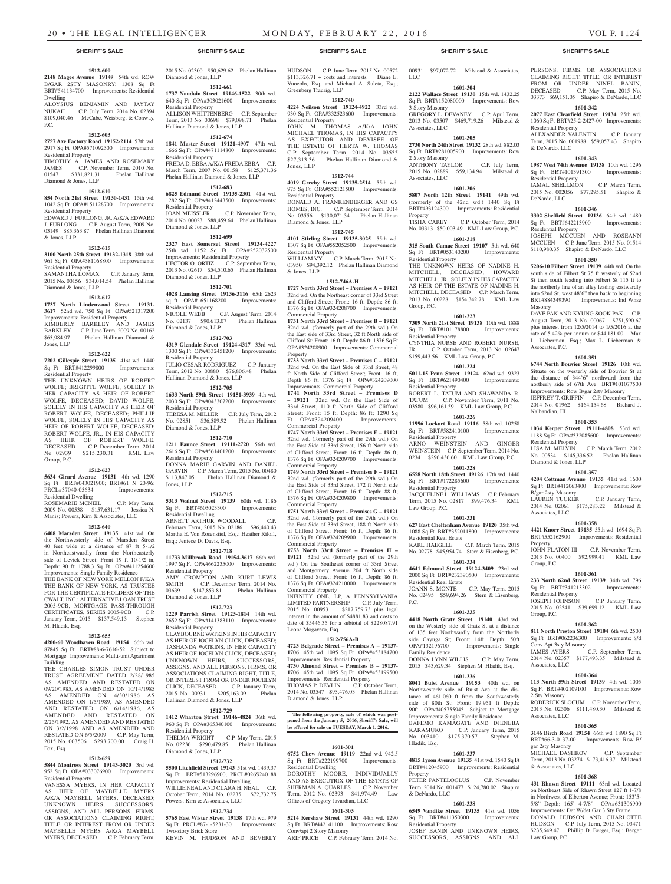HUDSON C.P. June Term, 2015 No. 00572

#### **1512-600**

**2148 Magee Avenue 19149** 54th wd. ROW B/GAR 2STY MASONRY; 1308 Sq Ft BRT#541134700 Improvements: Residential Dwelling

ALOYSIUS BENJAMIN AND JAYTAY NUKAH C.P. July Term, 2014 No. 02394 \$109,040.46 McCabe, Weisberg, & Conway,  $PC$ 

#### **1512-603**

**2757 Axe Factory Road 19152-2114** 57th wd. 2917 Sq Ft OPA#571092300 Improvements: Residential Property TIMOTHY A. JAMES AND ROSEMARY<br>JAMES C.P. November Term. 2010 No. JAMES C.P. November Term, 2010 No.<br>01547 \$331,821.31 Phelan Hallinan Phelan Hallinan Diamond & Jones, LLP

#### **1512-610**

**854 North 21st Street 19130-1431** 15th wd. 1042 Sq Ft OPA#151128700 Improvements: Residential Property EDWARD J. FURLONG, JR. A/K/A EDWARD J. FURLONG C.P. August Term, 2009 No. 03149 \$85,363.87 Phelan Hallinan Diamond & Jones, LLP

#### **1512-615**

**3100 North 25th Street 19132-1318** 38th wd. 961 Sq Ft OPA#381068800 Improvements: Residential Property SAMANTHA LOMAX C.P. January Term, 2015 No. 00156 \$34,014.54 Phelan Hallinan

Diamond & Jones, LLP **1512-617**

**1737 North Lindenwood Street 19131- 3617** 52nd wd. 750 Sq Ft OPA#521317200 Improvements: Residential Property KIMBERLY BARKLEY AND JAMES BARKLEY C.P. June Term, 2009 No. 00162 \$65,984.97 Phelan Hallinan Diamond & Jones, LLP

#### **1512-622**

**7202 Gillespie Street 19135** 41st wd. 1440<br>
Sq Ft BRT#412299800 Improvements: Sq Ft BRT#412299800 Residential Property

THE UNKNOWN HEIRS OF ROBERT WOLFE; BRIGITTE WOLFE, SOLELY IN HER CAPACITY AS HEIR OF ROBERT WOLFE, DECEASED; DAVID WOLFE, SOLELY IN HIS CAPACITY AS HEIR OF ROBERT WOLFE, DECEASED; PHILLIP WOLFE, SOLELY IN HIS CAPACITY AS HEIR OF ROBERT WOLFE, DECEASED; ROBERT WOLFE, JR., IN HIS CAPACITY AS HEIR OF ROBERT WOLFE, DECEASED C.P. December Term, 2014 No. 02939 \$215,230.31 KML Law Group, P.C.

#### **1512-623**

**5634 Girard Avenue 19131** 4th wd. 1290 Sq Ft BRT#043021900; BRT#61 N 20-96; PRCL#37040-05634 Improvements: Residential Dwelling ROSEMARIE MCNEIL C.P. May Term,

2009 No. 00538 \$157,631.17 Jessica N. Manis; Powers, Kirn & Associates, LLC

# **1512-640**

**6408 Marsden Street 19135** 41st wd. On the Northwesterly side of Marsden Street 40 feet wide at a distance of 87 ft 5-1/2 in Northeastwardly from the Northeasterly side of Levick Street; Front 19 ft 10-1/2 in, Depth: 90 ft; 1788.3 Sq Ft OPA#411254600 Improvements: Single Family Residence THE BANK OF NEW YORK MELLON F/K/A THE BANK OF NEW YORK, AS TRUSTEE FOR THE CERTIFICATE HOLDERS OF THE CWALT, INC.; ALTERNATIVE LOAN TRUST 2005-9CB, MORTGAGE PASS-THROUGH CERTIFICATES, SERIES 2005-9CB C.P. January Term, 2015 \$137,549.13 Stephen M. Hladik, Esq.

#### **1512-653**

**4200-60 Woodhaven Road 19154** 66th wd. 87845 Sq Ft BRT#88-6-7616-52 Subject to Mortgage Improvements: Multi-unit Apartment Building

THE CHARLES SIMON TRUST UNDER TRUST AGREEMENT DATED 2/28/1985 AS AMENDED AND RESTATED ON 09/20/1985, AS AMENDED ON 10/14/1985 AS AMENDED ON 4/30/1986 AS AMENDED ON 1/5/1989, AS AMENDED AND RESTATED ON 6/14/1986, AS AMENDED AND RESTATED ON 2/25/1992, AS AMENDED AND RESTATED ON 3/2/1998 AND AS AMENDED AND RESTATED ON 6/5/2009 C.P. May Term, 2015 No. 003506 \$293,700.00 Craig H. Fox, Esq

#### **1512-659**

**5844 Montrose Street 19143-3020** 3rd wd. 952 Sq Ft OPA#033076900 Improvements: Residential Property

VANESSA MYERS, IN HER CAPACITY AS HEIR OF MAYBELLE MYERS A/K/A MAYBELL MYERS, DECEASED; UNKNOWN HEIRS, SUCCESSORS, ASSIGNS, AND ALL PERSONS, FIRMS, OR ASSOCIATIONS CLAIMING RIGHT, TITLE, OR INTEREST FROM OR UNDER MAYBELLE MYERS A/K/A MAYBELL MYERS, DECEASED C.P. February Term,

2015 No. 02300 \$50,629.62 Phelan Hallinan Diamond & Jones, LLP

**1512-661 1737 Naudain Street 19146-1522** 30th wd. 640 Sq Ft OPA#303021600 Improvements: Residential Property ALLISON WHITTENBERG C.P. September

# Term, 2013 No. 00698 \$79,098.71 Phelan Hallinan Diamond & Jones, LLP

**1512-674 1841 Master Street 19121-4907** 47th wd. 1666 Sq Ft OPA#471114800 Improvements: Residential Property FREDA D. EBBA A/K/A FREDA EBBA C.P. March Term, 2007 No. 00158 \$125,371.36 Phelan Hallinan Diamond & Jones, LLP

### **1512-683**

**6825 Edmund Street 19135-2301** 41st wd. 1282 Sq Ft OPA#412443500 Improvements: Residential Property<br>JOAN MEISSLER C.P. November Term, 2014 No. 00023 \$88,459.64 Phelan Hallinan Diamond & Jones, LLP

#### **1512-699**

**2327 East Somerset Street 19134-4227**  25th wd. 1152 Sq Ft OPA#252032500 Improvements: Residential Property HECTOR O. ORTIZ C.P. September Term, 2013 No. 02617 \$54,510.65 Phelan Hallinan Diamond & Jones, LLP

# **1512-701**

**4028 Lansing Street 19136-3116** 65th 2623 sq ft OPA# 651168200 Improvements: Residential Property NICOLE WEBB C.P. August Term, 2014 No. 02137 \$90,613.07 Phelan Hallinan Diamond & Jones, LLP

#### **1512-703**

**4319 Glendale Street 19124-4317** 33rd wd. 1300 Sq Ft OPA#332451200 Improvements: Residential Property JULIO CESAR RODRIGUEZ C.P. January Term, 2012 No. 00880 \$76,806.48 Phelan Hallinan Diamond & Jones, LLP

# **1512-705**

**1633 North 59th Street 19151-3939** 4th wd. 2030 Sq Ft OPA#043307200 Improvements: Residential Property TERESA M. MILLER C.P. July Term, 2012 No. 02851 \$36,589.92 Phelan Hallinan Diamond & Jones, LLP

#### **1512-710**

**1211 Faunce Street 19111-2720** 56th wd. 2616 Sq Ft OPA#561401200 Improvements: Residential Property DONNA MARIE GARVIN AND DANIEL GARVIN C.P. March Term, 2015 No. 00480 \$113,847.05 Phelan Hallinan Diamond & Jones, LLP

#### **1512-715**

**5313 Walnut Street 19139** 60th wd. 1186 Sq Ft BRT#603023300 Residential Dwelling ARNETT ARTHUR WOODALL C.P. February Term, 2015 No. 02186 \$96,440.43 Martha E. Von Rosenstiel, Esq.; Heather Riloff, Esq.; Jeniece D. Davis, Esq.

#### **1512-718**

**11733 Millbrook Road 19154-3617** 66th wd. 1997 Sq Ft OPA#662235000 Improvements: Residential Property AMY CROMPTON AND KURT LEWIS SMITH C.P. December Term, 2014 No.<br>03639 \$147,853.81 Phelan Hallinan 03639 \$147,853.81 Phelan Hallinan Diamond & Jones, LLP

### **1512-723**

**1229 Parrish Street 19123-1814** 14th wd. 2652 Sq Ft OPA#141383110 Improvements: Residential Property CLAYBOURNE WATKINS IN HIS CAPACITY AS HEIR OF JOCELYN CLICK, DECEASED; TASHANDA WATKINS, IN HER CAPACITY AS HEIR OF JOCELYN CLICK, DECEASED; UNKNOWN HEIRS, SUCCESSORS, ASSIGNS, AND ALL PERSONS, FIRMS, OR ASSOCIATIONS CLAIMING RIGHT, TITLE, OR INTEREST FROM OR UNDER JOCELYN CLICK, DECEASED C.P. January Term, 2015 No. 00931 \$205,163.09 Phelan Hallinan Diamond & Jones, LLP

# **1512-729**

**1412 Wharton Street 19146-4824** 36th wd. 960 Sq Ft OPA#365340100 Improvements: Residential Property THELMA WRIGHT C.P. May Term, 2015 No. 02236 \$290,479.85 Phelan Hallinan Diamond & Jones, LLP

#### **1512-732**

**5500 Litchfield Street 19143** 51st wd. 1439.37 Sq Ft BRT#513296900; PRCL#026S240188 Improvements: Residential Dwelling WILLIE NEAL AND CLARA H. NEAL October Term, 2014 No. 02235 \$72,732.75 Powers, Kirn & Associates, LLC

#### **1512-734**

**5765 East Wister Street 19138** 17th wd. 979 Sq Ft PRCL#87-1-5231-30 Improvements: Two-story Brick Store KEVIN M. HUDSON AND BEVERLY

 $$113,326.71 + \text{costs}$  and interests Diane E. Vuocolo, Esq. and Michael A. Suleta, Esq.; Greenberg Traurig, LLP

**1512-740 4224 Neilson Street 19124-4922** 33rd wd. 930 Sq Ft OPA#332523600 Improvements: Residential Property

JOHN M. THOMAS A/K/A JOHN MICHAEL THOMAS, IN HIS CAPACITY AS EXECUTOR AND DEVISEE OF THE ESTATE OF HERTA W. THOMAS C.P. September Term, 2014 No. 03555 \$27,313.36 Phelan Hallinan Diamond & Jones, LLP

# **1512-744**

**4019 Greeby Street 19135-2514** 55th wd. 975 Sq Ft OPA#552121500 Improvements: Residential Property DONALD A. FRANKENBERGER AND GS HOMES, INC. C.P. September Term, 2014<br>No. 03556 \$130.071.34 Phelan Hallinan No. 03556 \$130,071.34 Diamond & Jones, LLP

# **1512-745**

**4101 Stirling Street 19135-3025** 55th wd. 1307 Sq Ft OPA#552052500 Improvements: Residential Property

WILLIAM VY C.P. March Term, 2015 No. 03950 \$94,392.12 Phelan Hallinan Diamond & Jones, LLP

# **1512-746A-H**

**1727 North 33rd Street – Premises A – 19121**  32nd wd. On the Northeast corner of 33rd Street and Clifford Street; Front: 16 ft, Depth: 86 ft; 1376 Sq Ft OPA#324208700 Improvements: Commercial Property

**1731 North 33rd Street – Premises B – 19121**  32nd wd. (formerly part of the 29th wd.) On the East side of 33rd Street, 32 ft North side of Clifford St; Front: 16 ft, Depth: 86 ft; 1376 Sq Ft OPA#324208900 Improvements: Commercial Property

**1733 North 33rd Street – Premises C – 19121**  32nd wd. On the East Side of 33rd Street, 48 ft North Side of Clifford Street; Front: 16 ft, Depth 86 ft; 1376 Sq Ft OPA#324209000 Improvements: Commercial Property

**1741 North 33rd Street – Premises D – 19121** 32nd wd. On the East Side of 33rd Street, 110 ft North Side of Clifford Street; Front: 15 ft, Depth: 86 ft; 1290 Sq<br>Ft OPA#324209400 Improvements: Ft OPA#324209400 Commercial Property

**1747 North 33rd Street – Premises E – 19121**  32nd wd. (formerly part of the 29th wd.) On the East Side of 33rd Street, 156 ft North side of Clifford Street; Front: 16 ft, Depth: 86 ft; 1376 Sq Ft OPA#324209700 Improvements: Commercial Property **1749 North 33rd Street – Premises F – 19121** 

32nd wd. (formerly part of the 29th wd.) On the East Side of 33rd Street, 172 ft North side of Clifford Street; Front: 16 ft, Depth: 88 ft; 1376 Sq Ft OPA#324209800 Improvements:

Commercial Property **1751 North 33rd Street – Premises G – 19121**  32nd wd. (formerly part of the 29th wd.) On the East Side of 33rd Street, 188 ft North side of Clifford Street; Front: 16 ft, Depth: 86 ft; 1376 Sq Ft OPA#324209900 Improvements: Commercial Property **1753 North 33rd Street – Premises H –** 

**19121** 32nd wd. (formerly part of the 29th wd.) On the Southeast corner of 33rd Street and Montgomery Avenue 204 ft North side of Clifford Street; Front: 16 ft, Depth: 86 ft; 1376 Sq Ft OPA#324210000 Improvements: Commercial Property INFINITY ONE, LP, A PENNSYLVANIA

LIMITED PARTNERSHIP C.P. July Term, 2015 No. 00953 \$217,759.73 plus legal interest in the amount of \$4881.83 and costs to date of \$5446.35 for a subtotal of \$228087.91 Leona Mogavero, Esq.

#### **1512-756A-B**

**4723 Belgrade Street – Premises A – 19137- 1706** 45th wd. 1095 Sq Ft OPA#453184700 Improvements: Residential Property **4730 Almond Street – Premises B – 19137- 1706** 45th wd. 1095 Sq Ft OPA#453199500 Improvements: Residential Property THOMAS P. DEVLIN C.P. October Term,

2014 No. 03547 \$93,476.03 Phelan Hallinan Diamond & Jones, LLP

#### **The following property, sale of which was postponed from the January 5, 2016, Sheriff's Sale, will be offered for sale on TUESDAY, March 1, 2016.**

# **1601-301**

**6752 Chew Avenue 19119** 22nd wd. 942.5 Sq Ft BRT#222199700 Residential Dwelling DOROTHY MOORE, INDIVIDUALLY AND AS EXECUTRIX OF THE ESTATE OF SHERMAN A. QUARLES C.P. November

#### Term, 2012 No. 02393 \$41,974.49 Law Offices of Gregory Javardian, LLC **1601-303**

**5214 Kershaw Street 19131** 44th wd. 1290 Sq Ft BRT#442141100 Improvements: Row Conv/apt 2 Story Masonry

ARIF PRICE C.P. February Term, 2014 No.

#### **SHERIFF'S SALE SHERIFF'S SALE SHERIFF'S SALE SHERIFF'S SALE SHERIFF'S SALE**

LLC **1601-304 2122 Wallace Street 19130** 15th wd. 1432.25 Sq Ft BRT#152080000 Improvements: Row

00931 \$97,072.72 Milstead & Associates,

PERSONS, FIRMS, OR ASSOCIATIONS CLAIMING RIGHT, TITLE, OR INTEREST FROM OR UNDER NINEL BANIN,<br>DECEASED C.P. May Term, 2015 No.

03373 \$69,151.05 Shapiro & DeNardo, LLC **1601-342 2077 East Clearfield Street 19134** 25th wd. 1060 Sq Ft BRT#25-2-2427-00 Improvements:

ALEXANDER VALENTIN C.P. January Term, 2015 No. 001988 \$59,057.43 Shapiro

**1601-343 1987 West 74th Avenue 19138** 10th wd. 1296<br>Sq Ft BRT#101391300 Improvements:

JAMAL SHELLMON C.P. March Term, 2015 No. 002056 \$77,295.51 Shapiro &

**1601-346 3302 Sheffield Street 19136** 64th wd. 1480

JOSEPH MCCUEN AND ROSEANN MCCUEN C.P. June Term, 2015 No. 01514 \$110,980.35 Shapiro & DeNardo, LLC **1601-350 5206-10 Filbert Street 19139** 44th wd. On the south side of Filbert St 75 ft westerly of 52nd St then south leading into Filbert St 115 ft to the northerly line of an alley leading eastwardly into 52nd St, west 48'6" then back to beginning BRT#884349390 Improvements: Ind Whse

DAVE PAK AND KYUNG SOOK PAK C.P. August Term, 2013 No. 00067 \$751,590.67 plus interest from 12/5/2014 to 1/5/2016 at the rate of 5.42% per annum or \$44,181.00 Max L. Lieberman, Esq.; Max L. Lieberman &

**1601-351 6744 North Bouvier Street 19126** 10th wd. Situate on the westerly side of Bouvier St at the distance of 344'6" northward from the northerly side of 67th Ave BRT#101077500 Improvements: Row B/gar 2sty Masonry JEFFREY T. GRIFFIN C.P. December Term, 2014 No. 01962 \$164,154.68 Richard J.

**1601-353 1034 Kerper Street 19111-4808** 53rd wd. 1188 Sq Ft OPA#532085600 Improvements:

LISA M. MELVIN C.P. March Term, 2012 No. 00534 \$145,336.52 Phelan Hallinan

**1601-357 4204 Cottman Avenue 19135** 41st wd. 1600 Sq Ft BRT#412063400 Improvements: Row

LAUREN TUCKER C.P. January Term, 2014 No. 02061 \$175,283.22 Milstead &

**1601-358 4421 Knorr Street 19135** 55th wd. 1694 Sq Ft BRT#552162900 Improvements: Residential

JOHN FLATON III C.P. November Term, 2013 No. 00400 \$92,999.41 KML Law

**1601-361 233 North 62nd Street 19139** 34th wd. 796<br>
Sq Ft BRT#341213302 Improvements:

JOSEPH JOHNSON C.P. January Term, 2015 No. 02541 \$39,699.12 KML Law

**1601-362 811 North Preston Street 19104** 6th wd. 2500 Sq Ft BRT#062236300 Improvements: S/d

JAMES AYERS C.P. September Term, 2014 No. 02357 \$177,493.35 Milstead &

**1601-364 113 North 59th Street 19139** 4th wd. 1005 Sq Ft BRT#402109100 Improvements: Row

RODERICK SLOCUM C.P. November Term, 2013 No. 02506 \$111,480.30 Milstead &

**1601-365 3146 Birch Road 19154** 66th wd. 1890 Sq Ft BRT#66-3-0137-00 Improvements: Row B/

MICHAEL DASHKOV C.P. September Term, 2013 No. 03274 \$173,416.37 Milstead

**1601-368 431 Rhawn Street 19111** 63rd wd. Located on Northeast Side of Rhawn Street 127 ft 1-7/8 in Northwest of Elberton Avenue; Front: 153'5- 5/8" Depth: 165' 4-7/8" OPA#631306900 Improvements: Det W/det Gar 3 Sty Frame DONALD HUDSON AND CHARLOTTE HUDSON C.P. July Term, 2015 No. 03471 \$235,649.47 Phillip D. Berger, Esq.; Berger

Sq Ft BRT#341213302 Residential Property

Conv Apt 3sty Masonry

Associates, LLC

2 Sty Masonry

Associates, LLC

gar 2sty Masonry

& Associates, LLC

Law Group, PC

Residential Property

& DeNardo, LLC

DeNardo, LLC

Masonry

Associates, P.C.

Nalbandian, III

Residential Property

Diamond & Jones, LLP

B/gar 2sty Masonry

Associates, LLC

Property

Group, P.C.

Group, P.C.

Sq Ft BRT#101391300 Residential Property

Sq Ft BRT#642213900 Residential Property

C.P. May Term, 2015 No.

#### Story Masonry GREGORY L. DEVANEY C.P. April Term, 2013 No. 03507 \$469,719.26 Milstead &

Associates, LLC **1601-305**

# **2730 North 24th Street 19132** 28th wd. 882.03

Sq Ft BRT#281005900 Improvements: Row 2 Story Masonry ANTHONY TAYLOR C.P. July Term, 2015 No. 02889 \$59,134.94 Milstead & Associates, LLC

#### **1601-306**

**5807 North 12th Street 19141** 49th wd. (formerly of the 42nd wd.) 1440 Sq Ft BRT#493124300 Improvements: Residential Property<br>TISHA CAREY C.P. October Term, 2014

No. 03313 \$50,003.49 KML Law Group, P.C. **1601-318**

# **315 South Camac Street 19107** 5th wd. 640

Sq Ft BRT#053140200 Improvements: Residential Property THE UNKNOWN HEIRS OF NADINE H. MITCHELL, DECEASED; HOWARD MITCHELL, IR., SOLELY IN HIS CAPACITY AS HEIR OF THE ESTATE OF NADINE H. MITCHELL, DECEASED C.P. March Term, 2013 No. 00228 \$154,342.78 KML Law Group, P.C.

# **1601-323**

**7309 North 21st Street 19138** 10th wd. 1888<br>Sq Ft BRT#101178800 Improvements: Sq Ft BRT#101178800 Residential Property

CYNTHIA NURSE AND ROBERT NURSE, JR. C.P. October Term, 2013 No. 02647 \$159,443.56 KML Law Group, P.C. **1601-324**

**5011-15 Penn Street 19124** 62nd wd. 9323 Sq Ft BRT#621490400 Improvements:

ROBERT L. TATUM AND SHAWANDA R. TATUM C.P. November Term, 2011 No. 03580 \$96,161.59 KML Law Group, P.C. **1601-326 11996 Lockart Road 19116** 58th wd. 10258 Sq Ft BRT#582410100 Improvements:

ARNO WEINSTEIN AND GINGER WEINSTEIN C.P. September Term, 2014 No. 02341 \$296,436.60 KML Law Group, P.C. **1601-328 6558 North 18th Street 19126** 17th wd. 1440<br>
Sq Ft BRT#172285600 Improvements:

JACQUELINE L. WILLIAMS C.P. February Term, 2015 No. 02817 \$99,476.34 KML

**1601-331 627 East Cheltenham Avenue 19120** 35th wd. 1088 Sq Ft BRT#352011800 Improvements:

KARL HAEGELE C.P. March Term, 2015 No. 02778 \$45,954.74 Stern & Eisenberg, P.C. **1601-334 4641 Edmund Street 19124-3409** 23rd wd. 2000 Sq Ft BRT#232390500 Improvements:

JOANN S. MONTE C.P. May Term, 2015 No. 02495 \$59,694.26 Stern & Eisenberg,

**1601-335 4418 North Gratz Street 19140** 43rd wd. on the Westerly side of Gratz St at a distance of 135 feet Northwardly from the Northerly side Cayuga St; Front: 14ft, Depth: 50ft

DONNA LYNN WILLIS C.P. May Term, 2015 \$43,629.34 Stephen M. Hladik, Esq. **1601-336 8041 Buist Avenue 19153** 40th wd. on Northwesterly side of Buist Ave at the distance of 461.060 ft from the Southwesterly side of 80th St; Front: 19.951 ft Depth: 90ft OPA#405755945 Subject to Mortgage Improvements: Single Family Residence BAFEMO KAMAGATE AND DJENEBA KARAMUKO C.P. January Term, 2015<br>No. 003410 \$175,370.57 Stephen M.

0. 003410 \$175,370.57

**1601-337 4815 Tyson Avenue 19135** 41st wd. 1540 Sq Ft BRT#412045900 Improvements: Residential

PETER PANTELOGLUS C.P. November Term, 2014 No. 001477 \$124,780.02 Shapiro

**1601-338 6549 Vandike Street 19135** 41st wd. 1056 Sq Ft BRT#411350300 Improvements:

JOSEF BANIN AND UNKNOWN HEIRS, SUCCESSORS, ASSIGNS, AND ALL

Improvements: Single

Residential Property

Residential Property

Sq Ft BRT#172285600 Residential Property

Law Group, P.C.

Residential Real Estate

Residential Real Estate

Family Residence

Hladik, Esq.

Property

& DeNardo, LLC

Residential Property

P.C.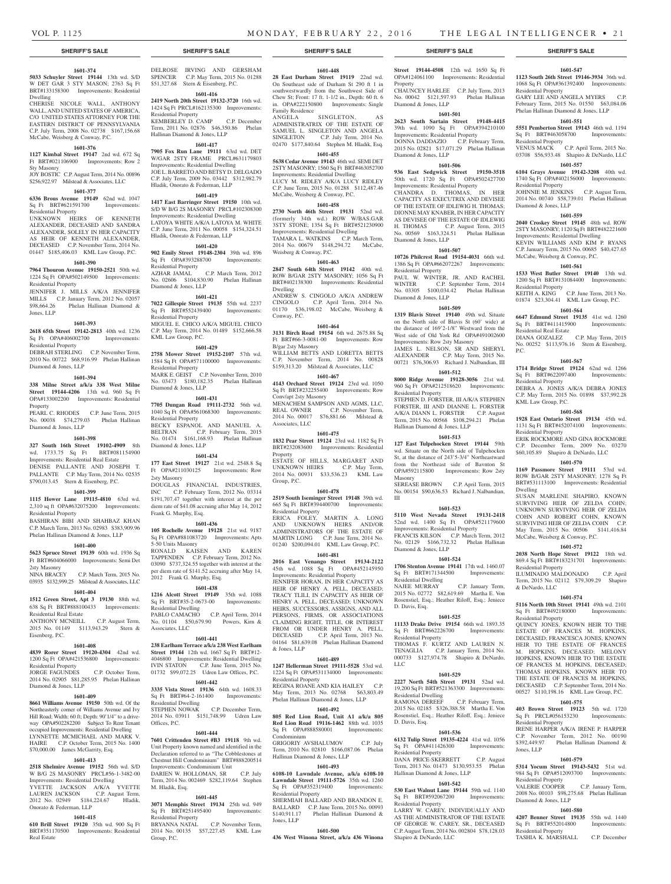#### **1601-374**

**5033 Schuyler Street 19144** 13th wd. S/D W DET GAR 3 STY MASON; 2763 Sq Ft BRT#133158300 Improvements: Residential

Dwelling CHERISE NICOLE WALL, ANTHONY WALL, AND UNITED STATES OF AMERICA, C/O UNITED STATES ATTORNEY FOR THE EASTERN DISTRICT OF PENNSYLVANIA C.P. July Term, 2008 No. 02738 \$167,156.68 McCabe, Weisberg & Conway, P.C.

#### **1601-376**

**1127 Kimbal Street 19147** 2nd wd. 672 Sq Ft BRT#021106900 Improvements: Row 2 Sty Masonry

JOY BOSTIC C.P. August Term, 2014 No. 00896 \$256,922.97 Milstead & Associates, LLC

# **1601-377**

**6336 Brous Avenue 19149** 62nd wd. 1047 Sq Ft BRT#621591700 Improvements: Residential Property

UNKNOWN HEIRS OF KENNETH ALEXANDER, DECEASED AND SANDRA ALEXANDER, SOLELY IN HER CAPACITY AS HEIR OF KENNETH ALEXANDER, DECEASED C.P. November Term, 2014 No. 01447 \$185,406.03 KML Law Group, P.C.

#### **1601-390**

#### **7964 Thouron Avenue 19150-2521** 50th wd. 1224 Sq Ft OPA#502149500 Improvements: Residential Property

JENNIFER J. MILLS A/K/A JENNIFER MILLS C.P. January Term, 2012 No. 02057 \$98,664.26 Phelan Hallinan Diamond & Jones, LLP

# **1601-393**

**2618 65th Street 19142-2813** 40th wd. 1236 Sq Ft OPA#406002700 Improvements: Residential Property

DEBRAH STERLING C.P. November Term, 2010 No. 00722 \$68,916.99 Phelan Hallinan Diamond & Jones, LLP

#### **1601-394**

**338 Milne Street a/k/a 338 West Milne Street 19144-4206** 13th wd. 960 Sq Ft OPA#133002200 Improvements: Residential Property

PEARL C. RHODES C.P. June Term, 2015 No. 00038 \$74,279.03 Phelan Hallinan Diamond & Jones, LLP

### **1601-398**

# **327 South 16th Street 19102-4909** 8th

wd. 1733.75 Sq Ft BRT#081154900 Improvements: Residential Real Estate DENISE PALLANTE AND JOSEPH T. PALLANTE C.P. May Term, 2014 No. 02535

\$790,013.45 Stern & Eisenberg, P.C.

### **1601-399**

**1115 Hower Lane 19115-4810** 63rd wd. 2,310 sq ft OPA#632075200 Improvements: Residential Property

BASHIRAN BIBI AND SHAHBAZ KHAN C.P. March Term, 2013 No. 02983 \$383,909.96 Phelan Hallinan Diamond & Jones, LLP

#### **1601-400**

**5623 Spruce Street 19139** 60th wd. 1936 Sq Ft BRT#604066000 Improvements: Semi Det 2sty Masonry

NINA BRACEY C.P. March Term, 2015 No. 03935 \$132,999.25 Milstead & Associates, LLC

#### **1601-404**

**1512 Green Street, Apt 3 19130** 88th wd. 638 Sq Ft BRT#888100433 Improvements: Residential Real Estate ANTHONY MCNEILL C.P. August Term,

2015 No. 01149 \$113,943.29 Stern & Eisenberg, P.C.

# **1601-408**

**4839 Rorer Street 19120-4304** 42nd wd. 1200 Sq Ft OPA#421536800 Improvements:

Residential Property JORGE FAGUNDES C.P. October Term, 2014 No. 02905 \$81,285.95 Phelan Hallinan Diamond & Jones, LLP

#### **1601-409**

**8661 Williams Avenue 19150** 50th wd. Of the Northeasterly corner of Williams Avenue and Ivy Hill Road; Width: 60 ft; Depth: 90'1/4" to a driveway OPA#502282200 Subject To Rent Tenant occupied Improvements: Residential Dwelling NETTE MCMICHAEL AND MARK HAIRE C.P. October Term, 2015 No. 1400 \$70,000.00 James McGarrity, Esq.

#### **1601-413**

**2518 Shelmire Avenue 19152** 56th wd. S/D W B/G 2S MASONRY PRCL#56-1-3482-00 Improvements: Residential Dwelling YVETTE JACKSON A/K/A YVETTE LAUREN JACKSON C.P. August Term,<br>2012 No. 02949 \$184.224.67 Hladik. 2012 No. 02949 \$184,224.67 Onorato & Federman, LLP

#### **1601-415**

**610 Brill Street 19120** 35th wd. 900 Sq Ft BRT#351170500 Improvements: Residential Real Estate

DELROSE IRVING AND GERSHAM SPENCER C.P. May Term, 2015 No. 01288 \$51,327.68 Stern & Eisenberg, P.C.

#### **1601-416**

**2419 North 20th Street 19132-3720** 16th wd. 1424 Sq Ft PRCL#162135300 Improvements: Residential Property KEMBERLEY D. CAMP C.P. December Term, 2011 No. 02876 \$46,350.86 Phelan Hallinan Diamond & Jones, LLP

# **1601-417**

**7905 Fox Run Lane 19111** 63rd wd. DET W/GAR 2STY FRAME PRCL#631179803 Improvements: Residential Dwelling JOE L. BARRETO AND BETSY D. DELGADO C.P. July Term, 2009 No. 03442 \$312,982.79 Hladik, Onorato & Federman, LLP

#### **1601-419**

**1417 East Barringer Street 19150** 10th wd. S/D W B/G 2S MASONRY PRCL#102308300 Improvements: Residential Dwelling LATOYA WHITE A/K/A LATOYA M. WHITE C.P. June Term, 2011 No. 00058 \$154,324.51 Hladik, Onorato & Federman, LLP

# **1601-420**

**902 Emily Street 19148-2304** 39th wd. 896 Sq Ft OPA#393288700 Residential Property AZHAR JAMAL C.P. March Term, 2012 No. 02606 \$104,830.90 Phelan Hallinan Diamond & Jones, LLP

# **1601-421**

**7022 Gillespie Street 19135** 55th wd. 2237 Sq Ft BRT#552439400 Improvements: Residential Property MIGUEL E. CHICO A/K/A MIGUEL CHICO C.P. May Term, 2014 No. 01489 \$152,666.58 KML Law Group, P.C.

#### **1601-429**

**2758 Mower Street 19152-2107** 57th wd. 1584 Sq Ft OPA#571100000 Improvements: Residential Property MARK E. GEIST C.P. November Term, 2010 No. 03473 \$180,182.35 Phelan Hallinan Diamond & Jones, LLP

# **1601-431**

**7705 Dungan Road 19111-2732** 56th wd. 1040 Sq Ft OPA#561068300 Improvements: Residential Property BECKY ESPANOL AND MANUEL A.<br>BELTRAN C.P. February Term, 2015 C.P. February Term, 2015 No. 01474 \$161,168.93 Phelan Hallinan Diamond & Jones, LLP

#### **1601-434**

**177 East Street 19127** 21st wd. 2548.8 Sq Ft OPA#211030125 Improvements: Row 2sty Masonry DOUGLAS FINANCIAL INDUSTRIES, INC C.P. February Term, 2012 No. 03314 \$191,707.47 together with interest at the per diem rate of \$41.08 accruing after May 14, 2012 Frank G. Murphy, Esq.

#### **1601-436**

**105 Rochelle Avenue 19128** 21st wd. 9187 Sq Ft OPA#881083720 Improvements: Apts 5-50 Units Masonry RONALD KAISEN AND KAREN TAPPENDEN C.P. February Term, 2012 No. 03090 \$737,324.55 together with interest at the per diem rate of \$141.52 accruing after May 14, 2012 Frank G. Murphy, Esq.

#### **1601-438**

**1216 Alcott Street 19149** 35th wd. 1088 Sq Ft BRT#35-2-0673-00 Improvements: Residential Dwelling PABLO CAMACHO C.P. April Term, 2014 No. 01104 \$50,679.90 Powers, Kirn & Associates, LLC

#### **1601-441**

**238 Earlham Terrace a/k/a 238 West Earlham Street 19144** 12th wd. 1667 Sq Ft BRT#12- 4046800 Improvements: Residential Dwelling IVIN STATON C.P. June Term, 2015 No. 01732 \$99,072.25 Udren Law Offices, P.C.

#### **1601-442**

**3335 Vista Street 19136** 64th wd. 1608.33 Sq Ft BRT#64-2-161400 Improvements: Residential Dwelling STEPHEN NOWAK C.P. December Term, 2014 No. 03911 \$151,748.99 Udren Law Offices, P.C.

#### **1601-444**

**7601 Crittenden Street #B3 19118** 9th wd. Unit Property known named and identified in the Declaration referred to as "The Cobblestones at Chestnut Hill Condominium" BRT#888200514 Improvements: Condominium Unit DARIEN W. HOLLOMAN, SR Term, 2014 No. 002469 \$282,119.64 Stephen M. Hladik, Esq.

#### **1601-445**

**3071 Memphis Street 19134** 25th wd. 949 Sq Ft BRT#251495400 Residential Property BRYANNA NATAL C.P. November Term, 2014 No. 00135 \$57,227.45 KML Law Group, P.C.

**1601-448 28 East Durham Street 19119** 22nd wd. **Street 19144-4508** 12th wd. 1650 Sq Ft

Family Residence

ANGELA SINGLETON, ADMINISTRATRIX OF THE ESTATE OF SAMUEL L. SINGLETON AND ANGELA SINGLETON C.P. July Term, 2014 No. 02470 \$177,840.64 Stephen M. Hladik, Esq. **1601-455 5638 Cedar Avenue 19143** 46th wd. SEMI DET 2STY MASONRY; 1560 Sq Ft BRT#463052700 Improvements: Residential Dwelling LUCY M. RIDLEY A/K/A LUCY RIDLEY C.P. June Term, 2015 No. 01288 \$112,487.46 McCabe, Weisberg & Conway, P.C.

**1601-458 2730 North 46th Street 19131** 52nd wd. (formerly 34th wd.) ROW W/BAS.GAR 3STY STONE; 1354 Sq Ft BRT#521230900 Improvements: Residential Dwelling TAMARA L. WATKINS C.P. March Term, 2014 No. 00679 \$148,294.72 McCabe,

**1601-463 2847 South 64th Street 19142** 40th wd. ROW B/GAR 2STY MASONRY; 1056 Sq Ft BRT#402138300 Improvements: Residential

ANDREW S. CINGOLO A/K/A ANDREW CINGOLO C.P. April Term, 2014 No. 01170 \$36,198.02 McCabe, Weisberg &

**1601-464 3131 Birch Road 19154** 6th wd. 2675.88 Sq Ft BRT#66-3-0081-00 Improvements: Row

WILLIAM BETTS AND LORETTA BETTS C.P. November Term, 2014 No. 00828 \$159,313.20 Milstead & Associates, LLC **1601-467 4143 Orchard Street 19124** 23rd wd. 1050 Sq Ft BRT#232255400 Improvements: Row

MENACHEM SAMPSON AND AGMS, LLC, REAL OWNER C.P. November Term,<br>2014 No. 00017 \$76,881.66 Milstead &

**1601-475 1832 Pear Street 19124** 23rd wd. 1182 Sq Ft BRT#232083600 Improvements: Residential

ESTATE OF HILLS, MARGARET AND UNKNOWN HEIRS C.P. May Term, 2014 No. 00931 \$33,536.23 KML Law

**1601-478 2519 South Iseminger Street 19148** 39th wd. 665 Sq Ft BRT#394400700 Improvements:

ERICA FOLEY, MARTIN A. LONG AND UNKNOWN HEIRS AND/OR ADMINISTRATORS OF THE ESTATE OF MARTIN LONG C.P. June Term, 2014 No. 01240 \$200,094.01 KML Law Group, P.C. **1601-481 2016 East Venango Street 19134-2122**  45th wd. 1088 Sq Ft OPA#452145950 Improvements: Residential Property JENNIFER HORAN, IN HER CAPACITY AS HEIR OF HENRY A. PELL, DECEASED; TRACY TLILI, IN CAPACITY AS HEIR OF HENRY A. PELL, DECEASED; UNKNOWN HEIRS, SUCCESSORS, ASSIGNS, AND ALL PERSONS, FIRMS, OR ASSOCIATIONS CLAIMING RIGHT, TITLE, OR INTEREST FROM OR UNDER HENRY A. PELL,<br>DECEASED CP April Term 2013 No.

C.P. April Term, 2013 No.

04164 \$81,639.08 Phelan Hallinan Diamond

**1601-489 1247 Hellerman Street 19111-5528** 53rd wd. 1224 Sq Ft OPA#531134000 Improvements:

REGINA ROANE AND KIA HAILEY C.P. May Term, 2013 No. 02768 \$63,803.49 Phelan Hallinan Diamond & Jones, LLP **1601-492 805 Red Lion Road, Unit A1 a/k/a 805 Red Lion Road 19116-1462** 88th wd. 1035 Sq Ft OPA#888580001 Improvements:

GRIGORIY AVSHALUMOV C.P. July Term, 2010 No. 02810 \$166,087.06 Phelan

**1601-493 6108-10 Lawndale Avenue, a/k/a 6108-10 Lawndale Street 19111-5726** 35th wd. 1260 Sq Ft OPA#352319400 Improvements:

SHERMIAH BALLARD AND BRANDON E. BALLARD C.P. June Term, 2015 No. 00993 \$140,911.17 Phelan Hallinan Diamond &

**1601-500 436 West Winona Street, a/k/a 436 Winona** 

Hallinan Diamond & Jones, LLP

\$76,881.66 Milstead &

Weisberg & Conway, P.C.

Dwelling

Conway, P.C.

B/gar 2sty Masonry

Conv/apt 2sty Masonry

Associates, LLC

Property

Group, P.C.

& Jones, LLP

Condominium

Residential Property

Jones, LLP

Residential Property

Residential Property

On Southeast side of Durham St 290 ft 1 in southwestwardly from the Southwest Side of Chew St; Front: 17 ft. 1-1/2 in., Depth: 60 ft. 6 in. OPA#222150800 Improvements: Single OPA#124061100 Improvements: Residential Property CHAUNCEY HARLEE C.P. July Term, 2013 No. 00042 \$121,597.93 Phelan Hallinan Diamond & Jones, LLP

#### **1601-501**

**1601-547 1123 South 26th Street 19146-3934** 36th wd. 1068 Sq Ft OPA#361392400 Improvements:

GARY LEE AND ANGELA MYERS C.P. February Term, 2015 No. 01550 \$63,084.06 Phelan Hallinan Diamond & Jones, LLP **1601-551 5551 Pemberton Street 19143** 46th wd. 1194 Sq Ft BRT#463058700 Improvements:

VENUS MACK C.P. April Term, 2015 No. 03708 \$56,933.48 Shapiro & DeNardo, LLC **1601-557 6104 Grays Avenue 19142-3208** 40th wd. 1740 Sq Ft OPA#402156000 Improvements:

JOHNNIE M. JENKINS C.P. August Term, 2014 No. 00740 \$58,739.01 Phelan Hallinan

**1601-559 2040 Croskey Street 19145** 48th wd. ROW 2STY MASONRY; 1120 Sq Ft BRT#482221600 Improvements: Residential Dwelling KEVIN WILLIAMS AND KIM P. RYANS C.P. January Term, 2015 No. 00685 \$40,427.65 McCabe, Weisberg & Conway, P.C. **1601-561 1533 West Butler Street 19140** 13th wd. 1200 Sq Ft BRT#131084400 Improvements:

KEITH A. KING C.P. June Term, 2013 No. 01874 \$23,304.41 KML Law Group, P.C. **1601-564 6647 Edmund Street 19135** 41st wd. 1260<br>Sq Ft BRT#411415900 Improvements:

DIANA GOZALEZ C.P. May Term, 2015 No. 00252 \$113,976.16 Stern & Eisenberg,

**1601-567 1714 Bridge Street 19124** 62nd wd. 1266 Sq Ft BRT#622097400 Improvements:

DEBRA A. JONES A/K/A DEBRA JONES C.P. May Term, 2015 No. 01898 \$37,992.28

**1601-568 1928 East Ontario Street 19134** 45th wd. 1131 Sq Ft BRT#452074100 Improvements:

ERIK ROCKMORE AND GINA ROCKMORE C.P. December Term, 2009 No. 03270 \$60,105.89 Shapiro & DeNardo, LLC **1601-570 1169 Passmore Street 19111** 53rd wd. ROW B/GAR 2STY MASONRY; 1278 Sq Ft BRT#531113100 Improvements: Residential

SUSAN MARLENE SHAPIRO, KNOWN SURVIVING HEIR OF ZELDA COHN; UNKNOWN SURVIVING HEIR OF ZELDA COHN AND ROBERT COHN, KNOWN SURVIVING HEIR OF ZELDA COHN C.P. May Term, 2015 No. 00506 \$141,416.84 McCabe, Weisberg & Conway, P.C.

**1601-572 2038 North Hope Street 19122** 18th wd. 869.4 Sq Ft BRT#183231701 Improvements:

ILUMINADO MALDONADO C.P. April Term, 2015 No. 02112 \$79,309.29 Shapiro

**1601-574 5116 North 10th Street 19141** 49th wd. 2101 Sq Ft BRT#492180000 Improvements:

QUINCY JONES, KNOWN HEIR TO THE ESTATE OF FRANCES M. HOPKINS, DECEASED; FRANCESCA JONES, KNOWN HEIR TO THE ESTATE OF FRANCES M. HOPKINS, DECEASED; MELONY HOPKINS, KNOWN HEIR TO THE ESTATE OF FRANCES M. HOPKINS, DECEASED; THOMAS HOPKINS, KNOWN HEIR TO THE ESTATE OF FRANCES M. HOPKINS, DECEASED C.P. September Term, 2014 No. 00527 \$110,198.16 KML Law Group, P.C. **1601-575 403 Brown Street 19123** 5th wd. 1720 Sq Ft PRCL#056153230 Improvements:

IRENE HARPER A/K/A IRENE P. HARPER C.P. November Term, 2012 No.<br>\$392.449.97 Phelan Hallinan Diar

**1601-579 5314 Yocum Street 19143-5432** 51st wd. 984 Sq Ft OPA#512093700 Improvements:

VALERIE COOPER C.P. January Term, 2008 No. 00103 \$98,275.68 Phelan Hallinan

**1601-580 4207 Benner Street 19135** 55th wd. 1440 Sq Ft BRT#552014800 Improvements:

TASHIA K. MARSHALL C.P. December

Phelan Hallinan Diamond &

Residential Property

Residential Property

Residential Property

Diamond & Jones, LLP

Residential Property

P.C.

Sq Ft BRT#411415900 Residential Real Estate

Residential Property

KML Law Group, P.C.

Residential Property

Residential Property

& DeNardo, LLC

Residential Property

Residential Property

Residential Property

Diamond & Jones, LLP

Residential Property

Jones, LLP

Dwelling

**2623 South Sartain Street 19148-4415**  39th wd. 1090 Sq Ft OPA#394210100 Improvements: Residential Property DONNA DADDAZIO C.P. February Term, 2015 No. 02821 \$17,071.29 Phelan Hallinan Diamond & Jones, LLP

#### **1601-506**

**936 East Sedgwick Street 19150-3518**  50th wd. 1720 Sq Ft OPA#502427700 Improvements: Residential Property CHANDRA D. THOMAS, IN HER CAPACITY AS EXECUTRIX AND DEVISEE OF THE ESTATE OF IDLEWIG H. THOMAS; DIONNE MAY KNABER, IN HER CAPACITY AS DEVISEE OF THE ESTATE OF IDLEWIG H. THOMAS C.P. August Term, 2015 No. 00569 \$163,324.51 Phelan Hallinan Diamond & Jones, LLP

#### **1601-507**

**10726 Philcrest Road 19154-4031** 66th wd. 1386 Sq Ft OPA#662072267 Improvements: Residential Property

PAUL W. WINTER, JR. AND RACHEL WINTER C.P. September Term, 2014 No. 03305 \$100,034.42 Phelan Hallinan Diamond & Jones, LLP

#### **1601-509**

**1319 Blavis Street 19140** 49th wd. Situate on the North side of Blavis St (60' wide) at the distance of 169'2-1/8" Westward from the West side of Old York Rd OPA#491002600 Improvements: Row 2sty Masonry JAMES L. NELSON, SR AND SHERYL ALEXANDER C.P. May Term, 2015 No. 00721 \$76,306.93 Richard J. Nalbandian, III

# **1601-512**

**8000 Ridge Avenue 19128-3056** 21st wd. 960 Sq Ft OPA#212518620 Improvements: Residential Property STEPHEN D. FORSTER, III A/K/A STEPHEN FORSTER, III AND DIANNE L. FORSTER A/K/A DIANN L. FORSTER C.P. August Term, 2015 No. 00568 \$108,294.21 Phelan Hallinan Diamond & Jones, LLP

#### **1601-513 127 East Tulpehocken Street 19144** 59th

wd. Situate on the North side of Tulpehocken St, at the distance of 243'5-3/4" Northeastward from the Northeast side of Bavnton St OPA#592115800 Improvements: Row 2sty Masonry SEREASE BROWN C.P. April Term, 2015 No. 00154 \$90,636.53 Richard J. Nalbandian, III

#### **1601-523**

**5110 West Nevada Street 19131-2418**  52nd wd. 1400 Sq Ft OPA#521179600 Improvements: Residential Property FRANCIS KILSON C.P. March Term, 2012 No. 02129 \$166,732.32 Phelan Hallinan Diamond & Jones, LLP

#### **1601-524**

**1706 Stenton Avenue 19141** 17th wd. 1460.07 Sq Ft BRT#171344500 Improvements: Residential Dwelling C.P. January Term, 2015 No. 02772 \$82,619.69 Martha E. Von Rosenstiel, Esq.; Heather Riloff, Esq.; Jeniece D. Davis, Esq.

### **1601-525**

**11133 Drake Drive 19154** 66th wd. 1893.35 Sq Ft BRT#662226700 Improvements: Residential Property THOMAS F. KURTZ AND LAUREN N. TENAGLIA C.P. January Term, 2014 No. 000733 \$127,974.78 Shapiro & DeNardo, LLC

### **1601-529**

**2227 North 54th Street 19131** 52nd wd. 19,200 Sq Ft BRT#521363300 Improvements: Residential Dwelling<br>RAMONA DEREEF

C.P. February Term, 2015 No. 02185 \$326,388.58 Martha E. Von Rosenstiel, Esq.; Heather Riloff, Esq.; Jeniece D. Davis, Esq.

### **1601-536**

**6132 Tulip Street 19135-4224** 41st wd. 1056<br>
Sq Ft OPA#411426300 Improvements: Sq Ft OPA#411426300

Residential Property DANA PRICE-SKERRETT C.P. August Term, 2013 No. 01473 \$130,953.55 Phelan Hallinan Diamond & Jones, LLP

Sq Ft BRT#592067200 Improvements:

LARRY W. CAREY, INDIVIDUALLY AND AS THE ADMINISTRATOR OF THE ESTATE OF GEORGE W. CAREY, SR., DECEASED C.P. August Term, 2014 No. 002804 \$78,128.03

#### **1601-542 530 East Walnut Lane 19144** 59th wd. 1140

Residential Property

Shapiro & DeNardo, LLC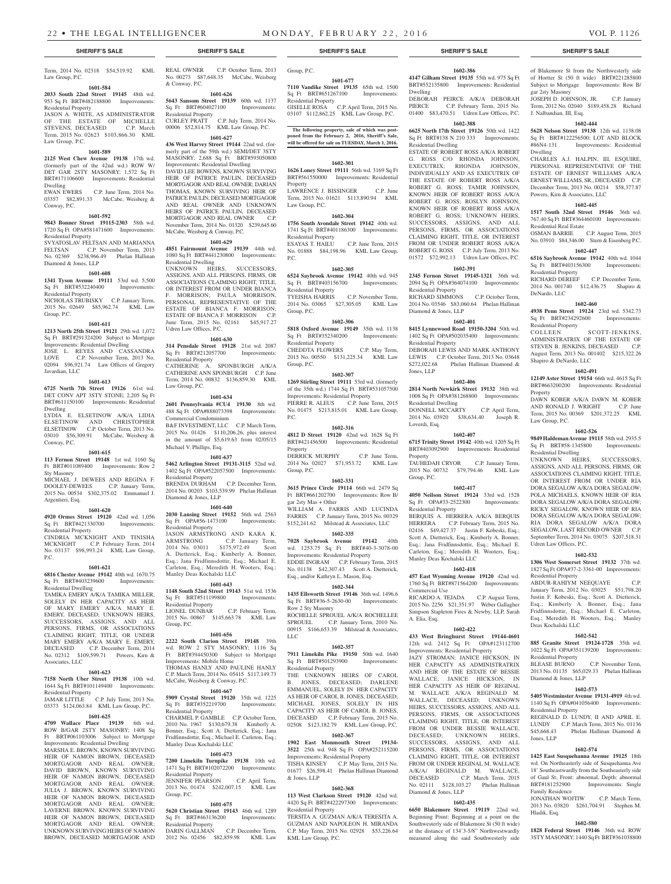**1601-677 7110 Vandike Street 19135** 65th wd. 1500 Sq Ft BRT#651267100 Improvements:

GISELLE ROSA C.P. April Term, 2015 No. 03107 \$112,862.25 KML Law Group, P.C.

**The following property, sale of which was post-poned from the February 2, 2016, Sheriff's Sale, will be offered for sale on TUESDAY, March 1, 2016.**

**1602-301 1626 Loney Street 19111** 56th wd. 3169 Sq Ft BRT#561550000 Improvements: Residential

LAWRENCE J. BISSINGER C.P. June Term, 2015 No. 01621 \$113,890.94 KML

**1602-304 1756 South Avondale Street 19142** 40th wd. 1741 Sq Ft BRT#401186300 Improvements:

ESAYAS T. HAILU C.P. June Term, 2015 No. 01888 \$84,198.96 KML Law Group,

**1602-305 6524 Saybrook Avenue 19142** 40th wd. 945

**1602-306**

CHEDDTA FLOWERS C.P. May Term, 2015 No. 00550 \$131,225.34 KML Law

**1602-307 1269 Stirling Street 19111** 53rd wd. (formerly of the 35th wd.) 1744 Sq Ft BRT#531057500 Improvements: Residential Property PIERRE R. ALEUS C.P. June Term, 2015 No. 01475 \$213,815.01 KML Law Group,

**1602-316 4812 D Street 19120** 42nd wd. 1628 Sq Ft BRT#421456500 Improvements: Residential

DERRICK MURPHY C.P. June Term, 2014 No. 02027 \$71,953.72 KML Law

**1602-331 3615 Prince Circle 19114** 66th wd. 2479 Sq Ft BRT#661202700 Improvements: Row B/

WILLIAM A. FARRIS AND LUCINDA FARRIS C.P. January Term, 2015 No. 00329 \$152,241.62 Milstead & Associates, LLC **1602-335 7028 Saybrook Avenue 19142** 40th wd. 1253.75 Sq Ft BRT#40-3-3078-00 Improvements: Residential Property EDDIE INGRAM C.P. February Term, 2015 No. 01138 \$42,307.43 Scott A. Dietterick, Esq., and/or Kathryn L. Mason, Esq. **1602-344 1435 Ellsworth Street 19146** 36th wd. 1496.6 Sq Ft BRT#36-5-2630-00 Improvements:

ROCHELLE SPROUEL A/K/A ROCHELLEE SPROUEL C.P. January Term, 2010 No. 00915 \$166,653.39 Milstead & Associates,

**1602-357 7911 Limekiln Pike 19150** 50th wd. 1640 Sq Ft BRT#501293900 Improvements:

THE UNKNOWN HEIRS OF CAROL B. JONES, DECEASED; DARLENE EMMANUEL, SOLELY IN HER CAPACITY AS HEIR OF CAROL B. JONES, DECEASED; MICHAEL JONES, SOLELY IN HIS CAPACITY AS HEIR OF CAROL B. JONES, DECEASED C.P. February Term, 2015 No. 02508 \$123,182.79 KML Law Group, P.C. **1602-367 1902 East Monmouth Street 19134- 3522** 25th wd. 948 Sq Ft OPA#252115200 Improvements: Residential Property TISHA KINSEY C.P. May Term, 2015 No. 01677 \$26,598.41 Phelan Hallinan Diamond

**1602-368 113 West Clarkson Street 19120** 42nd wd. 4420 Sq Ft BRT#422297300 Improvements:

TERSITA A. GUZMAN A/K/A TERESITA A. GUZMAN AND NAPOLEON H. MIRANDA C.P. May Term, 2015 No. 02928 \$53,226.64

Residential Property

Property

P.C.

Law Group, P.C.

Residential Property

Residential Property

Group, P.C.

P.C.

Property

Group, P.C.

gar 2sty Mas + Other

Row 2 Sty Masonry

Residential Property

& Jones, LLP

Residential Property

KML Law Group, P.C.

LLC

**1601-584 2033 South 22nd Street 19145** 48th wd. 953 Sq Ft BRT#482188800 Improvements:

JASON A. WHITE, AS ADMINISTRATOR OF THE ESTATE OF MICHELLE<br>STEVENS, DECEASED C.P. March

Term, 2015 No. 02623 \$103,866.30 KML

**1601-589 2125 West Chew Avenue 19138** 17th wd. (formerly part of the 42nd wd.) ROW W/ DET GAR 2STY MASONRY; 1,572 Sq Ft BRT#171106600 Improvements: Residential

03357 \$82,891.33 McCabe, Weisberg &

**1601-592 9843 Bonner Street 19115-2303** 58th wd. 1720 Sq Ft OPA#581471600 Improvements:

SVYATOSLAV FELTSAN AND MARIANNA<br>FELTSAN CP November Term 2013

No. 02369 \$238,966.49 Phelan Hallinan

**1601-608 1341 Tyson Avenue 19111** 53rd wd. 5,500 Sq Ft BRT#532240400 Improvements:

NICHOLAS TRUBISKY C.P. January Term, 2015 No. 02649 \$85,962.74 KML Law

**1601-611 1213 North 25th Street 19121** 29th wd. 1,072 Sq Ft BRT#291324200 Subject to Mortgage Improvements: Residential Dwelling JOSE L. REYES AND CASSANDRA LOVE C.P. November Term, 2013 No. 02094 \$96,921.74 Law Offices of Gregory

**1601-613 6725 North 7th Street 19126** 61st wd. DET CONV APT 3STY STONE; 2,205 Sq Ft BRT#611150100 Improvements: Residential

LYDIA E. ELSETINOW A/K/A LIDIA ELSETINOW AND CHRISTOPHER ELSETINOW C.P. October Term, 2013 No. 03010 \$56,309.91 McCabe, Weisberg &

**1601-615 113 Fernon Street 19148** 1st wd. 1160 Sq Ft BRT#011089400 Improvements: Row 2

MICHAEL J. DEWEES AND REGINA F. DOOLEY-DEWEES C.P. January Term, 2015 No. 00534 \$302,375.02 Emmanuel J.

C.P. June Term, 2014 No.

C.P. November Term, 2013

Law Group, P.C.

Residential Property

Law Group, P.C.

Dwelling<br>EWAN EWERS

Residential Property

Diamond & Jones, LLP

Residential Property

Group, P.C.

Javardian, LLC

Dwelling

Conway, P.C.

Sty Masonry

Argentieri, Esq.

P.C.

Conway, P.C.

STEVENS, DECEASED

Term, 2014 No. 02318 \$54,519.92 KML No. 00273 \$87,648.35 McCabe, Weisberg & Conway, P.C.

**5643 Sansom Street 19139** 60th wd. 1137<br>
Sq Ft BRT#604027100 Improvements: Sq Ft BRT#604027100 Residential Property CURLEY PRATT C.P. July Term, 2014 No. 00006 \$52,814.75 KML Law Group, P.C.

**436 West Harvey Street 19144** 22nd wd. (formerly part of the 59th wd.) SEMI/DET 3STY MASONRY; 2,688 Sq Ft BRT#593050800 Improvements: Residential Dwelling DAVID LEE BOWENS, KNOWN SURVIVING HEIR OF PATRICE PAULIN, DECEASED MORTGAGOR AND REAL OWNER; DARIAN THOMAS, KNOWN SURVIVING HEIR OF PATRICE PAULIN, DECEASED MORTGAGOR AND REAL OWNER AND UNKNOWN HEIRS OF PATRICE PAULIN, DECEASED MORTGAGOR AND REAL OWNER November Term, 2014 No. 01320 \$239,645.60 McCabe, Weisberg & Conway, P.C.

Residential Dwelling ASSOCIATIONS CLAIMING RIGHT, TITLE,

OR INTEREST FROM OR UNDER BIANCA F. MORRISON; PAULA MORRISON, PERSONAL REPRESENTATIVE OF THE ESTATE OF BIANCA F. MORRISON; ESTATE OF BIANCA F. MORRISON C.P. June Term, 2015 No. 02161 \$45,917.27 Udren Law Offices, P.C.

**314 Pensdale Street 19128** 21st wd. 2087 Sq Ft BRT#212057700 Improvements: Residential Property CATHERINE A. SPONBURGH A/K/A

CATHERINE ANN SPONBURGH C.P. June Term, 2014 No. 00832 \$136,859.30 KML Law Group, P.C.

# **1601-634**

**2601 Pennsylvania #CU4 19130** 8th wd. 488 Sq Ft OPA#888073398 Improvements: Commercial Condominium B&F INVESTMENT, LLC C.P. March Term, 2015 No. 01426 \$110,206.26, plus interest in the amount of \$5,619.63 from 02/05/15 Michael V. Phillips, Esq.

**5462 Arlington Street 19131-3115** 52nd wd. 1402 Sq Ft OPA#522057500 Improvements: Residential Property BRENDA DURHAM C.P. December Term, 2014 No. 00203 \$103,539.99 Phelan Hallinan

# **1601-620**

**4920 Ormes Street 19120** 42nd wd. 1,056 Sq Ft BRT#421330700 Improvements: Residential Property CINDRIA MCKNIGHT AND TINISHA MCKNIGHT C.P. February Term, 2014 No. 03137 \$98,993.24 KML Law Group,

#### **1601-621**

**6816 Chester Avenue 19142** 40th wd. 1670.75 Sq Ft BRT#403239600 Improvements: Residential Dwelling

TAMIKA EMERY A/K/A TAMIKA MILLER, SOLELY IN HER CAPACITY AS HEIR OF MARY EMERY A/K/A MARY E. EMERY, DECEASED; UNKNOWN HEIRS, SUCCESSORS, ASSIGNS, AND ALL PERSONS, FIRMS, OR ASSOCIATIONS CLAIMING RIGHT, TITLE, OR UNDER MARY EMERY A/K/A MARY E. EMERY,<br>DECEASED C.P. December Term, 2014 DECEASED C.P. December Term, 2014 No. 02312 \$109,599.71 Powers, Kirn & Associates, LLC

# **1601-623**

**7158 North Uber Street 19138** 10th wd. 1644 Sq Ft BRT#101149400 Improvements: Residential Property

JAMAR LITTLE C.P. July Term, 2013 No. 03373 \$124,063.84 KML Law Group, P.C.

# **1601-625**

**4709 Wallace Place 19139** 6th wd. ROW B/GAR 2STY MASONRY; 1408 Sq<br>Ft BRT#061103006 Subject to Mortgage Subject to Mortgage Improvements: Residential Dwelling

MARSHA E. BROWN, KNOWN SURVIVING HEIR OF NAMON BROWN, DECEASED MORTGAGOR AND REAL OWNER; DAVID BROWN, KNOWN SURVIVING HEIR OF NAMON BROWN, DECEASED MORTGAGOR AND REAL OWNER; JULIA J. BROWN, KNOWN SURVIVING HEIR OF NAMON BROWN, DECEASED MORTGAGOR AND REAL OWNER; LAVERNE BROWN, KNOWN SURVIVING HEIR OF NAMON BROWN, DECEASED MORTGAGOR AND REAL OWNER; UNKNOWN SURVIVING HEIRS OF NAMON BROWN, DECEASED MORTGAGOR AND

# C.P. October Term, 2013 Group, P.C.

**1601-626**

# **1601-627**

#### **1601-629**

**4851 Fairmount Avenue 19139** 44th wd. 1080 Sq Ft BRT#441230800 Improvements: UNKNOWN HEIRS, SUCCESSORS, ASSIGNS, AND ALL PERSONS, FIRMS, OR

Sq Ft BRT#403156700 Improvements: Residential Property TYEISHA HARRIS C.P. November Term, 2014 No. 03065 \$27,305.05 KML Law Group, P.C. **5818 Oxford Avenue 19149** 35th wd. 1138 Sq Ft BRT#352340200 Improvements:

# **1601-630**

#### **1601-637**

Diamond & Jones, LLP **1601-640**

**2030 Lansing Street 19152** 56th wd. 2563 Sq Ft OPA#56-1473100 Residential Property JASON ARMSTRONG AND KARA K. ARMSTRONG C.P. January Term, 2014 No. 03011 \$175,972.49 Scott A. Dietterick, Esq.; Kimberly A. Bonner, Esq.; Jana Fridfinnsdottir, Esq.; Michael E. Carleton, Esq.; Meredith H. Wooters, Esq.; Manley Deas Kochalski LLC

### **1601-643**

**1148 South 52nd Street 19143** 51st wd. 1536 Sq Ft BRT#511199800 Improvements: Residential Property<br>LIONEL DUNBAR

C.P. February Term, 2015 No. 00867 \$145,663.78 KML Law Group, P.C.

#### **1601-656**

**2222 South Clarion Street 19148** 39th wd. ROW 2 STY MASONRY; 1116 Sq Ft BRT#394450300 Subject to Mortgage Improvements: Mobile Home THOMAS HANLY AND PAULINE HANLY C.P. March Term, 2014 No. 05415 \$117,149.73 McCabe, Weisberg & Conway, P.C.

#### **1601-667**

**5909 Crystal Street 19120** 35th wd. 1225<br>
Sq Ft BRT#352219700 Improvements: Sq Ft BRT#352219700 Residential Property CHARMEL P. GAMBLE C.P. October Term, 2010 No. 1967 \$130,679.38 Kimberly A. Bonner, Esq.; Scott A. Dietterick, Esq.; Jana Fridfinnsdottir, Esq.; Michael E. Carleton, Esq.; Manley Deas Kochalski LLC

#### **1601-673**

**7200 Limekiln Turnpike 19138** 10th wd. 1471 Sq Ft BRT#102072200 Improvements: Residential Property JENNIFER PEARSON C.P. April Term, 2013 No. 01474 \$242,007.15 KML Law Group, P.C.

#### **1601-675**

**5620 Christian Street 19143** 46th wd. 1289 Sq Ft BRT#463136200 Residential Property

DARIN GALLMAN C.P. December Term, 2012 No. 02456 \$82,859.98 KML Law

#### **1602-386**

**4147 Gilham Street 19135** 55th wd. 975 Sq Ft BRT#552135800 Improvements: Residential Dwelling

DEBORAH PEIRCE A/K/A DEBORAH<br>PIERCE C.P. February Term, 2015 No. C.P. February Term, 2015 No. 01400 \$83,470.51 Udren Law Offices, P.C. **1602-388**

**6625 North 17th Street 19126** 50th wd. 1422 Sq Ft BRT#138 N 210 333 Improvements: Residential Dwelling

ESTATE OF ROBERT ROSS A/K/A ROBERT G. ROSS C/O RHONDA JOHNSON, EXECUTRIX; RHONDA JOHNSON, INDIVIDUALLY AND AS EXECUTRIX OF THE ESTATE OF ROBERT ROSS A/K/A ROBERT G. ROSS; TAMIR JOHNSON, KNOWN HEIR OF ROBERT ROSS A/K/A ROBERT G. ROSS; ROSLYN JOHNSON, KNOWN HEIR OF ROBERT ROSS A/K/A ROBERT G. ROSS; UNKNOWN HEIRS, SUCCESSORS, ASSIGNS, AND ALL PERSONS, FIRMS, OR ASSOCIATIONS CLAIMING RIGHT, TITLE, OR INTEREST FROM OR UNDER ROBERT ROSS A/K/A ROBERT G. ROSS C.P. July Term, 2013 No. 01572 \$72,992.13 Udren Law Offices, P.C.

# **1602-391**

**2345 Fernon Street 19145-1321** 36th wd. 2094 Sq Ft OPA#364074100 Improvements: Residential Property RICHARD SIMMONS C.P. October Term,

2014 No. 03546 \$83,060.64 Phelan Hallinan Diamond & Jones, LLP **1602-401**

#### **8415 Lynnewood Road 19150-3204** 50th wd. 1402 Sq Ft OPA#502035400 Improvements: Residential Property

DEBORAH LEWIS AND MARK ANTHONY LEWIS C.P. October Term, 2013 No. 03648 \$272,022.68 Phelan Hallinan Diamond & Jones, LLP

#### **1602-406**

**2814 North Newkirk Street 19132** 38th wd. 1008 Sq Ft OPA#381268800 Improvements: Residential Dwelling

DONNELL MCCARTY C.P. April Term, 2014 No. 03920 \$38,634.40 Joseph R. Loverdi, Esq.

# **1602-407**

**6715 Trinity Street 19142** 40th wd. 1205 Sq Ft BRT#403092900 Improvements: Residential Property

TAUHEDAH CRYOR C.P. January Term, 2015 No. 00732 \$79,794.46 KML Law Group, P.C.

#### **1602-417**

**4050 Neilson Street 19124** 33rd wd. 1528 Sq Ft OPA#33-2522300 Improvements: Residential Property

BERQUIS A. HERRERA A/K/A BERQUIS HERRERA C.P. February Term, 2015 No. 02416 \$49,427.37 Justin F. Kobeski, Esq.; Scott A. Dietterick, Esq.; Kimberly A. Bonner, Esq.; Jana Fridfinnsdottir, Esq.; Michael E. Carleton, Esq.; Meredith H. Wooters, Esq.; Manley Deas Kochalski LLC

# **1602-418**

**457 East Wyoming Avenue 19120** 42nd wd. 1760 Sq Ft BRT#871564200 Improvements: Commercial Use

RICARDO A. TEJADA C.P. August Term, 2015 No. 2256 \$21,351.97 Weber Gallagher Simpson Stapleton Fires & Newby, LLP, Sarah A. Elia, Esq.

#### **1602-422**

**433 West Bringhurst Street 19144-4601**  12th wd. 2412 Sq Ft OPA#123112700 Improvements: Residential Property

JAZY STROMAN; JANICE HICKSON, IN HER CAPACITY AS ADMINISTRATRIX AND HEIR OF THE ESTATE OF BESSIE WALLACE; JANICE HICKSON, IN HER CAPACITY AS HEIR OF REGINAL M. WALLACE A/K/A REGINALD M. WALLACE, DECEASED; UNKNOWN HEIRS, SUCCESSORS, ASSIGNS, AND ALL PERSONS, FIRMS, OR ASSOCIATIONS CLAIMING RIGHT, TITLE, OR INTEREST FROM OR UNDER BESSIE WALLACE, DECEASED: UNKNOWN HEIRS SUCCESSORS, ASSIGNS, AND ALL PERSONS, FIRMS, OR ASSOCIATIONS CLAIMING RIGHT, TITLE, OR INTEREST FROM OR UNDER REGINAL M. WALLACE A/K/A/ REGINALD M. WALLACE, DECEASED C.P. March Term, 2015 No. 02111 \$128,103.27 Phelan Hallinan Diamond & Jones, LLP

#### **1602-435**

**6650 Blakemore Street 19119** 22nd wd. Beginning Point: Beginning at a point on the Southwesterly side of Blakemore St (50 ft wide) at the distance of 134'3-5/8" Northwestwardly measured along the said Southwesterly side

#### **SHERIFF'S SALE SHERIFF'S SALE SHERIFF'S SALE SHERIFF'S SALE SHERIFF'S SALE**

of Blakemore St from the Northwesterly side of Hortter St (50 ft wide) BRT#221285800 Subject to Mortgage Improvements: Row B/ gar 2sty Masonry

JOSEPH D. JOHNSON, JR. C.P. January Term, 2012 No. 02040 \$189,458.28 Richard J. Nalbandian, III, Esq.

#### **1602-444**

**5628 Nelson Street 19138** 12th wd. 1138.08 Sq Ft BRT#122256500; LOT AND BLOCK #86N4-131 Improvements: Residential Dwelling

CHARLES A.J. HALPIN, III, ESQUIRE PERSONAL REPRESENTATIVE OF THE ESTATE OF ERNEST WILLIAMS A/K/A ERNEST WILLIAMS, SR., DECEASED C.P. December Term, 2013 No. 00214 \$58,377.87 Powers, Kirn & Associates, LLC

#### **1602-445**

**1517 South 32nd Street 19146** 36th wd. 767.40 Sq Ft BRT#364460100 Improvements: Residential Real Estate

OSMAN BARRIE C.P. August Term, 2015 No. 03910 \$84,346.00 Stern & Eisenberg P.C.

# **1602-447**

**6516 Saybrook Avenue 19142** 40th wd. 1044 Sq Ft BRT#403156300 Improvements: Residential Property

RICHARD DEREEF C.P. December Term, 2014 No. 001740 \$12,436.75 Shapiro & DeNardo, LLC

#### **1602-460**

**4938 Penn Street 19124** 23rd wd. 5342.73 Sq Ft BRT#234292600 Improvements: Residential Property

COLLEEN SCOTT-JENKINS, ADMINISTRATRIX OF THE ESTATE OF STEVEN B. JENKINS, DECEASED C.P. August Term, 2013 No. 001402 \$215,322.26 Shapiro & DeNardo, LLC

**1602-491 12149 Aster Street 19154** 66th wd. 4615 Sq Ft BRT#663200200 Improvements: Residential

DAWN KOBER A/K/A DAWN M. KOBER AND RONALD J. WRIGHT C.P. June Term, 2015 No. 00369 \$201,372.25 KML

**1602-526 9849 Haldeman Avenue 19115** 58th wd. 2935.5 Sq Ft BRT#58-1345800 Improvements:

UNKNOWN HEIRS, SUCCESSORS, ASSIGNS, AND ALL PERSONS, FIRMS, OR ASSOCIATIONS CLAIMING RIGHT, TITLE, OR INTEREST FROM OR UNDER RIA DORA SEGALOW A/K/A DORA SEGALOW; POLA MICHAELS, KNOWN HEIR OF RIA DORA SEGALOW A/K/A DORA SEGALOW; RICKY SEGALOW, KNOWN HEIR OF RIA DORA SEGALOW A/K/A DORA SEGALOW; RIA DORA SEGALOW A/K/A DORA SEGALOW, LAST RECORD OWNER C.P. September Term, 2014 No. 03075 \$207,518.31

**1602-532 1306 West Somerset Street 19132** 37th wd. 1827 Sq Ft OPA#37-2-3361-00 Improvements:

ABDUR-RAHIYM NEEQUAYE C.P. January Term, 2012 No. 03025 \$51,798.20 Justin F. Kobeski, Esq.; Scott A. Dietterick, Esq.; Kimberly A. Bonner, Esq.; Jana Fridfinnsdottir, Esq.; Michael E. Carleton, Esq.; Meredith H. Wooters, Esq.; Manley

**1602-542 885 Granite Street 19124-1728** 35th wd. 1022 Sq Ft OPA#351139200 Improvements:

BLEASE BURNO C.P. November Term, 2013 No. 01135 \$65,029.33 Phelan Hallinan

**1602-573 5405 Westminster Avenue 19131-4919** 4th wd. 1140 Sq Ft OPA#041056400 Improvements:

REGINALD D. LUNDY, II AND APRIL E. LUNDY C.P. March Term, 2015 No. 01136 \$45,668.43 Phelan Hallinan Diamond &

**1602-574 1425 East Susquehanna Avenue 19125** 18th wd. On Northeasterly side of Susquehanna Ave 18' Southeastwardly from the Southeasterly side of Gaul St; Front: abnormal, Depth: abnormal BRT#181252900 Improvements: Single

JONATHAN WOJTIW C.P. March Term, 2013 No. 03820 \$261,704.91 Stephen M.

**1602-580 1828 Federal Street 19146** 36th wd. ROW 3STY MASONRY; 1440 Sq Ft BRT#361038800

Property

Law Group, P.C.

Residential Dwelling

Udren Law Offices, P.C.

Residential Property

Deas Kochalski LLC

Residential Property

Diamond & Jones, LLP

Residential Property

Jones, LLP

Family Residence

Hladik, Esq.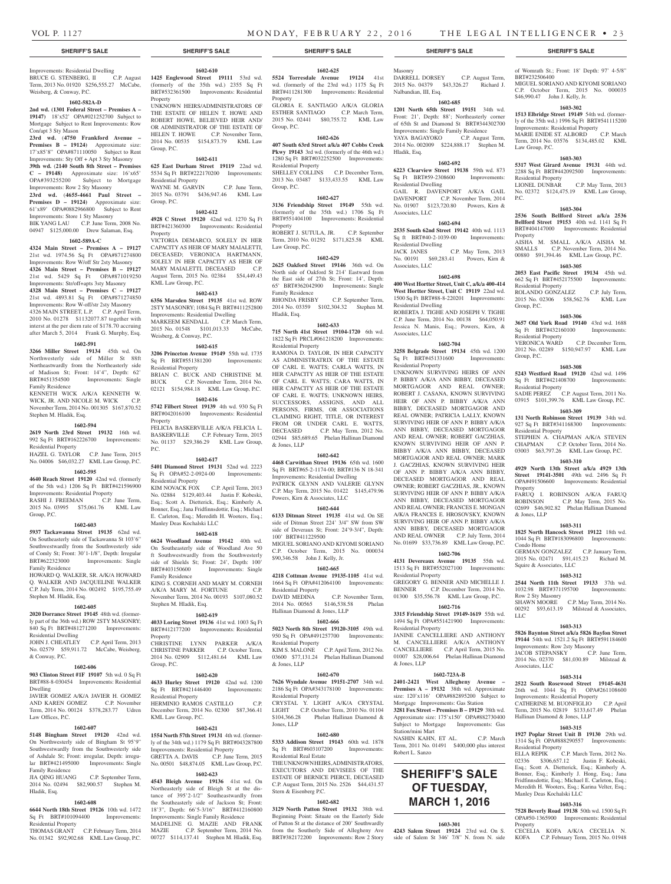DARRELL DORSEY C.P. August Term, 2015 No. 04379 \$43,326.27 Richard J. of Womrath St.; Front: 18' Depth: 97' 4-5/8"

MIGUEL SORIANO AND KIYOMI SORIANO C.P. October Term, 2015 No. 000035

**1603-302 1513 Elbridge Street 19149** 54th wd. (formerly of the 35th wd.) 1996 Sq Ft BRT#541115200 Improvements: Residential Property MARIE ENIDE ST. ALBORD C.P. March Term, 2014 No. 03576 \$134,485.02 KML

**1603-303 5317 West Girard Avenue 19131** 44th wd. 2288 Sq Ft BRT#442092500 Improvements:

No. 02372 \$124,475.19 KML Law Group,

**1603-304 2536 South Bellford Street a/k/a 2536 Bellford Street 19153** 40th wd. 1141 Sq Ft BRT#404147000 Improvements: Residential

AISHA M. SMALL A/K/A AISHA M. SMALLS C.P. November Term, 2014 No. 00880 \$91,394.46 KML Law Group, P.C. **1603-305 2053 East Pacific Street 19134** 45th wd. 662 Sq Ft BRT#452175500 Improvements:

ROLANDO GONZALEZ C.P. July Term, 2015 No. 02306 \$58,562.76 KML Law

**1603-306 3657 Old York Road 19140** 43rd wd. 1688 Sq Ft BRT#432160100 Improvements:

2012 No. 02289 \$150,947.97 KML Law

**1603-308 5243 Westford Road 19120** 42nd wd. 1496 Sq Ft BRT#421408700 Improvements:

SADIE PEREZ C.P. August Term, 2011 No. 03915 \$101,399.76 KML Law Group, P.C. **1603-309 131 North Robinson Street 19139** 34th wd. 927 Sq Ft BRT#341168300 Improvements:

STEPHEN A. CHAPMAN A/K/A STEVEN<br>CHAPMAN C.P. October Term, 2014 No.

03003 \$63,797.26 KML Law Group, P.C. **1603-310 4929 North 13th Street a/k/a 4929 13th Street 19141-3501** 49th wd. 2496 Sq Ft OPA#491506600 Improvements: Residential

FARUQ I. ROBINSON A/K/A FARUQ<br>ROBINSON C.P. May Term, 2015 No.

02699 \$46,902.82 Phelan Hallinan Diamond

**1603-311 1825 North Hancock Street 19122** 18th wd. 1044 Sq Ft BRT#183096800 Improvements:

GERMAN GONZALEZ C.P. January Term, 2015 No. 02471 \$91,415.23 Richard M.

**1603-312 2544 North 11th Street 19133** 37th wd.

SHAWN MOORE C.P. May Term, 2014 No. 00292 \$93,613.19 Milstead & Associates,

**1603-313 5826 Baynton Street a/k/a 5826 Bayfon Street 19144** 54th wd. 1521.2 Sq Ft BRT#591184600

JACOB STEPANSKY C.P. June Term, 2014 No. 02370 \$81,030.89 Milstead &

**1603-314 2522 South Rosewood Street 19145-4631**  26th wd. 1044 Sq Ft OPA#261108600 Improvements: Residential Property CATHERINE M. BUONFIGLIO C.P. April Term, 2015 No. 02819 \$133,617.49 Phelan

**1603-315 1927 Poplar Street Unit B 19130** 29th wd. 1314 Sq Ft OPA#888290557 Improvements:

ELLA REPIK C.P. March Term, 2012 No. 02336 \$306,657.12 Justin F. Kobeski, Esq.; Scott A. Dietterick, Esq.; Kimberly A. Bonner, Esq.; Kimberly J. Hong, Esq.; Jana Fridfinnsdottir, Esq.; Michael E. Carleton, Esq.; Meredith H. Wooters, Esq.; Karina Velter, Esq.;

**1603-316 7528 Beverly Road 19138** 50th wd. 1500 Sq Ft OPA#50-1365900 Improvements: Residential

CECELIA KOFA A/K/A CECELIA N. KOFA C.P. February Term, 2015 No. 01948

C.P. October Term, 2014 No.

C.P. May Term, 2015 No.

C.P. May Term, 2013

C.P. December Term,

BRT#232506400

Law Group, P.C.

Residential Property<br>LIONEL DUNBAR

Residential Property

Residential Property<br>VERONICA WARD

Residential Property

Residential Property

Property

& Jones, LLP

Condo Home

LLC

Associates, LLC

Squire & Associates, LLC

1032.98 BRT#371195700 Row 2 Sty Masonry

Improvements: Row 2sty Masonry

Hallinan Diamond & Jones, LLP

Residential Property

Property

Manley Deas Kochalski LLC

Group, P.C.

Group, P.C.

P.C.

Property

\$46,990.47 John J. Kelly, Jr.

**1602-685 1201 North 65th Street 19151** 34th wd. Front: 21', Depth: 88'; Northeasterly corner of 65th St and Diamond St BRT#344302700 Improvements: Single Family Residence<br>
YAYA BAGAYOKO C.P. August Term,

2014 No. 002009 \$224,888.17 Stephen M.

**1602-692 6223 Clearview Street 19138** 59th wd. 873 Sq Ft BRT#59-2308600 Improvements:

GAIL R. DAVENPORT A/K/A GAIL DAVENPORT C.P. November Term, 2014 No. 01907 \$123,720.80 Powers, Kirn &

**1602-694 2535 South 62nd Street 19142** 40th wd. 1113 Sq ft BRT#40-2-1039-00 Improvements:

JACK JANES C.P. May Term, 2013 No. 00191 \$69,283.41 Powers, Kirn &

**1602-698 400 West Hortter Street, Unit C, a/k/a 400-414 West Hortter Street, Unit C 19119** 22nd wd. 1500 Sq Ft BRT#88-8-220201 Improvements:

ROBERTA J. TIGHE AND JOSEPH V. TIGHE C.P. June Term, 2014 No. 00138 \$64,050.91 Jessica N. Manis, Esq.; Powers, Kirn, &

**1602-704 3258 Belgrade Street 19134** 45th wd. 1200 Sq Ft BRT#451331600 Improvements:

UNKNOWN SURVIVING HEIRS OF ANN P. BIBBY A/K/A ANN BIBBY, DECEASED MORTGAGOR AND REAL OWNER; ROBERT J. CASANA, KNOWN SURVIVING HEIR OF ANN P. BIBBY A/K/A ANN BIBBY, DECEASED MORTGAGOR AND REAL OWNER; PATRICIA LALLY, KNOWN SURVIVING HEIR OF ANN P. BIBBY A/K/A ANN BIBBY, DECEASED MORTGAGOR AND REAL OWNER: ROBERT GACZHIAS KNOWN SURVIVING HEIR OF ANN P. BIBBY A/K/A ANN BIBBY, DECEASED MORTGAGOR AND REAL OWNER; MARK J. GACZHIAS, KNOWN SURVIVING HEIR OF ANN P. BIBBY A/K/A ANN BIBBY, DECEASED MORTGAGOR AND REAL OWNER; ROBERT GACZHIAS, JR., KNOWN SURVIVING HEIR OF ANN P. BIBBY A/K/A ANN BIBBY, DECEASED MORTGAGOR AND REAL OWNER; FRANCES E. MONGAN A/K/A FRANCES E. HROSOVSKY, KNOWN SURVIVING HEIR OF ANN P. BIBBY A/K/A ANN BIBBY, DECEASED MORTGAGOR AND REAL OWNER C.P. July Term, 2014 No. 01699 \$33,736.89 KML Law Group, P.C. **1602-706 4131 Devereaux Avenue 19135** 55th wd. 1513 Sq Ft BRT#552027100 Improvements:

Masonry

Nalbandian, III, Esq.

YAYA BAGAYOKO

Residential Dwelling

Associates, LLC

Residential Dwelling

Residential Dwelling

Associates, LLC

Residential Property

Residential Property

Residential Property

& Jones, LLP

Station/mini Mart

Robert L. Sanzo

GREGORY G. BENNER AND MICHELLE J. BENNER C.P. December Term, 2014 No. 01300 \$35,556.78 KML Law Group, P.C. **1602-716 3315 Friendship Street 19149-1619** 55th wd. 1494 Sq Ft OPA#551421900 Improvements:

JANINE CANCELLIERE AND ANTHONY M. CANCELLIERE A/K/A ANTHONY CANCELLIERE C.P. April Term, 2015 No. 01007 \$28,006.64 Phelan Hallinan Diamond

**1602-723A-B 2401-2421 West Allegheny Avenue – Premises A – 19132** 38th wd. Approximate size: 120'x116' OPA#882895200 Subject to Mortgage Improvements: Gas Station **3281 Fox Street – Premises B – 19129** 38th wd. Approximate size: 175'x150' OPA#882730400 Subject to Mortgage Improvements: Gas

NASHIN KAHN, ET AL. C.P. March Term, 2011 No. 01491 \$400,000 plus interest

**SHERIFF'S SALE OF TUESDAY, MARCH 1, 2016**

**1603-301 4243 Salem Street 19124** 23rd wd. On S. side of Salem St 346' 7/8" N. from N. side

Associates, LLC

Hladik, Esq.

#### **SHERIFF'S SALE SHERIFF'S SALE SHERIFF'S SALE SHERIFF'S SALE SHERIFF'S SALE**

#### Improvements: Residential Dwelling BRUCE G. STENBERG, II C.P. August **1425 Englewood Street 19111** 53rd wd. Term, 2013 No. 01920 \$256,555.27 McCabe, Weisberg, & Conway, P.C.

#### **1602-582A-D**

**2nd wd. (1301 Federal Street – Premises A – 19147)** 18'x52' OPA#021252700 Subject to Mortgage Subject to Rent Improvements: Row

Con/apt 3 Sty Mason **23rd wd.** (**4750 Frankford Avenue – Premises B – 19124)** Approximate size: 17'x85'8" OPA#871110050 Subject to Rent Improvements: Sty Off + Apt 3 Sty Masonry **39th wd.** (**2140 South 8th Street – Premises C – 19148)** Approximate size: 16'x65' OPA#393255200 Subject to Mortgage

# Improvements: Row 2 Sty Masonry

**23rd wd.** (**4655-4661 Paul Street – Premises D – 19124)** Approximate size: 61'x89' OPA#0882966800 Subject to Rent Improvements: Store 1 Sty Masonry BIK YANG LAU C.P. June Term, 2008 No.

04947 \$125,000.00 Drew Salaman, Esq. **1602-589A-C**

#### **4324 Main Street – Premises A – 19127**  21st wd. 1974.56 Sq Ft OPA#871274800 Improvements: Row W/off Str 2sty Masonry **4326 Main Street – Premises B – 19127**  21st wd. 5429 Sq Ft OPA#871019250 Improvements: Str/off+apts 3sty Masonry **4328 Main Street – Premises C – 19127**  21st wd. 4893.81 Sq Ft OPA#871274850 Improvements: Row W-off/str 2sty Masonry

4326 MAIN STREET, L.P. C.P. April Term, 2010 No. 01278 \$1132077.87 together with interst at the per diem rate of \$178.70 accruing after March 5, 2014 Frank G. Murphy, Esq.

#### **1602-591**

**3266 Miller Street 19134** 45th wd. On Northwesterly side of Miller St 88ft Northeastwardly from the Northeasterly side of Madison St; Front: 14'4", Depth: 62' BRT#451354500 Improvements: Single Family Residence KENNETH WICK A/K/A KENNETH W.

WICK, JR. AND NICOLE M. WICK C.P. November Term, 2014 No. 001305 \$167,870.52 Stephen M. Hladik, Esq.

#### **1602-594**

**2619 North 23rd Street 19132** 16th wd. 992 Sq Ft BRT#162226700 Improvements: Residential Property

HAZEL G. TAYLOR C.P. June Term, 2015 No. 04006 \$46,032.27 KML Law Group, P.C.

#### **1602-595**

**4640 Reach Street 19120** 42nd wd. (formerly of the 5th wd.) 1206 Sq Ft BRT#421596900

Improvements: Residential Property RASHI J. FREEMAN C.P. June Term,

2015 No. 03995 \$75,061.76 KML Law Group, P.C.

# **1602-603**

**5937 Tackawanna Street 19135** 62nd wd. On Southeasterly side of Tackawanna St 103'6" Southwestwardly from the Southwesterly side of Comly St; Front: 30'1-1/8", Depth: Irregular<br>BRT#622323000 Improvements: Single Improvements: Single Family Residence

HOWARD Q. WALKER, SR. A/K/A HOWARD Q. WALKER AND JACQUELINE WALKER C.P. July Term, 2014 No. 002492 \$195,755.49 Stephen M. Hladik, Esq.

#### **1602-605**

**2020 Dorrance Street 19145** 48th wd. (formerly part of the 36th wd.) ROW 2STY MASONRY; 840 Sq Ft BRT#481271200 Improvements:

Residential Dwelling JOHN J. CHEATLEY C.P. April Term, 2013 No. 02579 \$59,911.72 McCabe, Weisberg, & Conway, P.C.

#### **1602-606**

**903 Clinton Street #1F 19107** 5th wd. 0 Sq Ft BRT#88-8-030454 Improvements: Residential Dwelling

JAVIER GOMEZ A/K/A JAVIER H. GOMEZ<br>AND KAREN GOMEZ C.P. November AND KAREN GOMEZ Term, 2014 No. 00124 \$378,283.77 Udren Law Offices, P.C.

#### **1602-607**

**5148 Bingham Street 19120** 42nd wd. **1554 North 57th Street 19131** 4th wd. (former-On Northwesterly side of Bingham St 95'9" Southwestwardly from the Southwesterly side of Ashdale St; Front: irregular, Depth: irregular BRT#421495000 Improvements: Single Family Residence<br>IIA OING HUANG

C.P. September Term, 2014 No. 02494 \$82,900.57 Stephen M. Hladik, Esq.

#### **1602-608**

**6644 North 18th Street 19126** 10th wd. 1472 Sq Ft BRT#101094400 Improvements: Residential Property

THOMAS GRANT C.P. February Term, 2014 No. 01342 \$92,902.68 KML Law Group, P.C.

# **1602-610**

(formerly of the 35th wd.) 2355 Sq Ft BRT#532361500 Improvements: Residential Property UNKNOWN HEIRS/ADMINISTRATORS OF

THE ESTATE OF HELEN T. HOWE AND ROBERT HOWE, BELIEVED HEIR AND/ OR ADMINISTRATOR OF THE ESTATE OF HELEN T. HOWE C.P. November Term, 2014 No. 00535 \$154,873.79 KML Law Group, P.C.

# **1602-611**

#### **625 East Durham Street 19119** 22nd wd. 5534 Sq Ft BRT#222170200 Improvements: Residential Property

WAYNE M. GARVIN C.P. June Term, 2015 No. 03791 \$436,947.46 KML Law Group, P.C.

#### **1602-612**

**4928 C Street 19120** 42nd wd. 1270 Sq Ft BRT#421360300 Improvements: Residential Property VICTORIA DEMARCO, SOLELY IN HER

CAPACITY AS HEIR OF MARY MAIALETTI, DECEASED; VERONICA HARTMANN, SOLELY IN HER CAPACITY AS HEIR OF MARY MAIALETTI, DECEASED C.P. August Term, 2015 No. 02384 \$54,449.43 KML Law Group, P.C.

#### **1602-613**

**6356 Marsden Street 19135** 41st wd. ROW 2STY MASONRY; 1084 Sq Ft BRT#411252800 Improvements: Residential Dwelling MARKEEM KENDALL C.P. March Term, 2015 No. 01548 \$101,013.33 McCabe, Weisberg, & Conway, P.C.

#### **1602-615**

**3206 Princeton Avenue 19149** 55th wd. 1735 Sq Ft BRT#551381200 Improvements:

Residential Property BRIAN C. BUCK AND CHRISTINE M. BUCK C.P. November Term, 2014 No. 02121 \$154,984.18 KML Law Group, P.C.

# **1602-616**

**5742 Filbert Street 19139** 4th wd. 930 Sq Ft BRT#042016100 Improvements: Residential Property FELICIA BASKERVILLE A/K/A FELICIA L. BASKERVILLE C.P. February Term, 2015 No. 01137 \$29,386.29 KML Law Group, P.C.

#### **1602-617**

**5401 Diamond Street 19131** 52nd wd. 2223 Sq Ft OPA#52-2-0924-00 Improvements: Residential Property

KIM NOVACK FOX C.P. April Term, 2013 No. 02884 \$129,403.44 Justin F. Kobeski, Esq.; Scott A. Dietterick, Esq.; Kimberly A. Bonner, Esq.; Jana Fridfinnsdottir, Esq.; Michael E. Carleton, Esq.; Meredith H. Wooters, Esq.; Manley Deas Kochalski LLC

#### **1602-618**

**6624 Woodland Avenue 19142** 40th wd. On Southeasterly side of Woodland Ave 50 ft Southwestwardly from the Southwesterly side of Shields St; Front: 24', Depth: 100' BRT#403150600 Improvements: Single Family Residence KING S. CORNEH AND MARY M. CORNEH A/K/A MARY M. FORTUNE C.P. November Term, 2014 No. 00193 \$107,080.52

Stephen M. Hladik, Esq. **1602-619**

# **4033 Loring Street 19136** 41st wd. 1003 Sq Ft

BRT#412177200 Improvements: Residential Property CHRISTINE LYNN PARKER A/K/A

CHRISTINE PARKER C.P. October Term, 2014 No. 02909 \$112,481.64 KML Law Group, P.C.

# **1602-620**

**4633 Hurley Street 19120** 42nd wd. 1200 Sq Ft BRT#421446400 Improvements: Residential Property

HERMINIO RAMOS CASTILLO C.P. December Term, 2014 No. 02300 \$87,366.41 KML Law Group, P.C.

#### **1602-621**

ly of the 34th wd.) 1179 Sq Ft BRT#043287800 Improvements: Residential Property

GRETTA A. DAVIS C.P. June Term, 2015 No. 00501 \$48,874.05 KML Law Group, P.C.

# **1602-623**

**4543 Bleigh Avenue 19136** 41st wd. On Northeasterly side of Bleigh St at the distance of 395'2-1/2" Southeastwardly from the Southeasterly side of Jackson St; Front: 18'3", Depth: 66'5-3/16" BRT#412160800 Improvements: Single Family Residence MADELINE G. MAZIE AND FRANK<br>MAZIE C.P. September Term. 2014 No.

C.P. September Term, 2014 No. 00727 \$114,137.41 Stephen M. Hladik, Esq.

#### **1602-625**

**5524 Torresdale Avenue 19124** 41st wd. (formerly of the 23rd wd.) 1175 Sq Ft BRT#411281300 Improvements: Residential Property GLORIA E. SANTIAGO A/K/A GLORIA

ESTHER SANTIAGO C.P. March Term, 2015 No. 02441 \$80,755.72 KML Law Group, P.C.

#### **1602-626**

**407 South 63rd Street a/k/a 407 Cobbs Creek Pkwy 19143** 3rd wd. (formerly of the 46th wd.) 1280 Sq Ft BRT#032252500 Improvements: Residential Property

SHELLEY COLLINS C.P. December Term, 2013 No. 03487 \$133,433.55 KML Law Group, P.C.

#### **1602-627**

**3136 Friendship Street 19149** 55th wd. (formerly of the 35th wd.) 1706 Sq Ft BRT#551404100 Improvements: Residential Property

ROBERT J. SUTULA, JR. C.P. September Term, 2010 No. 01292 \$171,825.58 KML Law Group, P.C.

# **1602-629**

**2625 Oakford Street 19146** 36th wd. On North side of Oakford St 214' Eastward from the East side of 27th St; Front: 14', Depth: 65' BRT#362042900 Improvements: Single Family Residence RHONDA FRISBY C.P. September Term, 2014 No. 03359 \$102,304.32 Stephen M. Hladik, Esq.

#### **1602-633**

**715 North 41st Street 19104-1720** 6th wd. 1822 Sq Ft PRCL#061218200 Improvements: Residential Property

RAMONA D. TAYLOR, IN HER CAPACITY AS ADMINISTRATRIX OF THE ESTATE OF CARL E. WATTS: CARLA WATTS, IN HER CAPACITY AS HEIR OF THE ESTATE OF CARL E. WATTS; CARA WATTS, IN HER CAPACITY AS HEIR OF THE ESTATE OF CARL E. WATTS; UNKNOWN HEIRS, SUCCESSORS, ASSIGNS, AND ALL PERSONS, FIRMS, OR ASSOCIATIONS CLAIMING RIGHT, TITLE, OR INTEREST FROM OR UNDER CARL E. WATTS, DECEASED C.P. May Term, 2012 No. 02944 \$85,689.65 Phelan Hallinan Diamond & Jones, LLP

#### **1602-642**

**4468 Carwithan Street 19136** 65th wd. 1600 Sq Ft BRT#65-2-1174-00; BRT#136 N 18-341 Improvements: Residential Dwelling PATRICK GLYNN AND VALERIE GLYNN C.P. May Term, 2015 No. 01422 \$145,479.96 Powers, Kirn & Associates, LLC

#### **1602-644**

**6133 Ditman Street 19135** 41st wd. On SE side of Ditman Street 224' 3/4" SW from SW side of Deveraux St; Front: 24'9-3/4", Depth: 100' BRT#411229500

MIGUEL SORIANO AND KIYOMI SORIANO C.P. October Term, 2015 No. 000034 \$90,346.58 John J. Kelly, Jr.

# **1602-665**

**4218 Cottman Avenue 19135-1105** 41st wd. 1664 Sq Ft OPA#412064100 Improvements: Residential Property DAVID MEDINA C.P. November Term, 2014 No. 00565 \$146,538.58 Phelan Hallinan Diamond & Jones, LLP

#### **1602-666**

**5023 North 8th Street 19120-3105** 49th wd. 950 Sq Ft OPA#491257700 Improvements:

Residential Property KIM S. MALONE C.P. April Term, 2012 No. 03600 \$77,131.24 Phelan Hallinan Diamond & Jones, LLP

#### **1602-670**

**7626 Wyndale Avenue 19151-2707** 34th wd. 2186 Sq Ft OPA#343178100 Improvements: Residential Property CRYSTAL Y. LIGHT A/K/A CRYSTAL LIGHT C.P. October Term, 2010 No. 01104<br>\$104,366.28 Phelan Hallinan Diamond & Phelan Hallinan Diamond & Jones, LLP

#### **1602-680**

Stern & Eisenberg P.C.

**5333 Addison Street 19143** 60th wd. 1878 Sq Ft BRT#603107200 Improvements: Residential Real Estate THE UNKNOWN HEIRS, ADMINISTRATORS, EXECUTORS AND DEVISEES OF THE ESTATE OF BERNICE PIERCE, DECEASED C.P. August Term, 2015 No. 2526 \$44,431.57

**1602-682 3129 North Patton Street 19132** 38th wd. Beginning Point: Situate on the Easterly Side of Patton St at the distance of 200' Southwardly from the Southerly Side of Allegheny Ave BRT#382172200 Improvements: Row 2 Story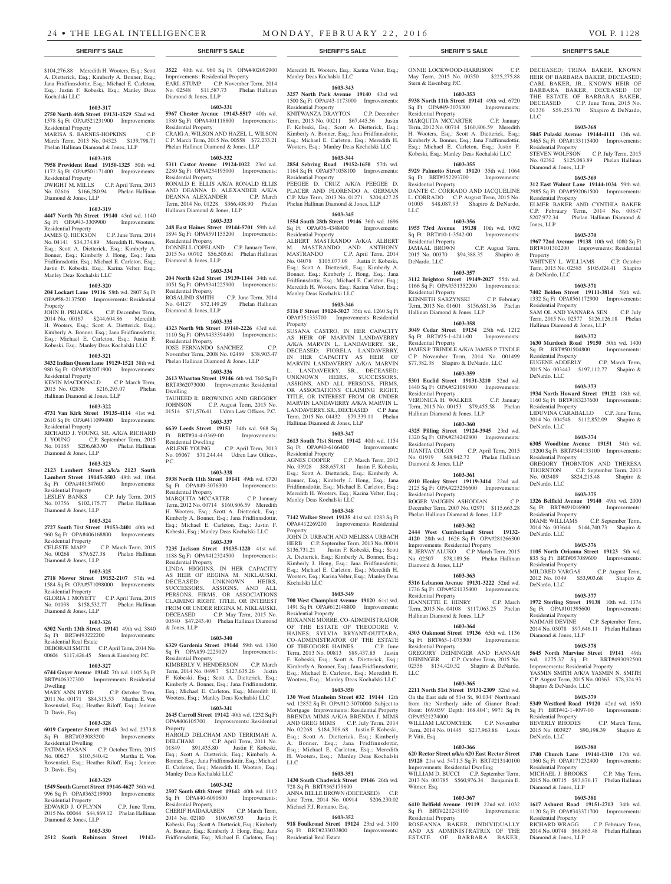\$104,276.88 Meredith H. Wooters, Esq.; Scott A. Dietterick, Esq.; Kimberly A. Bonner, Esq.; Jana Fridfinnsdottir, Esq.; Michael E. Carleton, Esq.; Justin F. Kobeski, Esq.; Manley Deas Kochalski LLC

### **1603-317**

**2750 North 46th Street 19131-1529** 52nd wd. 1578 Sq Ft OPA#521231900 Improvements: Residential Property MARISA S. BARNES-HOPKINS C.P.

March Term, 2013 No. 04323 \$139,798.71 Phelan Hallinan Diamond & Jones, LLP

#### **1603-318**

**7958 Provident Road 19150-1325** 50th wd. 1172 Sq Ft OPA#501171400 Improvements: Residential Property DWIGHT M. MILLS C.P. April Term, 2013 No. 02616 \$166,280.94 Phelan Hallinan Diamond & Jones, LLP

### **1603-319**

**4447 North 7th Street 19140** 43rd wd. 1140 Sq Ft OPA#43-3309900 Improvements: Residential Property

JAMES Q. HICKSON C.P. June Term, 2014 No. 04141 \$34,374.89 Meredith H. Wooters, Esq.; Scott A. Dietterick, Esq.; Kimberly A. Bonner, Esq.; Kimberly J. Hong, Esq.; Jana Fridfinnsdottir, Esq.; Michael E. Carleton, Esq.; Justin F. Kobeski, Esq.; Karina Velter, Esq.; Manley Deas Kochalski LLC

#### **1603-320**

**204 Lockart Lane 19116** 58th wd. 2807 Sq Ft OPA#58-2137500 Improvements: Residential

Property<br>JOHN B. PRIADKA C.P. December Term, 2014 No. 00167 \$244,604.86 Meredith H. Wooters, Esq.; Scott A. Dietterick, Esq.; Kimberly A. Bonner, Esq.; Jana Fridfinnsdottir, Esq.; Michael E. Carleton, Esq.; Justin F. Kobeski, Esq.; Manley Deas Kochalski LLC

#### **1603-321**

**3432 Indian Queen Lane 19129-1521** 38th wd. 980 Sq Ft OPA#382071900 Improvements: Residential Property KEVIN MACDONALD C.P. March Term, 2015 No. 02836 \$216,295.07 Phelan Hallinan Diamond & Jones, LLP

#### **1603-322**

**4731 Van Kirk Street 19135-4114** 41st wd. 2610 Sq Ft OPA#411099400 Improvements: Residential Property RICHARD J. YOUNG, SR. A/K/A RICHARD

#### J. YOUNG C.P. September Term, 2015 No. 01185 \$206,683.90 Phelan Hallinan

Diamond & Jones, LLP **1603-323 2123 Lambert Street a/k/a 2123 South Lambert Street 19145-3503** 48th wd. 1064 P.C.

Sq Ft OPA#481347600 Residential Property LESLEY BANKS C.P. July Term, 2015 No. 03756 \$102,175.77 Phelan Hallinan Diamond & Jones, LLP

#### **1603-324**

**2727 South 71st Street 19153-2401** 40th wd. 960 Sq Ft OPA#406168800 Improvements: Residential Property<br>CELESTE MAPP C.P. March Term, 2015 No. 00268 \$79,627.38 Phelan Hallinan

Diamond & Jones, LLP **1603-325**

**2718 Mower Street 19152-2107** 57th wd. 1584 Sq Ft OPA#571098000 Improvements: Residential Property GLORIA I. MOYETT C.P. April Term, 2015 No. 01038 \$158,532.77 Phelan Hallinan Diamond & Jones, LLP

# **1603-326**

**6302 North 13th Street 19141** 49th wd. 3840 Sq Ft BRT#493222200 Residential Real Estate DEBORAH SMITH C.P. April Term, 2014 No.

# 00604 \$117,426.45 Stern & Eisenberg P.C. **1603-327**

**6744 Guyer Avenue 19142** 7th wd. 1105 Sq Ft BRT#406327300 Improvements: Residential Dwelling

MARY ANN BYRD C.P. October Term, 2011 No. 00171 \$84,313.53 Martha E. Von Rosenstiel, Esq.; Heather Riloff, Esq.; Jeniece D. Davis, Esq.

#### **1603-328**

**6019 Carpenter Street 19143** 3rd wd. 2373.8 Sq Ft BRT#033083200 Improvements: Residential Dwelling FATIMA HASAN C.P. October Term, 2015

No. 00627 \$103,540.42 Martha E. Von Rosenstiel, Esq.; Heather Riloff, Esq.; Jeniece D. Davis, Esq.

# **1603-329**

**1549 South Garnet Street 19146-4627** 36th wd. 996 Sq Ft OPA#363219900 Improvements: Residential Property EDWARD J. O'FLYNN C.P. June Term,

2015 No. 00044 \$44,869.12 Phelan Hallinan Diamond & Jones, LLP **1603-330**

**2512 South Robinson Street 19142-**

**3522** 40th wd. 960 Sq Ft OPA#402092900 Improvements: Residential Property EARL STUMP C.P. November Term, 2014 No. 02548 \$11,587.73 Phelan Hallinan Diamond & Jones, LLP

# **1603-331**

**5967 Chester Avenue 19143-5517** 40th wd. 1380 Sq Ft OPA#401118800 Improvements: Residential Property CRAIG A. WILSON AND HAZEL L. WILSON C.P. March Term, 2015 No. 00558 \$72,233.21 Phelan Hallinan Diamond & Jones, LLP

# **1603-332**

**5311 Castor Avenue 19124-1022** 23rd wd. 2280 Sq Ft OPA#234195000 Improvements: Residential Property RONALD E. ELLIS A/K/A RONALD ELLIS AND DEANNA D. ALEXANDER A/K/A DEANNA ALEXANDER C.P. March Term, 2014 No. 01228 \$366,408.90 Phelan Hallinan Diamond & Jones, LLP

#### **1603-333**

**248 East Haines Street 19144-5701** 59th wd. 1894 Sq Ft OPA#591155200 Improvements: Residential Property DONNELL COPELAND C.P. January Term, 2015 No. 00702 \$56,505.61 Phelan Hallinan Diamond & Jones, LLP

# **1603-334**

**204 North 62nd Street 19139-1144** 34th wd. 1051 Sq Ft OPA#341225900 Improvements: Residential Property ROSALIND SMITH C.P. June Term, 2014 No. 04127 \$72,149.29 Phelan Hallinan Diamond & Jones, LLP

#### **1603-335**

**4323 North 9th Street 19140-2226** 43rd wd. 1110 Sq Ft OPA#433394400 Improvements: Residential Property JOSE FERNANDO SANCHEZ C.P. November Term, 2008 No. 02489 \$38,903.47 Phelan Hallinan Diamond & Jones, LLP

### **1603-336**

**2613 Wharton Street 19146** 6th wd. 760 Sq Ft BRT#362073000 Improvements: Residential Dwelling TAUHEED R. BROWNING AND GREGORY

JOHNSON C.P. August Term, 2015 No. 01514 \$71,576.41 Udren Law Offices, P.C. **1603-337**

**6639 Leeds Street 19151** 34th wd. 968 Sq Ft BRT#34-4-0369-00 Improvements: Residential Dwelling ARLENE YOUNG C.P. April Term, 2013 No. 05067 \$71,244.44 Udren Law Offices,

# **1603-338**

**5938 North 11th Street 19141** 49th wd. 6720 Sq Ft OPA#49-3076300 Improvements: Residential Property

MARQUITA MCCARTER C.P. January Term, 2012 No. 00714 \$160,806.59 Meredith H. Wooters, Esq.; Scott A. Dietterick, Esq.; Kimberly A. Bonner, Esq.; Jana Fridfinnsdottir, Esq.; Michael E. Carleton, Esq.; Justin F. Kobeski, Esq.; Manley Deas Kochalski LLC

### **1603-339**

**7235 Jackson Street 19135-1220** 41st wd. 1188 Sq Ft OPA#412324500 Improvements: Residential Property

LINDA HIGGINS, IN HER CAPACITY AS HEIR OF REGINA M. NIKLAUSKI, DECEASED; UNKNOWN HEIRS, SUCCESSORS, ASSIGNS, AND ALL PERSONS, FIRMS, OR ASSOCIATIONS CLAIMING RIGHT, TITLE, OR INTEREST FROM OR UNDER REGINA M. NIKLAUSKI, DECEASED C.P. May Term, 2015 No. 00540 \$47,243.40 Phelan Hallinan Diamond & Jones, LLP

#### **1603-340**

**6329 Gardenia Street 19144** 59th wd. 1360 Sq Ft OPA#59-2229029 Improvements: Residential Property

KIMBERLY V. HENDERSON C.P. March Term, 2014 No. 04987 \$127,635.26 Justin F. Kobeski, Esq.; Scott A. Dietterick, Esq.; Kimberly A. Bonner, Esq.; Jana Fridfinnsdottir, Esq.; Michael E. Carleton, Esq.; Meredith H. Wooters, Esq.; Manley Deas Kochalski LLC

#### **1603-341**

**2645 Carroll Street 19142** 40th wd. 1232 Sq Ft OPA#406105700 Improvements: Residential Property

DELCHAM AND TERRIMAH A. DELCHAM C.P. April Term, 2011 No. 01849 \$91,435.80 Justin F. Kobeski, Esq.; Scott A. Dietterick, Esq.; Kimberly A. Bonner, Esq.; Jana Fridfinnsdottir, Esq.; Michael E. Carleton, Esq.; Meredith H. Wooters, Esq.; Manley Deas Kochalski LLC

#### **1603-342**

**2507 South 68th Street 19142** 40th wd. 1112 Sq Ft OPA#40-6090800 Residential Property

CHERIF HAIDARABEN C.P. March Term, 2014 No. 02180 \$106,967.93 Justin F. Kobeski, Esq.; Scott A. Dietterick, Esq.; Kimberly A. Bonner, Esq.; Kimberly J. Hong, Esq.; Jana Fridfinnsdottir, Esq.; Michael E. Carleton, Esq.; Meredith H. Wooters, Esq.; Karina Velter, Esq.; Manley Deas Kochalski LLC

**1603-343 3257 North Park Avenue 19140** 43rd wd.

1500 Sq Ft OPA#43-1173000 Improvements: Residential Property KNITWANZA DRAYTON C.P. December Term, 2013 No. 00211 \$67,445.36 Justin F. Kobeski, Esq.; Scott A. Dietterick, Esq.; Kimberly A. Bonner, Esq.; Jana Fridfinnsdottir, Esq.; Michael E. Carleton, Esq.; Meredith H. Wooters, Esq.; Manley Deas Kochalski LLC

# **1603-344**

**2854 Sebring Road 19152-1650** 57th wd. 1164 Sq Ft OPA#571058100 Improvements: Residential Property PEEGEE D. CRUZ A/K/A PEEGEE D. PLACER AND FLORENDO A. GERMAN C.P. May Term, 2013 No. 01271 \$204,427.25 Phelan Hallinan Diamond & Jones, LLP

#### **1603-345**

**1554 South 28th Street 19146** 36th wd. 1696 Sq Ft OPA#36-4348400 Improvements: Residential Property

ALBERT MASTRANDO A/K/A ALBERT M. MASTRANDO AND ANTHONY MASTRANDO C.P. April Term, 2014 No. 04078 \$105,077.09 Justin F. Kobeski, Esq.; Scott A. Dietterick, Esq.; Kimberly A. Bonner, Esq.; Kimberly J. Hong, Esq.; Jana Fridfinnsdottir, Esq.; Michael E. Carleton, Esq.; Meredith H. Wooters, Esq.; Karina Velter, Esq.; Manley Deas Kochalski LLC

#### **1603-346**

**5116 F Street 19124-3027** 35th wd. 1260 Sq Ft OPA#351333700 Improvements: Residential Property

SUSANA CASTRO, IN HER CAPACITY AS HEIR OF MARVIN LANDAVERRY A/K/A MARVIN L. LANDAVERRY, SR., DECEASED; FIORELA LANDAVERRY, IN HER CAPACITY AS HEIR OF MARVIN LANDAVERRY A/K/A MARVIN L. LANDAVERRY, SR., DECEASED; UNKNOWN HEIRS, SUCCESSORS, ASSIGNS, AND ALL PERSONS, FIRMS, OR ASSOCIATIONS CLAIMING RIGHT, TITLE, OR INTEREST FROM OR UNDER MARVIN LANDAVERRY A/K/A MARVIN L. LANDAVERRY, SR., DECEASED C.P. June Term, 2015 No. 04432 \$79,339.11 Phelan Hallinan Diamond & Jones, LLP

#### **1603-347**

**2613 South 71st Street 19142** 40th wd. 1154<br>Sq Ft OPA#40-6166400 Improvements: Sq Ft OPA#40-6166400 Improvements: Residential Property AGNES COOPER C.P. March Term, 2012 No. 03928 \$88,657.81 Justin F. Kobeski, Esq.; Scott A. Dietterick, Esq.; Kimberly A. Bonner, Esq.; Kimberly J. Hong, Esq.; Jana Fridfinnsdottir, Esq.; Michael E. Carleton, Esq.; Meredith H. Wooters, Esq.; Karina Velter, Esq.; Manley Deas Kochalski LLC

#### **1603-348**

**7142 Walker Street 19135** 41st wd. 1283 Sq Ft OPA#412269200 Improvements: Residential Property

JOHN D. URBACH AND MELISSA URBACH HERB C.P. September Term, 2013 No. 00014<br>\$136,731.21 Justin F. Kobeski, Esq.; Scott Justin F. Kobeski, Esq.; Scott A. Dietterick, Esq.; Kimberly A. Bonner, Esq.; Kimberly J. Hong, Esq.; Jana Fridfinnsdottir, Esq.; Michael E. Carleton, Esq.; Meredith H. Wooters, Esq.; Karina Velter, Esq.; Manley Deas Kochalski LLC

#### **1603-349**

**700 West Champlost Avenue 19120** 61st wd. 1491 Sq Ft OPA#612148800 Improvements: Residential Property

ROXANNE MORRE, CO-ADMINISTRATOR OF THE ESTATE OF THEODORE V. HAINES; SYLVIA BRYANT-OUTTARA, CO-ADMINISTRATOR OF THE ESTATE OF THEODORE HAINES C.P. June<br>Term, 2013 No. 00813 \$89,437.85 Justin Term, 2013 No. 00813 \$89,437.85 F. Kobeski, Esq.; Scott A. Dietterick, Esq.; Kimberly A. Bonner, Esq.; Jana Fridfinnsdottir, Esq.; Michael E. Carleton, Esq.; Meredith H. Wooters, Esq.; Manley Deas Kochalski LLC

#### **1603-350**

**130 West Manheim Street #32 19144** 12th wd. 12852 Sq Ft OPA#12-3070000 Subject to Mortgage Improvements: Residential Property BRENDA MIMS A/K/A BRENDA J. MIMS AND GREG MIMS C.P. July Term, 2014 No. 02268 \$184,708.68 Justin F. Kobeski, Esq.; Scott A. Dietterick, Esq.; Kimberly A. Bonner, Esq.; Jana Fridfinnsdottir, Esq.; Michael E. Carleton, Esq.; Meredith H. Wooters, Esq.; Manley Deas Kochalski LLC

#### **1603-351 1430 South Chadwick Street 19146** 26th wd.

728 Sq Ft BRT#365179800 ANNA BELLE BROWN (DECEASED) June Term, 2014 No. 00914 \$206,230.02 Michael F.J. Romano, Esq.

#### **1603-352**

**918 Foulkroad Street 19124** 23rd wd. 3100 Sq Ft BRT#233033800 Improvements: Residential Real Estate

#### **SHERIFF'S SALE SHERIFF'S SALE SHERIFF'S SALE SHERIFF'S SALE SHERIFF'S SALE**

ONNIE LOCKWOOD-HARRISON C.P. May Term, 2015 No. 00350 \$225,275.88 Stern & Eisenberg P.C.

DECEASED: TRINA BAKER, KNOWN HEIR OF BARBARA BAKER, DECEASED; CARL BAKER, JR., KNOWN HEIR OF BARBARA BAKER, DECEASED OF THE ESTATE OF BARBARA BAKER, DECEASED C.P. June Term, 2015 No. 01336 \$59,253.70 Shapiro & DeNardo,

**1603-368 5045 Pulaski Avenue 19144-4111** 13th wd. 3465 Sq Ft OPA#133115400 Improvements:

STEVEN WOLFSON C.P. July Term, 2015 No. 02382 \$125,083.89 Phelan Hallinan

ELMER BAKER AND CYNTHIA BAKER C.P. February Term, 2014 No. 00847 \$207,972.34 Phelan Hallinan Diamond &

**1603-370 1967 72nd Avenue 19138** 10th wd. 1080 Sq Ft BRT#101302200 Improvements: Residential

WHITNEY L. WILLIAMS C.P. October Term, 2015 No. 02585 \$105,024.41 Shapiro

**1603-371 7402 Belden Street 19111-3814** 56th wd. 1332 Sq Ft OPA#561172900 Improvements:

SAM OL AND YANNARA SEN C.P. July Term, 2015 No. 02577 \$126,126.18 Phelan

**1603-372 1630 Murdoch Road 19150** 50th wd. 1400 Sq Ft BRT#501504800 Improvements:

EUGENE ADDERLY C.P. March Term, 2015 No. 003443 \$197,112.77 Shapiro &

**1603-373 1934 North Howard Street 19122** 18th wd. 1160 Sq Ft BRT#183237600 Improvements:

LIDUVINA CARABALLO C.P. June Term, 2014 No. 004548 \$112,852.09 Shapiro &

**1603-374 6305 Woodbine Avenue 19151** 34th wd. 13200 Sq Ft BRT#344133100 Improvements:

GREGORY THORNTON AND THERESA THORNTON C.P. September Term, 2013 No. 003489 \$824,215.48 Shapiro &

**1603-375 1326 Belfield Avenue 19140** 49th wd. 2000

DIANE WILLIAMS C.P. September Term, 2014 No. 003644 \$144,740.73 Shapiro &

**1603-376 1105 North Orianna Street 19123** 5th wd. 835 Sq Ft BRT#057089600 Improvements:

2012 No. 0349 \$53,903.68 Shapiro &

**1603-377 1972 Sterling Street 19138** 10th wd. 1374<br>
Sq Ft OPA#101395600 Improvements:

NAIMAH DEVINE C.P. September Term, 2014 No. 03078 \$97,646.11 Phelan Hallinan

**1603-378 5645 North Marvine Street 19141** 49th wd. 1275.37 Sq Ft BRT#493092500 Improvements: Residential Property YASMIN SMITH A/K/A YASMIN N. SMITH C.P. August Term, 2015 No. 00363 \$78,324.93

**1603-379 5349 Westford Road 19120** 42nd wd. 1650 Sq Ft BRT#42-1-4097-00 Improvements:

BEVERLY RHODES C.P. March Term, 2015 No. 003927 \$90,198.39 Shapiro &

**1603-380 1740 Church Lane 19141-1310** 17th wd. 1360 Sq Ft OPA#171232400 Improvements:

MICHAEL J. BROOKS C.P. May Term, 2015 No. 00715 \$93,876.17 Phelan Hallinan

**1603-381 1617 Ashurst Road 19151-2713** 34th wd. 1120 Sq Ft OPA#343371700 Improvements:

2014 No. 00748 \$66,865.48 Phelan Hallinan

C.P. February Term,

C.P. August Term,

**1603-369 312 East Walnut Lane 19144-1034** 59th wd. 2985 Sq Ft OPA#592061500 Improvements:

LLC

Residential Property

Residential Property

Jones, LLP

Property

& DeNardo, LLC

Residential Property

Residential Property

DeNardo, LLC

Residential Property

Residential Property

Sq Ft BRT#491016900 Residential Property

DeNardo, LLC

DeNardo, LLC

DeNardo, LLC

Residential Property<br>MILDRED VARGAS

Sq Ft OPA#101395600 Residential Property

Diamond & Jones, LLP

Shapiro & DeNardo, LLC

Residential Property

Residential Property

Diamond & Jones, LLP

Residential Property<br>RICHARD WRAGG

Diamond & Jones, LLP

DeNardo, LLC

DeNardo, LLC

Hallinan Diamond & Jones, LLP

Diamond & Jones, LLP

#### **1603-353**

**5938 North 11th Street 19141** 49th wd. 6720 Sq Ft OPA#49-3076300 Improvements: Residential Property MARQUITA MCCARTER C.P. January Term, 2012 No. 00714 \$160,806.59 Meredith H. Wooters, Esq.; Scott A. Dietterick, Esq.; Kimberly A. Bonner, Esq.; Jana Fridfinnsdottir, Esq.; Michael E. Carleton, Esq.; Justin F. Kobeski, Esq.; Manley Deas Kochalski LLC

# **1603-355**

**5929 Palmetto Street 19120** 35th wd. 1064 Sq Ft BRT#352293700 Improvements: Residential Property DANTE C. CORRADO AND JACQUELINE L. CORRADO C.P. August Term, 2015 No. 01005 \$48,087.93 Shapiro & DeNardo, LLC

**1603-356 1955 73rd Avenue 19138** 10th wd. 1092 Sq Ft BRT#10-1-3542-00 Improvements:

2015 No. 00370 \$94,388.35 Shapiro &

**1603-357 3112 Brighton Street 19149-2027** 55th wd. 1166 Sq Ft OPA#551352200 Improvements:

KENNETH SARZYNSKI C.P. February Term, 2013 No. 01601 \$156,681.36 Phelan

**1603-358 3049 Cedar Street 19134** 25th wd. 1212 Sq Ft BRT#25-1-4241-00 Improvements:

JAMES P. TRINDLE A/K/A JAMES P. TINDLE C.P. November Term, 2014 No. 001499 \$77,382.38 Shapiro & DeNardo, LLC **1603-359 5301 Euclid Street 19131-3210** 52nd wd. 1440 Sq Ft OPA#521081900 Improvements:

VERONICA H. WALKER C.P. January Term, 2015 No. 00153 \$79,455.58 Phelan

**1603-360 4325 Pilling Street 19124-3945** 23rd wd. 1320 Sq Ft OPA#234242800 Improvements:

JUANITA COLON C.P. April Term, 2015 No. 01919 \$68,942.72 Phelan Hallinan

**1603-361 6910 Henley Street 19119-3414** 22nd wd. 2125 Sq Ft OPA#223256600 Improvements:

ROGER VAUGHN ASHODIAN C.P. December Term, 2007 No. 02971 \$115,663.28 Phelan Hallinan Diamond & Jones, LLP **1603-362 2444 West Cumberland Street 19132- 4120** 28th wd. 1626 Sq Ft OPA#281266300 Improvements: Residential Property R. JERVAY ALUKO C.P. March Term, 2015 No. 02507 \$78,189.56 Phelan Hallinan

**1603-363 5316 Lebanon Avenue 19131-3222** 52nd wd. 1736 Sq Ft OPA#521135400 Improvements:

JEANNETTE E. HENRY C.P. March Term, 2015 No. 04108 \$117,063.25 Phelan

**1603-364 4303 Oakmont Street 19136** 65th wd. 1136 Sq Ft BRT#65-1-075300 Improvements:

GREGORY DEININGER AND HANNAH DEININGER C.P. October Term, 2015 No. 02556 \$134,420.52 Shapiro & DeNardo,

**1603-365 2211 North 51st Street 19131-2309** 52nd wd. On the East side of 51st St, 80.034' Northward from the Northerly side of Gianor Road; Front: 169.059' Depth: 168.404'; 9971 Sq Ft

WILLIAM LACOMCHEK C.P. November Term, 2014 No. 01445 \$217,963.86 Louis

**1603-366 620 Rector Street a/k/a 620 East Rector Street 19128** 21st wd. 5471.5 Sq Ft BRT#213140100 Improvements: Residential Dwelling WILLIAM D. BUCCI C.P. September Term, 2013 No. 003785 \$560,976.34 Benjamin E.

**1603-367 6410 Belfield Avenue 19119** 22nd wd. 1032 Sq Ft BRT#221243100 Improvements:

ROSEANNA BAKER, INDIVIDUALLY AND AS ADMINISTRATRIX OF THE ESTATE OF BARBARA BAKER,

C.P. August Term,

Residential Property

Residential Property

Residential Property

Residential Property

Residential Property

Residential Property

Diamond & Jones, LLP

Residential Property

Residential Property

OPA#521274000

P. Vitti, Esq.

Witmer, Esq.

Residential Property

LLC

Hallinan Diamond & Jones, LLP

Diamond & Jones, LLP

Hallinan Diamond & Jones, LLP

Hallinan Diamond & Jones, LLP

DeNardo, LLC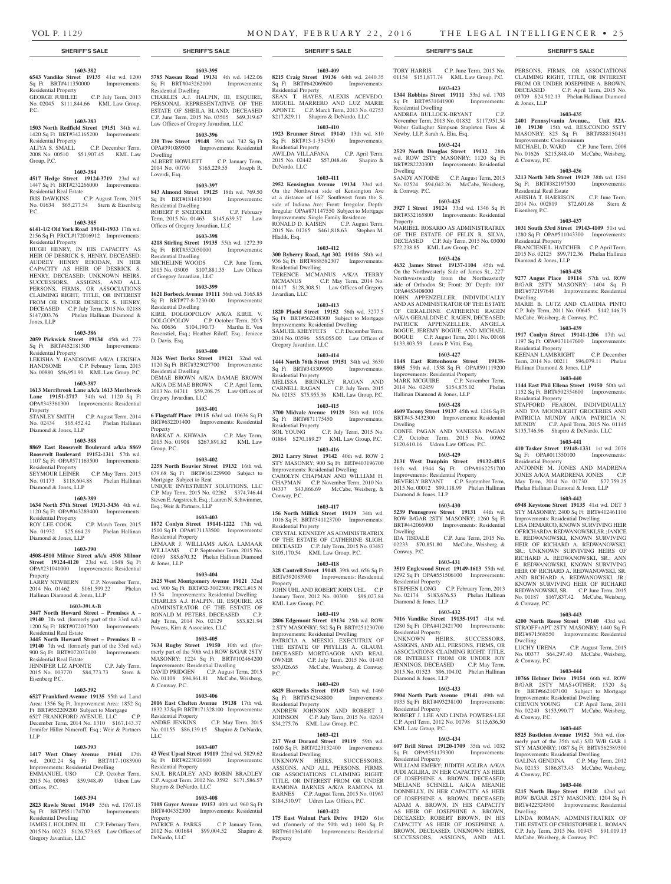TORY HARRIS C.P. June Term, 2015 No. 01154 \$151,877.74 KML Law Group, P.C. **1603-423**

PERSONS, FIRMS, OR ASSOCIATIONS CLAIMING RIGHT, TITLE, OR INTEREST FROM OR UNDER JOSEPHINE A. BROWN, DECEASED C.P. April Term, 2015 No. 03709 \$24,512.13 Phelan Hallinan Diamond

**1603-435 2401 Pennsylvania Avenue., Unit #2A-10 19130** 15th wd. RES.CONDO 5STY MASONRY; 825 Sq Ft BRT#888150431

MICHAEL D. WARD C.P. June Term, 2008 No. 01626 \$215,848.40 McCabe, Weisberg,

**1603-436 3213 North 34th Street 19129** 38th wd. 1280 Sq Ft BRT#382197500 Improvements:

AHISHA T. HARRISON C.P. June Term, 2014 No. 002819 \$72,601.68 Stern &

**1603-437 1031 South 53rd Street 19143-4109** 51st wd. 1280 Sq Ft OPA#511043300 Improvements:

FRANCIENE L. HATCHER C.P. April Term, 2015 No. 02125 \$99,712.36 Phelan Hallinan

**1603-438 9277 Angus Place 19114** 57th wd. ROW B/GAR 2STY MASONRY; 1404 Sq Ft BRT#572197646 Improvements: Residential

MARIE B. LUTZ AND CLAUDIA PINTO C.P. July Term, 2011 No. 00645 \$142,146.79 McCabe, Weisberg, & Conway, P.C. **1603-439 1917 Conlyn Street 19141-1206** 17th wd. 1197 Sq Ft OPA#171147600 Improvements:

KEENAN LAMBRIGHT C.P. December Term, 2014 No. 00211 \$96,079.11 Phelan

**1603-440 1144 East Phil Ellena Street 19150** 50th wd. 1152 Sq Ft BRT#502354600 Improvements:

STAFFORD FEARON, INDIVIDUALLY AND T/A MOONLIGHT GROCERIES AND PATRICIA MUNDY A/K/A PATRICIA N. MUNDY C.P. April Term, 2015 No. 01145 \$135,746.96 Shapiro & DeNardo, LLC **1603-441 410 Tasker Street 19148-1331** 1st wd. 2076 Sq Ft OPA#011350100 Improvements:

ANTONNE M. JONES AND MADRENA JONES A/K/A MARDRENA JONES C.P.<br>May Term, 2014 No. 01730 \$77,759.25 May Term, 2014 No. 01730 Phelan Hallinan Diamond & Jones, LLP **1603-442 6948 Keystone Street 19135** 41st wd. DET 3 STY MASONRY; 2400 Sq Ft BRT#412461100 Improvements: Residential Dwelling LISA DEMARCO, KNOWN SURVIVING HEIR OF RICHARD A. REDWANOWSKI, SR.; JANICE E. REDWANOWSKI, KNOWN SURVIVING HEIR OF RICHARD A. REDWANOWSKI, SR.; UNKNOWN SURVIVING HEIRS OF RICHARD A. REDWANOWSKI, SR.; ANN E. REDWANOWSKI, KNOWN SURVIVING HEIR OF RICHARD A. REDWANOWSKI, SR. AND RICHARD A. REDWANOWSKI, JR.; KNOWN SURVIVING HEIR OF RICHARD REDWANOWSKI, SR. C.P. June Term, 2015 No. 01187 \$167,837.42 McCabe, Weisberg,

**1603-443 4200 North Reese Street 19140** 43rd wd. STR/OFF+APT 2STY MASONRY; 1440 Sq Ft BRT#871568550 Improvements: Residential

LUCHY URENA C.P. August Term, 2015 No. 00377 \$64,297.40 McCabe, Weisberg,

**1603-444 10766 Helmer Drive 19154** 66th wd. ROW B/GAR 2STY MAS+OTHER; 1520 Sq Ft BRT#662107100 Subject to Mortgage Improvements: Residential Dwelling CHEVON YOUNG C.P. April Term, 2011 No. 02240 \$153,990.77 McCabe, Weisberg,

**1603-445 8525 Bustleton Avenue 19152** 56th wd. (formerly part of the 35th wd.) S/D W/B GAR 1 STY MASONRY; 1087 Sq Ft BRT#562389300 Improvements: Residential Dwelling GALINA GENDINA C.P. May Term, 2012 No. 02153 \$186,873.43 McCabe, Weisberg,

**1603-446 5215 North Hope Street 19120** 42nd wd. ROW B/GAR 2STY MASONRY; 1204 Sq Ft BRT#422324500 Improvements: Residential

LINDA ROMAN, ADMINISTRATRIX OF THE ESTATE OF CHRISTOPHER L. ROMAN C.P. July Term, 2015 No. 01945 \$91,019.13 McCabe, Weisberg, & Conway, P.C.

& Jones, LLP

& Conway, P.C.

Eisenberg P.C.

Residential Property

Diamond & Jones, LLP

Residential Property

Residential Property

Residential Property

& Conway, P.C.

Dwelling

& Conway, P.C.

& Conway, P.C.

& Conway, P.C.

Dwelling

Hallinan Diamond & Jones, LLP

Dwelling

Residential Real Estate

Improvements: Condominium

November Term, 2013 No. 01832 \$117,951.54 Weber Gallagher Simpson Stapleton Fires &

**1603-424 2529 North Douglas Street 19132** 28th wd. ROW 2STY MASONRY; 1120 Sq Ft BRT#282220300 Improvements: Residential

SANDY ANTOINE C.P. August Term, 2015 No. 02524 \$94,042.26 McCabe, Weisberg,

**1603-425 3927 I Street 19124** 33rd wd. 1346 Sq Ft BRT#332165800 Improvements: Residential

MARIBEL ROSARIO AS ADMINISTRATRIX OF THE ESTATE OF FELIX R. SILVA, DECEASED C.P. July Term, 2015 No. 03000 \$72,238.85 KML Law Group, P.C. **1603-426 4632 James Street 19137-1104** 45th wd. On the Northwesterly Side of James St., 227' Northwestwardly from the Northeasterly side of Orthodox St; Front: 20' Depth: 100'

JOHN APPENZELLER, INDIVIDUALLY AND AS ADMINISTRATOR OF THE ESTATE OF GERALDINE CATHERINE RAGEN A/K/A GERALDINE C. RAGEN, DECEASED; PATRICK APPENZELLER, ANGELA BOGUE, JEREMY BOGUE, AND MICHAEL BOGUE C.P. August Term, 2011 No. 00168 \$133,803.59 Louis P. Vitti, Esq.

**1603-427 1148 East Rittenhouse Street 19138- 1805** 59th wd. 1538 Sq Ft OPA#591119200 Improvements: Residential Property

MARK MCGUIRE C.P. November Term, 2014 No. 02459 \$154,875.02 Phelan

**1603-428 4609 Tacony Street 19137** 45th wd. 1246 Sq Ft BRT#45-3432300 Improvements: Residential

CONFE PAGAN AND VANESSA PAGAN C.P. October Term, 2015 No. 00962 \$120,610.16 Udren Law Offices, P.C. **1603-429 2131 West Dauphin Street 19132-4815**  16th wd. 1944 Sq Ft OPA#162251700 Improvements: Residential Property BEVERLY BRYANT C.P. September Term, 2015 No. 00012 \$99,118.99 Phelan Hallinan

**1603-430 5239 Pennsgrove Street 19131** 44th wd. ROW B/GAR 2STY MASONRY; 1260 Sq Ft BRT#442066900 Improvements: Residential

IDA TISDALE C.P. June Term, 2015 No. 02233 \$70,851.80 McCabe, Weisberg, &

**1603-431 3519 Englewood Street 19149-1613** 55th wd. 1292 Sq Ft OPA#551506100 Improvements:

STEPHEN LONG C.P. February Term, 2013 No. 02174 \$183,676.53 Phelan Hallinan

**1603-432 7016 Vandike Street 19135-1917** 41st wd. 1280 Sq Ft OPA#412421700 Improvements:

UNKNOWN HEIRS, SUCCESSORS, ASSIGNS, AND ALL PERSONS, FIRMS, OR ASSOCIATIONS CLAIMING RIGHT, TITLE OR INTEREST FROM OR UNDER JOY JENNINGS, DECEASED C.P. May Term, 2015 No. 01523 \$96,104.02 Phelan Hallinan

**1603-433 5904 North Park Avenue 19141** 49th wd. 1935 Sq Ft BRT#493238100 Improvements:

ROBERT J. LEE AND LINDA POWERS-LEE C.P. April Term, 2012 No. 01798 \$115,636.50

**1603-434 607 Brill Street 19120-1709** 35th wd. 1032 Sq Ft OPA#351179300 Improvements:

WILLIAM EMERY: HIDITH AGLIRA A/K/A JUDI AGLIRA, IN HER CAPACITY AS HEIR OF JOSEPHINE A. BROWN, DECEASED; MELIANE SCHNELL A/K/A MEANIE DONNELLY, IN HER CAPACITY AS HEIR OF JOSEPHINE A. BROWN, DECEASED; ADAM A. BROWN, IN HIS CAPACITY AS HEIR OF JOSEPHINE A. BROWN, DECEASED; ROBERT BROWN, IN HIS CAPACITY AS HEIR OF JOSEPHINE A. BROWN, DECEASED; UNKNOWN HEIRS, SUCCESSORS, ASSIGNS, AND ALL

Hallinan Diamond & Jones, LLP

Dwelling

Dwelling

Conway, P.C.

Residential Property

Diamond & Jones, LLP

Residential Property

Diamond & Jones, LLP

Residential Property

Residential Property

KML Law Group, P.C.

Diamond & Jones, LLP

Newby, LLP, Sarah A. Elia, Esq.

Dwelling

Property

& Conway, P.C.

OPA#453408000

#### **SHERIFF'S SALE SHERIFF'S SALE SHERIFF'S SALE SHERIFF'S SALE SHERIFF'S SALE**

#### **1603-382 6543 Vandike Street 19135** 41st wd. 1200

Sq Ft BRT#411350000 Improvements: Residential Property GEORGE JUBILEE C.P. July Term, 2013

No. 02045 \$111,844.66 KML Law Group, P.C.

#### **1603-383**

**1503 North Redfield Street 19151** 34th wd. 1420 Sq Ft BRT#342165200 Improvements: Residential Property<br>ALIYA S. SMALL C.P. December Term,

# 2008 No. 00510 \$51,907.45 KML Law Group, P.C.

### **1603-384**

**4517 Hedge Street 19124-3719** 23rd wd. 1447 Sq Ft BRT#232266000 Improvements:

Residential Real Estate IRIS DAWKINS C.P. August Term, 2015 No. 01634 \$65,277.54 Stern & Eisenberg P.C.

#### **1603-385**

**6141-1/2 Old York Road 19141-1933** 17th wd. 2156 Sq Ft PRCL#172016912 Improvements:

Residential Property HUGH HENRY, IN HIS CAPACITY AS HEIR OF DESRICK S. HENRY, DECEASED; AUDREY HENRY RHODAN, IN HER CAPACITY AS HEIR OF DESRICK S. HENRY, DECEASED; UNKNOWN HEIRS, SUCCESSORS, ASSIGNS, AND ALL PERSONS, FIRMS, OR ASSOCIATIONS CLAIMING RIGHT, TITLE, OR INTEREST FROM OR UNDER DESRICK S. HENRY, DECEASED C.P. July Term, 2015 No. 02188 \$147,003.76 Phelan Hallinan Diamond & Jones, LLP

### **1603-386**

**2059 Pickwick Street 19134** 45th wd. 773 Sq Ft BRT#452181300 Improvements: Residential Property

LEKISHA Y. HANDSOME A/K/A LEKISHA HANDSOME C.P. February Term, 2015

# No. 00880 \$56,951.90 KML Law Group, P.C.

**1603-387 1613 Merribrook Lane a/k/a 1613 Meribrook Lane 19151-2717** 34th wd. 1120 Sq Ft OPA#343361300 Improvements: Residential Property

STANLEY SMITH C.P. August Term, 2014 No. 02434 \$65,452.42 Phelan Hallinan Diamond & Jones, LLP

# **1603-388**

**8869 East Roosevelt Boulevard a/k/a 8869 Roosevelt Boulevard 19152-1311** 57th wd. 1107 Sq Ft OPA#571163500 Improvements:

Residential Property SEYMOUR LEINER C.P. May Term, 2015 No. 01173 \$118,604.88 Phelan Hallinan Diamond & Jones, LLP

#### **1603-389**

**1634 North 57th Street 19131-3436** 4th wd. 1120 Sq Ft OPA#043289400 Improvements: Residential Property ROY LEE COOK C.P. March Term, 2015

No. 01932 \$25,664.29 Phelan Hallinan Diamond & Jones, LLP

# **1603-390**

**4508-4510 Milnor Street a/k/a 4508 Milnor Street 19124-4120** 23rd wd. 1548 Sq Ft OPA#231041000 Improvements: Residential Property

LARRY NEWBERN C.P. November Term, 2014 No. 01462 \$161,599.22 Phelan Hallinan Diamond & Jones, LLP

## **1603-391A-B**

**3447 North Howard Street – Premises A – 19140** 7th wd. (formerly part of the 33rd wd.) 1200 Sq Ft BRT#072037500 Improvements:

# Residential Real Estate

**3445 North Howard Street – Premises B – 19140** 7th wd. (formerly part of the 33rd wd.) 900 Sq Ft BRT#072037400 Improvements:

#### Residential Real Estate JENNIFER LIZ APONTE C.P. July Term, 2015 No. 003770 \$84,773.73 Stern &

Eisenberg P.C.

# **1603-392**

**6527 Frankford Avenue 19135** 55th wd. Land Area: 1356 Sq Ft, Improvement Area: 1852 Sq Ft BRT#552209200 Subject to Mortgage<br>6527 FRANKFORD AVENUE, LLC C.P. 6527 FRANKFORD AVENUE, LLC December Term, 2014 No. 1310 \$167,143.37

Jennifer Hiller Nimeroff, Esq.; Weir & Partners LLP **1603-393**

**1417 West Olney Avenue 19141** 17th wd. 2002.24 Sq Ft WQ. 2002.24 Sq. Pt. BATHTP-1002200<br>Improvements: Residential Dwelling<br>EMMANUEL USO C.P. October Term, EMMANUEL USO 2015 No. 00963 \$59,948.49 Udren Law Offices, P.C.

# **1603-394**

**2823 Rawle Street 19149 55th wd. 1767.18**<br>Sq Ft BRT#551174700 **Improvements:** Sq Ft BRT#551174700 Residential Dwelling JAMES J. HOLDEN, III C.P. February Term,

2015 No. 00223 \$126,573.65 Law Offices of Gregory Javardian, LLC

# **1603-395**

**5785 Nassau Road 19131** 4th wd. 1422.06 Sq Ft BRT#043262100 Improvements: Residential Dwelling CHARLES A.J. HALPIN, III, ESQUIRE, PERSONAL REPRESENTATIVE OF THE ESTATE OF SHEILA BLAND, DECEASED C.P. June Term, 2015 No. 03505 \$69,319.67 Law Offices of Gregory Javardian, LLC

#### **1603-396**

**230 Tree Street 19148** 39th wd. 742 Sq Ft OPA#391089500 Improvements: Residential Dwelling ALBERT HOWLETT C.P. January Term, 2014 No. 00790 \$165,229.55 Joseph R. Loverdi, Esq.

#### **1603-397**

**843 Almond Street 19125** 18th wd. 769.50 Sq Ft BRT#181415800 Improvements: Residential Dwelling ROBERT P. SNEDEKER C.P. February Term, 2015 No. 01463 \$145,639.37 Law

# Offices of Gregory Javardian, LLC

**1603-398 4218 Stirling Street 19135** 55th wd. 1272.39 Sq Ft BRT#552050000 Residential Dwelling<br>MICHELINE WOODS MICHELINE WOODS C.P. June Term, 2015 No. 03005 \$107,881.35 Law Offices of Gregory Javardian, LLC

**1603-399 1621 Borbeck Avenue 19111** 56th wd. 3165.85 Sq Ft BRT#77-8-7230-00 Improvements: Residential Dwelling KIRIL DOLGOPOLOV A/K/A KIRIL V. DOLGOPOLOV C.P. October Term, 2015 No. 00636 \$104,190.73 Martha E. Von Rosenstiel, Esq.; Heather Riloff, Esq.; Jeniece D. Davis, Esq.

#### **1603-400**

**3126 West Berks Street 19121** 32nd wd. 1120 Sq Ft BRT#323027700 Improvements: Residential Dwelling DEMAE BROWN A/K/A DAMAE BROWN A/K/A DE MAE BROWN C.P. April Term, 2013 No. 04711 \$59,208.75 Law Offices of Gregory Javardian, LLC

#### **1603-401**

**6 Flagstaff Place 19115** 63rd wd. 10636 Sq Ft BRT#632201400 Improvements: Residential Property BARKAT A. KHWAJA C.P. May Term, 2015 No. 01908 \$267,891.82 KML Law Group, P.C.

#### **1603-402**

**2258 North Bouvier Street 19132** 16th wd. 679.68 Sq Ft BRT#161229900 Subject to Mortgage Subject to Rent UNIQUE INVESTMENT SOLUTIONS, LLC C.P. May Term, 2015 No. 02262 \$374,746.44 Steven E. Angstreich, Esq.; Lauren N. Schwimmer, Esq.; Weir & Partners, LLP

#### **1603-403**

**1872 Conlyn Street 19141-1222** 17th wd. 1510 Sq Ft OPA#171133500 Improvements: Residential Property LEMAAR J. WILLIAMS A/K/A LAMAAR WILLIAMS C.P. September Term, 2015 No. 02069 \$85,670.32 Phelan Hallinan Diamond & Jones, LLP

**1603-404**

**2825 West Montgomery Avenue 19121** 32nd wd. 900 Sq Ft BRT#32-3002300; PRCL#15 N<br>13-54 Improvements: Residential Dwelling 13-54 Improvements: Residential Dwelling CHARLES A.J. HALPIN, III, ESQUIRE, AS ADMINISTRATOR OF THE ESTATE OF RONALD M. PETERS, DECEASED C.P. July Term, 2014 No. 02129 \$53,821.94 Powers, Kirn & Associates, LLC

#### **1603-405**

**7634 Rugby Street 19150** 10th wd. (formerly part of the 50th wd.) ROW B/GAR 2STY MASONRY; 1224 Sq Ft BRT#102464200 Improvements: Residential Dwelling DAVID PRIDGEN C.P. August Term, 2015 No. 01108 \$94,861.81 McCabe, Weisberg, & Conway, P.C.

#### **1603-406**

**2016 East Chelten Avenue 19138** 17th wd. 1832.37 Sq Ft BRT#171328100 Improvements: Residential Property ANDRE JENKINS C.P. May Term, 2015 No. 01155 \$86,139.15 Shapiro & DeNardo, LLC

#### **1603-407**

**43 West Upsal Street 19119** 22nd wd. 5829.62 Sq Ft BRT#223020600 Improvements: Residential Property SAUL BRADLEY AND ROBIN BRADLEY C.P. August Term, 2012 No. 3592 \$171,586.57 Shapiro & DeNardo, LLC

# **1603-408**

**7108 Guyer Avenue 19153** 40th wd. 960 Sq Ft BRT#404352300 Improvements: Residential Property PATRICE A. PARKS C.P. January Term, 2012 No. 001684 \$99,004.52 Shapiro & DeNardo, LLC

**1603-409 8215 Craig Street 19136** 64th wd. 2440.35 Sq Ft BRT#642069600 Improvements: Residential Property

SEAN T. HAYES, ALEXIS ACEVEDO, MIGUEL MARRERO AND LUZ MARIE APONTE C.P. March Term, 2013 No. 02753 \$217,829.11 Shapiro & DeNardo, LLC **1344 Robbins Street 19111** 53rd wd. 1703 Sq Ft BRT#531041900 Improvements: Residential Dwelling ANDREA BULLOCK-BRYANT

# **1603-410**

**1923 Brunner Street 19140** 13th wd. 810 Sq Ft BRT#13-1-334500 Improvements: Residential Property AWILDA VILLAFANA C.P. April Term,

2015 No. 02442 \$57,048.46 Shapiro & DeNardo, LLC **1603-411**

**2952 Kensington Avenue 19134** 33rd wd. On the Northwest side of Kensington Ave at a distance of 162' Southwest from the S. side of Indiana Ave; Front: Irregular, Depth: Irregular OPA#871147550 Subject to Mortgage Improvements: Single Family Residence RONALD D. KAISEN C.P. August Term, 2015 No. 01265 \$461,818.63 Stephen M. Hladik, Esq.

# **1603-412**

**300 Byberry Road, Apt 302 19116** 58th wd. 936 Sq Ft BRT#888582307 Improvements: Residential Dwelling TERENCE MCMANUS A/K/A TERRY MCMANUS C.P. May Term, 2014 No. 01417 \$128,308.51 Law Offices of Gregory Javardian, LLC

## **1603-413**

**1820 Placid Street 19152** 56th wd. 3277.5 Sq Ft BRT#562248300 Subject to Mortgage Improvements: Residential Dwelling SAMUEL KHEYFETS C.P. December Term, 2014 No. 03596 \$55,055.00 Law Offices of Gregory Javardian, LLC

#### **1603-414**

**1444 North 76th Street 19151** 34th wd. 3630<br>Sq Ft BRT#343309900 Improvements: Sq Ft BRT#343309900 Residential Property MELISSA BRINKLEY RAGAN AND CARNELL RAGAN C.P. July Term, 2015 No. 02135 \$75,955.36 KML Law Group, P.C.

# **1603-415**

**3700 Midvale Avenue 19129** 38th wd. 1026 Sq Ft BRT#871175450 Improvements: Residential Property SOL YOUNG C.P. July Term, 2015 No. 01864 \$270,189.27 KML Law Group, P.C.

**1603-416**

**2012 Larry Street 19142** 40th wd. ROW 2 STY MASONRY; 900 Sq Ft BRT#403196700 Improvements: Residential Dwelling CAROLYN CHAPMAN AND WILLIAM H. CHAPMAN C.P. November Term, 2010 No. 04337 \$43,866.69 McCabe, Weisberg, & Conway, P.C.

#### **1603-417**

**156 North Millick Street 19139** 34th wd. 1016 Sq Ft BRT#341123700 Improvements: Residential Property CRYSTAL KENNEDY AS ADMINISTRATRIX OF THE ESTATE OF CATHERINE SLIGH,

DECEASED C.P. July Term, 2015 No. 03487 \$105,170.54 KML Law Group, P.C. **1603-418**

**328 Cantrell Street 19148** 39th wd. 656 Sq Ft BRT#392083900 Improvements: Residential Property

JOHN UHL AND ROBERT JOHN UHL C.P. January Term, 2012 No. 00300 \$98,027.84 KML Law Group, P.C.

#### **1603-419**

**2806 Edgemont Street 19134** 25th wd. ROW 2 STY MASONRY; 582 Sq Ft BRT#251230700 Improvements: Residential Dwelling PATRICIA A. MEESIG, EXECUTRIX OF THE ESTATE OF PHYLLIS A. GLAUM, DECEASED MORTGAGOR AND REAL OWNER C.P. July Term, 2015 No. 01403 \$53,026.65 McCabe, Weisberg, & Conway, P.C.

#### **1603-420**

**6829 Horrocks Street 19149** 54th wd. 1460 Sq Ft BRT#542348800 Improvements: Residential Property

#### ANDREW JOHNSON AND ROBERT J. JOHNSON C.P. July Term, 2015 No. 02634 \$34,275.76 KML Law Group, P.C. **1603-421**

**217 West Durand Street 19119** 59th wd. 1600 Sq Ft BRT#223132400 Improvements:

UNKNOWN HEIRS, SUCCESSORS, ASSIGNS, AND ALL PERSONS, FIRMS, OR ASSOCIATIONS CLAIMING RIGHT, TITLE, OR INTEREST FROM OR UNDER RAMONA BARNES A/K/A RAMONA M. BARNES C.P. August Term, 2015 No. 01967 \$184,510.97 Udren Law Offices, P.C. **1603-422 175 East Walnut Park Drive 19120** 61st wd. (formerly of the 50th wd.) 1600 Sq Ft BRT#611361400 Improvements: Residential

Residential Dwelling

Property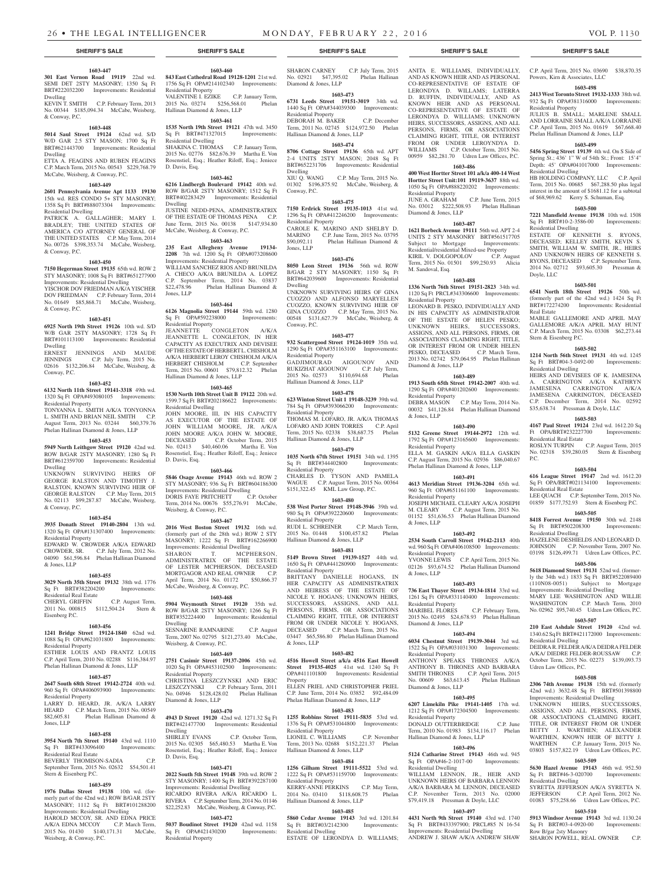# **1603-447**

**301 East Vernon Road 19119** 22nd wd. SEMI DET 2STY MASONRY; 1350 Sq Ft BRT#222032200 Improvements: Residential Dwelling KEVIN T. SMITH C.P. February Term, 2013

No. 00344 \$185,094.34 McCabe, Weisberg, & Conway, P.C. **1603-448**

#### **5014 Saul Street 19124** 62nd wd. S/D W/D GAR 2.5 STY MASON; 1700 Sq Ft BRT#621443700 Improvements: Residential Dwelling

ETTA A. FEAGINS AND RUBEN FEAGINS C.P. March Term, 2015 No. 00543 \$229,768.79 McCabe, Weisberg, & Conway, P.C.

#### **1603-449**

**2601 Pennsylvania Avenue Apt 1133 19130**  15th wd. RES CONDO 5+ STY MASONRY; 1358 Sq Ft BRT#888073304 Improvements: Residential Dwelling

PATRICK A. GALLAGHER; MARY I. BRADLEY; THE UNITED STATES OF AMERICA C/O ATTORNEY GENERAL OF THE UNITED STATES C.P. May Term, 2014 No. 00726 \$398,353.74 McCabe, Weisberg, & Conway, P.C.

#### **1603-450**

**7150 Hegerman Street 19135** 65th wd. ROW 2 STY MASONRY; 1008 Sq Ft BRT#651277900 Improvements: Residential Dwelling YISCHOR DOV FRIEDMAN A/K/A YISCHER DOV FRIEDMAN C.P. February Term, 2014 No. 01649 \$85,868.71 McCabe, Weisberg,

#### **1603-451**

& Conway, P.C.

**6925 North 19th Street 19126** 10th wd. S/D W/B GAR 2STY MASONRY; 1728 Sq Ft BRT#101113100 Improvements: Residential Dwelling<br>ERNEST

JENNINGS AND MAUDE JENNINGS C.P. July Term, 2015 No. 02616 \$132,206.84 McCabe, Weisberg, & Conway, P.C.

#### **1603-452**

**6132 North 11th Street 19141-3318** 49th wd. 1320 Sq Ft OPA#493080105 Improvements: Residential Property TONYANNA L. SMITH A/K/A TONYONNA L. SMITH AND BRIAN NEIL SMITH C.P. August Term, 2013 No. 03244 \$60,379.76 Phelan Hallinan Diamond & Jones, LLP

#### **1603-453**

**5949 North Leithgow Street 19120** 42nd wd. ROW B/GAR 2STY MASONRY; 1280 Sq Ft BRT#612359700 Improvements: Residential Dwelling

UNKNOWN SURVIVING HEIRS OF GEORGE RALSTON AND TIMOTHY J. RALSTON, KNOWN SURVIVING HEIR OF GEORGE RALSTON C.P. May Term, 2015 No. 02113 \$99,287.87 McCabe, Weisberg, & Conway, P.C.

# **1603-454**

**3935 Donath Street 19140-2804** 13th wd. 1320 Sq Ft OPA#131307400 Improvements: Residential Property

#### EDWARD W. CROWDER A/K/A EDWARD CROWDER, SR. C.P. July Term, 2012 No. 04090 \$61,596.84 Phelan Hallinan Diamond & Jones, LLP

#### **1603-455**

**3029 North 35th Street 19132** 38th wd. 1776 Sq Ft BRT#382204200 Residential Real Estate

CHERYL GRIFFIN C.P. August Term, 2011 No. 000815 \$112,504.24 Stern & Eisenberg P.C.

#### **1603-456 1241 Bridge Street 19124-1840** 62nd wd.

1088 Sq Ft OPA#621031800 Improvements: Residential Property ESTHER LOUIS AND FRANTZ LOUIS

C.P. April Term, 2010 No. 02288 \$116,384.97 Phelan Hallinan Diamond & Jones, LLP

# **1603-457**

**2647 South 68th Street 19142-2724** 40th wd. 960 Sq Ft OPA#406093900 Improvements: Residential Property LARRY D. HEARD, JR. A/K/A LARRY

HEARD C.P. March Term, 2015 No. 00549<br>\$82,605.81 Phelan Hallinan Diamond & Phelan Hallinan Diamond & Jones, LLP

#### **1603-458**

**3954 North 7th Street 19140** 43rd wd. 1110 Sq Ft BRT#433096400 Improvements:

Residential Real Estate BEVERLY THOMISON-SADIA C.P. September Term, 2015 No. 02632 \$54,501.41

# Stern & Eisenberg P.C. **1603-459**

**1976 Dallas Street 19138** 10th wd. (formerly part of the 42nd wd.) ROW B/GAR 2STY MASONRY; 1112 Sq Ft BRT#101288200

Improvements: Residential Dwelling HAROLD MCCOY, SR. AND EDNA PRICE A/K/A EDNA MCCOY C.P. March Term, 2015 No. 01430 \$140,171.31 McCabe, Weisberg, & Conway, P.C.

**1603-460 843 East Cathedral Road 19128-1201** 21st wd. 1756 Sq Ft OPA#214102340 Improvements: Residential Property VALENTINE I. EZIKE C.P. January Term, 2015 No. 03274 \$256,568.01 Phelan Hallinan Diamond & Jones, LLP

# **1603-461**

**1535 North 19th Street 19121** 47th wd. 3450 Sq Ft BRT#471327015 Improvements: Residential Dwelling SHAKINA C. THOMAS C.P. January Term,

2015 No. 02776 \$82,676.39 Martha E. Von Rosenstiel, Esq.; Heather Riloff, Esq.; Jeniece D. Davis, Esq. **1603-462**

**6216 Lindbergh Boulevard 19142** 40th wd. ROW B/GAR 2STY MASONRY; 1512 Sq Ft BRT#402283429 Improvements: Residential Dwelling **TUSTINE NEDD-PENA, ADMINISTRATRIX** 

OF THE ESTATE OF THOMAS PENA C.P. June Term, 2015 No. 00138 \$147,934.80 McCabe, Weisberg, & Conway, P.C.

# **1603-463**

**235 East Allegheny Avenue 19134- 2208** 7th wd. 1200 Sq Ft OPA#073208600 Improvements: Residential Property WILLIAM SANCHEZ RIOS AND BRUNILDA

A. CHECO A/K/A BRUNILDA A. LOPEZ C.P. September Term, 2014 No. 03837<br>\$22,478.96 Phelan Hallinan Diamond & Phelan Hallinan Diamond & Jones, LLP

# **1603-464**

**6126 Magnolia Street 19144** 59th wd. 1280 Sq Ft OPA#592238000 Improvements: Residential Property JEANNETTE CONGLETON A/K/A JEANNETTE L. CONGLETON, IN HER CAPACITY AS EXECUTRIX AND DEVISEE OF THE ESTATE OF HERBERT L. CHISHOLM A/K/A HERBERT LEROY CHISHOLM A/K/A HERBERT CHISHOLM C.P. September Term, 2015 No. 00601 \$79,812.32 Phelan Hallinan Diamond & Jones, LLP

#### **1603-465**

**1530 North 10th Street Unit B 19122** 20th wd. 1599.7 Sq Ft BRT#202186622 Improvements: Residential Dwelling JOHN MOORE, III, IN HIS CAPACITY AS EXECUTOR OF THE ESTATE OF JOHN WILLIAM MOORE, JR. A/K/A JOHN MOORE A/K/A JOHN W. MOORE, DECEASED C.P. October Term, 2015 No. 02413 \$40,460.06 Martha E. Von Rosenstiel, Esq.; Heather Riloff, Esq.; Jeniece D. Davis, Esq.

#### **1603-466**

**5846 Osage Avenue 19143** 46th wd. ROW 2 STY MASONRY; 936 Sq Ft BRT#604186300 Improvements: Residential Dwelling<br>DORIS FAYE PRITCHETT C.P. October DORIS FAYE PRITCHETT C.P. October Term, 2014 No. 00676 \$55,276.91 McCabe, Weisberg, & Conway, P.C.

#### **1603-467**

**2016 West Boston Street 19132** 16th wd. (formerly part of the 28th wd.) ROW 2 STY MASONRY; 1222 Sq Ft BRT#162266900 Improvements: Residential Dwelling SHARON T. MCPHERSON, ADMINISTRATRIX OF THE ESTATE OF LESTER MCPHERSON, DECEASED

MORTGAGOR AND REAL OWNER C.P. April Term, 2014 No. 01172 \$50,866.37 McCabe, Weisberg, & Conway, P.C. **1603-468**

#### **5904 Weymouth Street 19120** 35th wd. ROW B/GAR 2STY MASONRY; 1266 Sq Ft BRT#352224400 Improvements: Residential Dwelling SESNARINE RAMNARINE C.P. August Term, 2007 No. 02795 \$121,273.40 McCabe, Weisberg, & Conway, P.C.

**1603-469**

# **2751 Casimir Street 19137-2006** 45th wd. 1020 Sq Ft OPA#453102500 Improvements:

Residential Property CHRISTINA LESZCZYNSKI AND ERIC LESZCZYNSKI C.P. February Term, 2011 No. 04946 \$128,428.02 Phelan Hallinan Diamond & Jones, LLP

#### **1603-470**

**4943 D Street 19120** 42nd wd. 1271.32 Sq Ft BRT#421477700 Improvements: Residential Dwelling

SHIRLEY EVANS C.P. October Term, 2015 No. 02305 \$65,480.53 Martha E. Von Rosenstiel, Esq.; Heather Riloff, Esq.; Jeniece D. Davis, Esq.

#### **1603-471**

**2022 South 5th Street 19148** 39th wd. ROW 2 STY MASONRY; 1400 Sq Ft BRT#392287100 Improvements: Residential Dwelling RICARDO RIVERA A/K/A RICARDO L. RIVERA C.P. September Term, 2014 No. 01146 \$22,252.83 McCabe, Weisberg, & Conway, P.C.

# **1603-472**

**5037 Boudinot Street 19120** 42nd wd. 1158 Sq Ft OPA#421430200 Improvements: Residential Property

SHARON CARNEY C.P. July Term, 2015 No. 02921 \$47,395.02 Phelan Hallinan Diamond & Jones, LLP

ANITA E. WILLIAMS, INDIVIDUALLY, AND AS KNOWN HEIR AND AS PERSONAL CO-REPRESENTATIVE OF ESTATE OF LERONDYA D. WILLAMS; LATERRA D. RUFFIN, INDIVIDUALLY, AND AS KNOWN HEIR AND AS PERSONAL CO-REPRESENTATIVE OF ESTATE OF LERONDYA D. WILLIAMS; UNKNOWN HEIRS, SUCCESSORS, ASSIGNS, AND ALL PERSONS, FIRMS, OR ASSOCIATIONS CLAIMING RIGHT, TITLE, OR INTEREST FROM OR UNDER LEROYNDYA D. WILLIAMS C.P. October Term, 2015 No. 00959 \$82,281.70 Udren Law Offices, P.C. **1603-486 400 West Hortter Street 101 a/k/a 400-14 West Hortter Street Unit:101 19119-3637** 88th wd. 1050 Sq Ft OPA#888220202 Improvements:

C.P. April Term, 2015 No. 03690 \$38,870.35

**1603-498 2413 West Toronto Street 19132-1333** 38th wd. 932 Sq Ft OPA#381316000 Improvements:

JULIUS B. SMALL; MARLENE SMALL AND LORRAINE SMALL A/K/A LORRAINE C.P. April Term, 2015 No. 01619 \$67,668.40 Phelan Hallinan Diamond & Jones, LLP **1603-499 5456 Spring Street 19139** 4th wd. On S Side of Spring St.; 436' 1" W of 54th St.; Front: 15'4" Depth: 45' OPA#041017000 Improvements:

HB HOLDING COMPANY, LLC C.P. April Term, 2015 No. 00685 \$67,288.50 plus legal interest in the amount of \$1681.12 for a subtotal of \$68,969.62 Kerry S. Schuman, Esq. **1603-500 7221 Mansfield Avenue 19138** 10th wd. 1508 Sq Ft BRT#10-2-3586-00 Improvements:

ESTATE OF KENNETH S. RYONS, DECEASED; KELLEY SMITH, KEVIN S. SMITH, WILLIAM W. SMITH, JR., HEIRS AND UNKNOWN HEIRS OF KENNETH S. RYONS, DECEASED C.P. September Term, 2014 No. 02712 \$93,605.30 Pressman &

**1603-501 6541 North 18th Street 19126** 50th wd. (formerly part of the 42nd wd.) 1424 Sq Ft BRT#172274200 Improvements: Residential

MABLE GALLEMORE AND APRIL MAY GALLEMORE A/K/A APRIL MAY HUNT C.P. March Term, 2015 No. 03308 \$62,273.44

**1603-502 1214 North 56th Street 19131** 4th wd. 1245 Sq Ft BRT#04-3-0492-00 Improvements:

HEIRS AND DEVISEES OF K. JAMESENA A. CARRINGTON A/K/A KATHRYN JAMESENA CARRINGTON A/K/A JAMESENA CARRINGTON, DECEASED C.P. December Term, 2014 No. 02592 \$35,638.74 Pressman & Doyle, LLC **1603-503 4167 Paul Street 19124** 23rd wd. 1612.20 Sq

ROSLYN TURPIN C.P. August Term, 2015 No. 02318 \$39,280.05 Stern & Eisenberg

**1603-504 616 League Street 19147** 2nd wd. 1612.20 Sq Ft OPA/BRT#021134100 Improvements:

LEE QUACH C.P. September Term, 2015 No. 01859 \$177,752.93 Stern & Eisenberg P.C. **1603-505 8418 Forrest Avenue 19150** 30th wd. 2148 Sq Ft BRT#502208300 Improvements:

HAZELENE DESHIELDS AND LEONARD D. JOHNSON C.P. November Term, 2007 No. 03198 \$126,499.71 Udren Law Offices, P.C. **1603-506 5618 Diamond Street 19131** 52nd wd. (formerly the 34th wd.) 1833 Sq Ft BRT#522089400 (110N08-0051) Subject to Mortgage Improvements: Residential Dwelling MARY LEE WASHINGTON AND WILLIE WASHINGTON C.P. March Term, 2010 No. 02962 \$95,740.45 Udren Law Offices, P.C. **1603-507 210 East Ashdale Street 19120** 42nd wd. 1340.62 Sq Ft BRT#421172000 Improvements:

DEIDRA R. FELDER A/K/A DEIDRA FELDER A/KA/ DIEDRE FELDER-ROUSSAW C.P. October Term, 2015 No. 02273 \$139,093.73

**1603-508 2306 74th Avenue 19138** 15th wd. (formerly 42nd wd.) 3632.48 Sq Ft BRT#501398800 Improvements: Residential Dwelling UNKNOWN HEIRS, SUCCESSORS, ASSIGNS, AND ALL PERSONS, FIRMS, OR ASSOCIATIONS CLAIMING RIGHT, TITLE, OR INTEREST FROM OR UNDER BETTY J. WARTHEN; ALEXANDER WARTHEN, KNOWN HEIR OF BETTY J. WARTHEN C.P. January Term, 2015 No. 03803 \$157,822.19 Udren Law Offices, P.C. **1603-509 5630 Hazel Avenue 19143** 46th wd. 952.50 Sq Ft BRT#46-3-020700 Improvements:

SYRETTA JEFFERSON A/K/A SYRETTA N. JEFFERSON C.P. April Term, 2012 No. 01083 \$75,258.66 Udren Law Offices, P.C. **1603-510 5913 Windsor Avenue 19143** 3rd wd. 1130.24 Sq Ft BRT#03-4-0920-00 Improvements:

Powers, Kirn & Associates, LLC

Residential Property

Residential Dwelling

Residential Dwelling

Doyle, LLC

Real Estate

Stern & Eisenberg P.C.

Residential Dwelling

Ft OPA/BRT#232227700 Residential Real Estate

Residential Real Estate

Residential Dwelling

Residential Dwelling

Udren Law Offices, P.C.

Residential Dwelling

Row B/gar 2sty Masonry

SHARON POWELL, REAL OWNER

 $P<sub>C</sub>$ 

JUNE A. GRAHAM C.P. June Term, 2015 No. 03012 \$222,508.93 Phelan Hallinan

**1603-487 1621 Borbeck Avenue 19111** 56th wd. APT 2-4 UNITS 2 STY MASONRY BRT#561517705<br>Subject to Mortgage Improvements:

Residential/residential Mixed-use Property KIRIL V. DOLGOPOLOV C.P. August Term, 2015 No. 01501 \$99,250.93 Alicia

**1603-488 1336 North 76th Street 19151-2823** 34th wd. 1120 Sq Ft PRCL#343306600 Improvements:

LEONARD B. PESKO, INDIVIDUALLY AND IN HIS CAPACITY AS ADMINISTRATOR OF THE ESTATE OF HELEN PESKO; UNKNOWN HEIRS, SUCCESSORS, ASSIGNS, AND ALL PERSONS, FIRMS, OR ASSOCIATIONS CLAIMING RIGHT, TITLE, OR INTEREST FROM OR UNDER HELEN PESKO, DECEASED C.P. March Term, 2013 No. 02742 \$79,064.95 Phelan Hallinan

**1603-489 1913 South 65th Street 19142-2007** 40th wd. 1290 Sq Ft OPA#401202600 Improvements:

DEBRA MASON C.P. May Term, 2014 No. 00032 \$41,126.84 Phelan Hallinan Diamond

**1603-490 5132 Greene Street 19144-2972** 12th wd. 1792 Sq Ft OPA#123165600 Improvements:

ELLA M. GASKIN A/K/A ELLA GASKIN C.P. August Term, 2015 No. 02936 \$86,040.67 Phelan Hallinan Diamond & Jones, LLP **1603-491 4613 Meridian Street 19136-3204** 65th wd. 960 Sq Ft OPA#651161100 Improvements:

JOSEPH MICHAEL CLEARY A/K/A JOSEPH M. CLEARY C.P. August Term, 2015 No. 01152 \$51,636.53 Phelan Hallinan Diamond

**1603-492 2534 South Carroll Street 19142-2113** 40th wd. 960 Sq Ft OPA#406108500 Improvements:

YVONNE LEWIS C.P. April Term, 2015 No. 02126 \$93,674.52 Phelan Hallinan Diamond

**1603-493 736 East Thayer Street 19134-1814** 33rd wd. 1261 Sq Ft OPA#331140400 Improvements:

MARIBEL FLORES C.P. February Term, 2015 No. 02495 \$24,678.93 Phelan Hallinan

**1603-494 6034 Chestnut Street 19139-3044** 3rd wd. 1522 Sq Ft OPA#031031300 Improvements:

ANTHONY SPEAKS THRONES A/K/A ANTHONY B. THRONES AND BARBARA SMITH THRONES C.P. April Term, 2015 No. 00609 \$63,613.45 Phelan Hallinan

**1603-495 6207 Limekiln Pike 19141-1405** 17th wd. 1212 Sq Ft OPA#172304500 Improvements:

DONALD OUTTERBRIDGE C.P. June Term, 2010 No. 01983 \$134,116.17 Phelan

**1603-496 5124 Catharine Street 19143** 46th wd. 945 Sq Ft OPA#46-2-1017-00 Improvements:

WILLIAM LENNON, JR., HEIR AND UNKNOWN HEIRS OF BARBARA LENNON A/K/A BARBARA M. LENNON, DECEASED C.P. November Term, 2013 No. 02000 \$79,419.18 Pressman & Doyle, LLC **1603-497 4431 North 9th Street 19140** 43rd wd. 1740 Sq Ft BRT#433397900; PRCL#85 N 16-54 Improvements: Residential Dwelling ANDREW J. SHAW A/K/A ANDREW SHAW

Residential Property

Diamond & Jones, LLP

Subject to Mortgage

M. Sandoval, Esq.

Residential Property

Diamond & Jones, LLP

Residential Property

Residential Property

Residential Property

Residential Property

Residential Property

Diamond & Jones, LLP

Residential Property

Diamond & Jones, LLP

Residential Property

Residential Dwelling

Hallinan Diamond & Jones, LLP

& Jones, LLP

& Jones, LLP

& Jones, LLP

#### **1603-473**

**6731 Leeds Street 19151-3019** 34th wd. 1440 Sq Ft OPA#344039300 Improvements: Residential Property DEBORAH M. BAKER C.P. December

Term, 2011 No. 02745 \$124,972.50 Phelan Hallinan Diamond & Jones, LLP **1603-474**

**8706 Cottage Street 19136** 65th wd. APT 2-4 UNITS 2STY MASON; 2048 Sq Ft BRT#652231706 Improvements: Residential

Dwelling<br>XIU Q. WANG C.P. May Term, 2015 No. 01302 \$196,875.92 McCabe, Weisberg, & Conway, P.C.

**1603-475 7150 Erdrick Street 19135-1013** 41st wd. 1296 Sq Ft OPA#412246200 Improvements: Residential Property CAROLE K. MARINO AND SHELBY D.<br>MARINO C.P. June Term 2015 No. 03795 MARINO C.P. June Term, 2015 No. 03795<br>\$90.092.11 Phelan Hallinan Diamond & Phelan Hallinan Diamond &

**1603-476 8050 Leon Street 19136** 56th wd. ROW B/GAR 2 STY MASONRY; 1150 Sq Ft BRT#642039600 Improvements: Residential Dwelling UNKNOWN SURVIVING HEIRS OF GINA

CUOZZO AND ALFONSO MARYELLEN CUOZZO, KNOWN SURVIVING HEIR OF GINA CUOZZO C.P. May Term, 2015 No. 00548 \$131,627.79 McCabe, Weisberg, & Conway, P.C.

### **1603-477**

**932 Scattergood Street 19124-1019** 35th wd. 1290 Sq Ft OPA#351163100 Improvements: Residential Property GADJIMOURAD AIGOUNOV AND

RUKIZHAT AIGOUNOV C.P. July Term, 2015 No. 02573 \$110,694.68 Phelan Hallinan Diamond & Jones, LLP **1603-478**

Jones, LLP

**623 Winton Street Unit 1 19148-3239** 39th wd. 784 Sq Ft OPA#393066200 Improvements: Residential Property THOMAS M. LOFARO, IR. A/K/A THOMAS LOFARO AND JOHN TORRES C.P. April Term, 2015 No. 02338 \$38,687.75 Phelan Hallinan Diamond & Jones, LLP

#### **1603-479**

**1035 North 67th Street 19151** 34th wd. 1395 Sq Ft BRT#344402800 Improvements: Residential Property CHARLES D. TYSON AND PAMELA WAGUE C.P. August Term, 2015 No. 00364 \$151,322.45 KML Law Group, P.C.

#### **1603-480**

**538 West Porter Street 19148-3946** 39th wd. 980 Sq Ft OPA#392220600 Improvements: Residential Property RUDI L. SCHREINER C.P. March Term, 2015 No. 01448 \$100,457.82 Phelan Hallinan Diamond & Jones, LLP

### **1603-481**

**5149 Brown Street 19139-1527** 44th wd. 1650 Sq Ft OPA#441280900 Improvements: Residential Property BRITTANY DANIELLE HOGANS, IN HER CAPACITY AS ADMINISTRATRIX AND HEIRESS OF THE ESTATE OF NICOLE Y. HOGANS; UNKNOWN HEIRS, SUCCESSORS, ASSIGNS, AND ALL PERSONS, FIRMS, OR ASSOCIATIONS CLAIMING RIGHT, TITLE, OR INTEREST FROM OR UNDER NICOLE Y. HOGANS, DECEASED C.P. March Term, 2015 No. 03447 \$65,586.80 Phelan Hallinan Diamond & Jones, LLP

# **1603-482**

**4516 Howell Street a/k/a 4516 East Howell Street 19135-4025** 41st wd. 1240 Sq Ft OPA#411101800 Improvements: Residential Property ELLEN FRIEL AND CHRISTOPHER FRIEL

C.P. June Term, 2014 No. 03852 \$92,484.09 Phelan Hallinan Diamond & Jones, LLP

# **1603-483**

**1255 Robbins Street 19111-5835** 53rd wd. 1376 Sq Ft OPA#531044800 Improvements: Residential Property LIONEL C. WILLIAMS C.P. November

Term, 2013 No. 02688 \$152,221.37 Phelan Hallinan Diamond & Jones, LLP

# **1603-484**

**1256 Gilham Street 19111-5522** 53rd wd. 1222 Sq Ft OPA#531159700 Improvements: Residential Property KERRY-ANNE PERKINS C.P. May Term, 2014 No. 03410 \$118,608.75 Phelan Hallinan Diamond & Jones, LLP

#### **1603-485**

**5860 Cedar Avenue 19143** 3rd wd. 1201.84 Sq Ft BRT#03/2142300 Improvements: Residential Dwelling ESTATE OF LERONDYA D. WILLIAMS;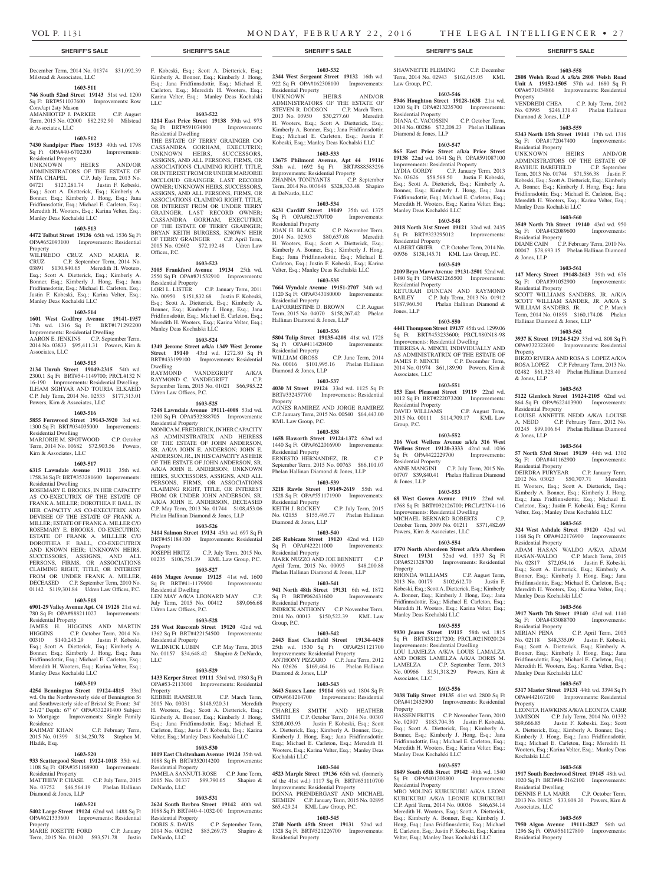#### December Term, 2014 No. 01374 \$31,092.39 F. Kobeski, Esq.; Scott A. Dietterick, Esq.; Milstead & Associates, LLC

# **1603-511**

**746 South 52nd Street 19143** 51st wd. 1200 Sq Ft BRT#511037600 Improvements: Row

Conv/apt 2sty Mason AMANHOTEP J. PARKER C.P. August Term, 2015 No. 02000 \$82,292.90 Milstead & Associates, LLC

# **1603-512**

**7430 Sandpiper Place 19153** 40th wd. 1798 Sq Ft OPA#40-6702200 Improvements: Residential Property

UNKNOWN HEIRS AND/OR ADMINISTRATORS OF THE ESTATE OF NITA CHAPEL C.P. July Term, 2013 No. 04721 \$127,281.74 Justin F. Kobeski, Esq.; Scott A. Dietterick, Esq.; Kimberly A. Bonner, Esq.; Kimberly J. Hong, Esq.; Jana Fridfinnsdottir, Esq.; Michael E. Carleton, Esq.; Meredith H. Wooters, Esq.; Karina Velter, Esq.; Manley Deas Kochalski LLC

# **1603-513**

**4472 Tolbut Street 19136** 65th wd. 1536 Sq Ft OPA#652093100 Improvements: Residential Property

WILFREDO CRUZ AND MARIA R. CRUZ C.P. September Term, 2014 No. 03891 \$130,840.65 Meredith H. Wooters, Esq.; Scott A. Dietterick, Esq.; Kimberly A. Bonner, Esq.; Kimberly J. Hong, Esq.; Jana Fridfinnsdottir, Esq.; Michael E. Carleton, Esq.; Justin F. Kobeski, Esq.; Karina Velter, Esq.; Manley Deas Kochalski LLC

#### **1603-514**

**1601 West Godfrey Avenue 19141-1957**  17th wd. 1316 Sq Ft BRT#171292200 Improvements: Residential Dwelling

AARON E. JENKINS C.P. September Term, 2014 No. 03833 \$95,411.31 Powers, Kirn & Associates, LLC

# **1603-515**

**2134 Unruh Street 19149-2315** 54th wd. 2300.1 Sq Ft BRT#54-1149700; PRCL#132 N 16-190 Improvements: Residential Dwelling ILHAM SGHYAR AND TOURIA ELKAEID C.P. July Term, 2014 No. 02533 \$177,313.01 Powers, Kirn & Associates, LLC

#### **1603-516**

**5855 Fernwood Street 19143-3920** 3rd wd. 1300 Sq Ft BRT#034035000 Improvements: Residential Dwelling MARJORIE M. SPOTWOOD C.P. October

Term, 2014 No. 00682 \$72,903.56 Powers, Kirn & Associates, LLC

# **1603-517**

**6315 Lawndale Avenue 19111** 35th wd. 1758.34 Sq Ft BRT#353281600 Improvements: Residential Dwelling

ROSEMARY E. BROOKS, IN HER CAPACITY AS CO-EXECUTRIX OF THE ESTATE OF FRANK A. MILLER; DOROTHEA F. BALL, IN HER CAPACITY AS CO-EXECUTRIX AND DEVISEE OF THE ESTATE OF FRANK A. MILLER; ESTATE OF FRANK A. MILLER C/O ROSEMARY E. BROOKS, CO-EXECUTRIX; ESTATE OF FRANK A. MILLLER C/O DOROTHEA F. BALL, CO-EXECUTRIX AND KNOWN HEIR; UNKNOWN HEIRS, SUCCESSORS, ASSIGNS, AND ALL PERSONS, FIRMS, OR ASSOCIATIONS CLAIMING RIGHT, TITLE, OR INTEREST FROM OR UNDER FRANK A. MILLER, DECEASED C.P. September Term, 2010 No. 01142 \$119,301.84 Udren Law Offices, P.C.

### **1603-518**

**6901-29 Valley Avenue Apt. C4 19128** 21st wd. 780 Sq Ft OPA#888211027 Improvements: Residential Property

JAMES H. HIGGINS AND MARTIN HIGGINS C.P. October Term, 2014 No. 00310 \$140,245.29 Justin F. Kobeski, Esq.; Scott A. Dietterick, Esq.; Kimberly A. Bonner, Esq.; Kimberly J. Hong, Esq.; Jana Fridfinnsdottir, Esq.; Michael E. Carleton, Esq.; Meredith H. Wooters, Esq.; Karina Velter, Esq.; Manley Deas Kochalski LLC

#### **1603-519**

**4254 Bennington Street 19124-4815** 33rd wd. On the Northwesterly side of Bennington St and Southwesterly side of Bristol St; Front: 34' 2-1/2" Depth: 67' 6" OPA#332291400 Subject to Mortgage Improvements: Single Family Residence<br>RAHMAT KHAN C.P. February Term,

01399 \$134,250.78 Stephen M. Hladik, Esq.

# **1603-520**

**933 Scattergood Street 19124-1018** 35th wd. 1108 Sq Ft OPA#351168900 Improvements: Residential Property

MATTHEW P. CHASE C.P. July Term, 2015 No. 03752 \$46,564.19 Phelan Hallinan Diamond & Jones, LLP

#### **1603-521**

**5402 Large Street 19124** 62nd wd. 1488 Sq Ft OPA#621333600 Improvements: Residential Property

MARIE JOSETTE FORD C.P. January Term, 2015 No. 01420 \$93,571.78 Justin Kimberly A. Bonner, Esq.; Kimberly J. Hong, Esq.; Jana Fridfinnsdottir, Esq.; Michael E. Carleton, Esq.; Meredith H. Wooters, Esq.; Karina Velter, Esq.; Manley Deas Kochalski LLC

#### **1603-522**

**1214 East Price Street 19138** 59th wd. 975<br>
Sq Ft BRT#591074800 Improvements: Sq Ft BRT#591074800 Residential Dwelling

THE ESTATE OF TERRY GRAINGER C/O CASSANDRA GORHAM, EXECUTRIX; UNKNOWN HEIRS, SUCCESSORS, ASSIGNS, AND ALL PERSONS, FIRMS, OR ASSOCIATIONS CLAIMING RIGHT, TITLE, OR INTEREST FROM OR UNDER MARJORIE MCCLOUD GRAINGER, LAST RECORD OWNER; UNKNOWN HEIRS, SUCCESSORS, ASSIGNS, AND ALL PERSONS, FIRMS, OR ASSOCIATIONS CLAIMING RIGHT, TITLE, OR INTEREST FROM OR UNDER TERRY GRAINGER, LAST RECORD OWNER; CASSANDRA GORHAM, EXECUTRIX OF THE ESTATE OF TERRY GRAINGER; BRYAN KEITH BURGESS, KNOWN HEIR OF TERRY GRAINGER C.P. April Term, 2015 No. 02602 \$72,192.48 Udren Law Offices, P.C.

# **1603-523**

**3105 Frankford Avenue 19134** 25th wd. 2550 Sq Ft OPA#871532910 Improvements: Residential Property

LORI L. LISTER C.P. January Term, 2011 No. 00950 \$151,832.68 Justin F. Kobeski, Esq.; Scott A. Dietterick, Esq.; Kimberly A. Bonner, Esq.; Kimberly J. Hong, Esq.; Jana Fridfinnsdottir, Esq.; Michael E. Carleton, Esq.; Meredith H. Wooters, Esq.; Karina Velter, Esq.; Manley Deas Kochalski LLC

#### **1603-524**

**1349 Jerome Street a/k/a 1349 West Jerome Street 19140** 43rd wd. 1272.80 Sq Ft BRT#433199100 Improvements: Residential Dwelling

VANDEGRIFT A/K/A RAYMOND C. VANDEGRIFT C.P. September Term, 2015 No. 01021 \$66,985.22 Udren Law Offices, P.C.

# **1603-525**

**7248 Lawndale Avenue 19111-4008** 53rd wd. 1200 Sq Ft OPA#532388705 Improvements: Residential Property MONICA M. FREDERICK, IN HER CAPACITY

AS ADMINISTRATRIX AND HEIRESS OF THE ESTATE OF JOHN ANDERSON, SR. A/K/A JOHN E. ANDERSON; JOHN E. ANDERSON, JR., IN HIS CAPACITY AS HEIR OF THE ESTATE OF JOHN ANDERSON, SR. A/K/A JOHN E. ANDERSON; UNKNOWN HEIRS, SUCCESSORS, ASSIGNS, AND ALL PERSONS, FIRMS, OR ASSOCIATIONS CLAIMING RIGHT, TITLE, OR INTEREST FROM OR UNDER JOHN ANDERSON, SR. A/K/A JOHN E. ANDERSON, DECEASED C.P. May Term, 2013 No. 01744 \$108,453.06 Phelan Hallinan Diamond & Jones, LLP

#### **1603-526**

**3414 Salmon Street 19134** 45th wd. 697 Sq Ft BRT#451184100 Improvements: Residential Property JOSEPH HRITZ C.P. July Term, 2015 No.

01235 \$106,751.39 KML Law Group, P.C. **1603-527 4616 Magee Avenue 19125** 41st wd. 1600

Sq Ft BRT#41-1179900 Improvements: Residential Dwelling LEN MAY A/K/A LEONARD MAY C.P.

July Term, 2015 No. 00412 \$89,066.68 Udren Law Offices, P.C.

# **1603-528**

**258 West Ruscomb Street 19120** 42nd wd. 1362 Sq Ft BRT#422154500 Improvements: Residential Property WILDNICK LUBIN C.P. May Term, 2015 No. 01157 \$34,648.42 Shapiro & DeNardo, LLC

#### **1603-529**

**1433 Kerper Street 19111** 53rd wd. 1980 Sq Ft OPA#53-2113000 Improvements: Residential Property

KEBBIE RAMSEUR C.P. March Term, 2015 No. 03031 \$148,920.31 Meredith H. Wooters, Esq.; Scott A. Dietterick, Esq.; Kimberly A. Bonner, Esq.; Kimberly J. Hong, Esq.; Jana Fridfinnsdottir, Esq.; Michael E. Carleton, Esq.; Justin F. Kobeski, Esq.; Karina Velter, Esq.; Manley Deas Kochalski LLC

#### **1603-530**

**1019 East Cheltenham Avenue 19124** 35th wd. 1088 Sq Ft BRT#352014200 Improvements: Residential Property PAMELA SANNUTI-ROSE C.P. June Term, 2015 No. 01337 \$99,790.65 Shapiro & DeNardo, LLC

# **1603-531**

**2624 South Berbro Street 19142** 40th wd. 1088 Sq Ft BRT#40-4-1032-00 Improvements: Residential Property<br>DORIS S. DAVIS

C.P. September Term, 2014 No. 002162 \$85,269.73 Shapiro & DeNardo, LLC

**1603-532 2344 West Sergeant Street 19132** 16th wd. 922 Sq Ft OPA#162308100 Improvements: Residential Property

UNKNOWN HEIRS AND/OR ADMINISTRATORS OF THE ESTATE OF STEVEN R. DODSON C.P. March Term, 2013 No. 03950 \$30,277.60 Meredith H. Wooters, Esq.; Scott A. Dietterick, Esq.; Kimberly A. Bonner, Esq.; Jana Fridfinnsdottir, Esq.; Michael E. Carleton, Esq.; Justin F. Kobeski, Esq.; Manley Deas Kochalski LLC

#### **1603-533**

**13675 Philmont Avenue, Apt 44 19116**  58th wd. 1692 Sq Ft BRT#888583296 Improvements: Residential Property ZHANNA TONIYANTS C.P. September Term, 2014 No. 003648 \$328,333.48 Shapiro & DeNardo, LLC

# **1603-534**

**6231 Cardiff Street 19149** 35th wd. 1375 Sq Ft OPA#621570700 Improvements: Sq Ft Universements<br>
Residential Property<br>
The ACK C.P. November Term,<br>
C.P. November Term,<br>
Meredith JOAN H. BLACK C.P. November Term, 2014 No. 02503 \$80,637.08 Meredith H. Wooters, Esq.; Scott A. Dietterick, Esq.; Kimberly A. Bonner, Esq.; Kimberly J. Hong, Esq.; Jana Fridfinnsdottir, Esq.; Michael E. Carleton, Esq.; Justin F. Kobeski, Esq.; Karina

# Velter, Esq.; Manley Deas Kochalski LLC

**1603-535 7664 Wyndale Avenue 19151-2707** 34th wd. 1120 Sq Ft OPA#343180000 Improvements: Residential Property LAFORRESTINE D. BROWN C.P. August Term, 2015 No. 04070 \$158,267.42 Phelan Hallinan Diamond & Jones, LLP

# **1603-536**

**5804 Tulip Street 19135-4208** 41st wd. 1728 Sq Ft OPA#411420400 Improvements: Residential Property WILLIAM GROSS C.P. June Term, 2014 No. 00016 \$101,995.16 Phelan Hallinan No. 00016 \$101,995.16 Phelan Hallinan<br>Diamond & Jones, LLP

#### **1603-537**

**4030 M Street 19124** 33rd wd. 1125 Sq Ft BRT#332457700 Improvements: Residential Property AGNES RAMIREZ AND JORGE RAMIREZ C.P. January Term, 2015 No. 00540 \$64,443.00 KML Law Group, P.C.

**1603-538 1658 Haworth Street 19124-1372** 62nd wd. 1440 Sq Ft OPA#622016900 Improvements: Residential Property ERNESTO HERNANDEZ, JR. C.P.

September Term, 2015 No. 00763 \$66,101.07 Phelan Hallinan Diamond & Jones, LLP

# **1603-539**

**3218 Rawle Street 19149-2619** 55th wd. 1528 Sq Ft OPA#551171900 Improvements: Residential Property KEITH J. ROCKEY C.P. July Term, 2015 No. 02155 \$155,495.77 Phelan Hallinan Diamond & Jones, LLP

#### **1603-540**

**245 Rubicam Street 19120** 42nd wd. 1120 Sq Ft OPA#422211000 Improvements: Residential Property MARK NUZZO AND JOE BENNETT C.P. April Term, 2015 No. 00095 \$48,200.88 Phelan Hallinan Diamond & Jones, LLP

#### **1603-541**

**941 North 48th Street 19131** 6th wd. 1872 Sq Ft BRT#062431600 Improvements: Residential Property

INDRICK ANTHONY C.P. November Term, 2014 No. 00013 \$150,522.39 KML Law Group, P.C.

#### **1603-542**

**2443 East Clearfield Street 19134-4438**  25th wd. 1530 Sq Ft OPA#251121700 Improvements: Residential Property ANTHONY PIZZARO C.P. June Term, 2012 No. 02626 \$169,464.16 Phelan Hallinan Diamond & Jones, LLP

#### **1603-543**

**3643 Sussex Lane 19114** 66th wd. 1804 Sq Ft OPA#661214700 Improvements: Residential Property<br>CHARLES

rispery<br>CHARLES SMITH AND HEATHER<br>SMITH C.P. October Term, 2014 No. 00307 C.P. October Term, 2014 No. 00307 \$208,003.93 Justin F. Kobeski, Esq.; Scott A. Dietterick, Esq.; Kimberly A. Bonner, Esq.; Kimberly J. Hong, Esq.; Jana Fridfinnsdottir, Esq.; Michael E. Carleton, Esq.; Meredith H. Wooters, Esq.; Karina Velter, Esq.; Manley Deas Kochalski LLC

#### **1603-544**

**4523 Marple Street 19136** 65th wd. (formerly of the 41st wd.) 1117 Sq Ft BRT#651110700 Improvements: Residential Property DONNA PRENDERGAST AND MICHAEL SIEMIEN C.P. January Term, 2015 No. 02895 \$65,429.24 KML Law Group, P.C.

# **1603-545**

**2740 North 45th Street 19131** 52nd wd. 2740 **NOTER SQUEET 17101** Send was Residential Property

SHAWNETTE FLEMING C.P. December Term, 2014 No. 02943 \$162,615.05 KML **2808 Welsh Road A a/k/a 2808 Welsh Road** 

**1603-558 Unit A 19152-1505** 57th wd. 1680 Sq Ft OPA#571034866 Improvements: Residential

VENDREDI CHEA C.P. July Term, 2012 No. 03995 \$246,131.47 Phelan Hallinan

**1603-559 5343 North 15th Street 19141** 17th wd. 1316 Sq Ft OPA#172047400 Improvements:

UNKNOWN HEIRS AND/OR ADMINISTRATORS OF THE ESTATE OF RAYHUE BAREFIELD C.P. September Term, 2013 No. 01744 \$71,586.38 Justin F. Kobeski, Esq.; Scott A. Dietterick, Esq.; Kimberly A. Bonner, Esq.; Kimberly J. Hong, Esq.; Jana Fridfinnsdottir, Esq.; Michael E. Carleton, Esq.; Meredith H. Wooters, Esq.; Karina Velter, Esq.;

**1603-560 3549 North 7th Street 19140** 43rd wd. 950 Sq Ft OPA#432089600 Improvements:

DIANE CAIN C.P. February Term, 2010 No. 00047 \$78,693.15 Phelan Hallinan Diamond

**1603-561 147 Mercy Street 19148-2613** 39th wd. 676 Sq Ft OPA#391052900 Improvements:

SCOTT WILLIAMS SANDERS, JR. A/K/A SCOTT WILLIAM SANDER, JR. A/K/A S WILLIAM SANDERS, JR. C.P. March Term, 2014 No. 01899 \$160,174.08 Phelan

**1603-562 3937 K Street 19124-5429** 33rd wd. 808 Sq Ft OPA#332322600 Improvements: Residential

BIRZO RIVERA AND ROSA S. LOPEZ A/K/A ROSA LOPEZ C.P. February Term, 2013 No. 02482 \$61,323.40 Phelan Hallinan Diamond

**1603-563 5122 Glenloch Street 19124-2105** 62nd wd. 864 Sq Ft OPA#622413900 Improvements:

LOUISE ANNETTE NEDD A/K/A LOUISE A. NEDD C.P. February Term, 2012 No. 03245 \$99,106.64 Phelan Hallinan Diamond

**1603-564 57 North 53rd Street 19139** 44th wd. 1302 Sq Ft OPA#441162900 Improvements:

DEIRDRA PURYEAR C.P. January Term, 2012 No. 03023 \$50,707.71 Meredith H. Wooters, Esq.; Scott A. Dietterick, Esq.; Kimberly A. Bonner, Esq.; Kimberly J. Hong, Esq.; Jana Fridfinnsdottir, Esq.; Michael E. Carleton, Esq.; Justin F. Kobeski, Esq.; Karina Velter, Esq.; Manley Deas Kochalski LLC **1603-565 324 West Ashdale Street 19120** 42nd wd. 1168 Sq Ft OPA#422176900 Improvements:

ADAM HASAN WALDO A/K/A ADAM HASAN-WALDO C.P. March Term, 2015 No. 02817 \$72,054.16 Justin F. Kobeski, Esq.; Scott A. Dietterick, Esq.; Kimberly A. Bonner, Esq.; Kimberly J. Hong, Esq.; Jana Fridfinnsdottir, Esq.; Michael E. Carleton, Esq.; Meredith H. Wooters, Esq.; Karina Velter, Esq.;

**1603-566 3917 North 7th Street 19140** 43rd wd. 1140 Sq Ft OPA#433088700 Improvements:

MIRIAN PENA C.P. April Term, 2015 No. 02118 \$48,335.09 Justin F. Kobeski, Esq.; Scott A. Dietterick, Esq.; Kimberly A. Bonner, Esq.; Kimberly J. Hong, Esq.; Jana Fridfinnsdottir, Esq.; Michael E. Carleton, Esq.; Meredith H. Wooters, Esq.; Karina Velter, Esq.;

**1603-567 5317 Master Street 19131** 44th wd. 3394 Sq Ft OPA#442167200 Improvements: Residential

LEONITA HAWKINS A/K/A LEONITA CARR JAMISON C.P. July Term, 2014 No. 01332<br>\$69,666,85 Instin F. Kobeski, Fsq.: Scott

A. Dietterick, Esq.; Kimberly A. Bonner, Esq.; Kimberly J. Hong, Esq.; Jana Fridfinnsdo Esq.; Michael E. Carleton, Esq.; Meredith H. Wooters, Esq.; Karina Velter, Esq.; Manley Deas

**1603-568 1917 South Beechwood Street 19145** 48th wd. 1020 Sq Ft BRT#48-2162100 Improvements:

DENNIS F. LA MARR C.P. October Term, 2013 No. 01825 \$33,608.20 Powers, Kirn &

**1603-569 7950 Algon Avenue 19111-2827** 56th wd. 1296 Sq Ft OPA#561127800 Improvements:

Justin F. Kobeski, Esq.; Scott

Property

Diamond & Jones, LLP

Residential Property<br>UNKNOWN HEIRS

Manley Deas Kochalski LLC

Residential Property

Residential Property

Hallinan Diamond & Jones, LLP

& Jones, LLP

Property

& Jones, LLP

& Jones, LLP

Residential Property

Residential Property

Residential Property

Manley Deas Kochalski LLC

Manley Deas Kochalski LLC

Residential Property

**Property** 

Kochalski LLC

Residential Dwelling

Residential Property

Associates, LLC

### **1603-546**

Law Group, P.C.

**5946 Houghton Street 19128-1638** 21st wd. 1200 Sq Ft OPA#213235700 Improvements: Residential Property DIANA C. VACOSSIN C.P. October Term, 2014 No. 00286 \$72,208.23 Phelan Hallinan Diamond & Jones, LLP

**19138** 22nd wd. 1641 Sq Ft OPA#591087100 Improvements: Residential Property LYDIA GORDY C.P. January Term, 2013 No. 03626 \$58,568.50 Justin F. Kobeski, Esq.; Scott A. Dietterick, Esq.; Kimberly A. Bonner, Esq.; Kimberly J. Hong, Esq.; Jana Fridfinnsdottir, Esq.; Michael E. Carleton, Esq.; Meredith H. Wooters, Esq.; Karina Velter, Esq.;

**1603-548 2018 North 31st Street 19121** 32nd wd. 2435 Sq Ft BRT#323295012 Improvements:

ALBERT GRIER C.P. October Term, 2014 No. 00936 \$138,145.71 KML Law Group, P.C. **1603-549 2109 Bryn Mawr Avenue 19131-2501** 52nd wd. 1480 Sq Ft OPA#521265500 Improvements:

KETURAH DUNCAN AND RAYMOND BAILEY C.P. July Term, 2013 No. 01912<br>\$187,960.50 Phelan Hallinan Diamond &

**1603-550 4441 Thompson Street 19137** 45th wd. 1299.06 Sq Ft BRT#453233600; PRCL#80N18-98 Improvements: Residential Dwelling THERESA A. MINCH, INDIVIDUALLY AND AS ADMINISTRATRIX OF THE ESTATE OF JAMES P. MINCH C.P. December Term, 2014 No. 01974 \$61,189.90 Powers, Kirn &

**1603-551 153 East Pleasant Street 19119** 22nd wd. 1012 Sq Ft BRT#222073200 Improvements:

DAVID WILLIAMS C.P. August Term, 2015 No. 00111 \$114,709.17 KML Law

**1603-552 316 West Wellens Avenue a/k/a 316 West Wellens Street 19120-3333** 42nd wd. 1036<br>Sq. Ft QPA#422229700 Improvements: Sq Ft OPA#422229700 Improvements:

ANNE MANGINI C.P. July Term, 2015 No. 00707 \$39,840.41 Phelan Hallinan Diamond

**1603-553 68 West Gowen Avenue 19119** 22nd wd. 1768 Sq Ft BRT#092126700; PRCL#27N4-116 Improvements: Residential Dwelling MICHAEL BERNARD ROBERTS

October Term, 2009 No. 01211 \$371,482.69

**1603-554 1770 North Aberdeen Street a/k/a Aberdeen Street 19131** 52nd wd. 1397 Sq Ft OPA#521328700 Improvements: Residential

RHONDA WILLIAMS C.P. August Term, 2013 No. 00179 \$102,612.70 Justin F. Kobeski, Esq.; Scott A. Dietterick, Esq.; Kimberly A. Bonner, Esq.; Kimberly J. Hong, Esq.; Jana Fridfinnsdottir, Esq.; Michael E. Carleton, Esq.; Meredith H. Wooters, Esq.; Karina Velter, Esq.;

**1603-555 9930 Jeanes Street 19115** 58th wd. 1815 Sq Ft BRT#581217200; PRCL#021N020124 Improvements: Residential Dwelling LOU LAMELZA A/K/A LOUIS LAMALZA AND DORIS LAMELZA A/K/A DORIS M. LAMELZA C.P. September Term, 2013 No. 00966 \$151,318.29 Powers, Kirn &

**1603-556 7038 Tulip Street 19135** 41st wd. 2800 Sq Ft OPA#412452900 Improvements: Residential

HASSEN FRITIS C.P. November Term, 2010 No. 02907 \$183,704.36 Justin F. Kobeski, Esq.; Scott A. Dietterick, Esq.; Kimberly A. Bonner, Esq.; Kimberly J. Hong, Esq.; Jana Fridfinnsdottir, Esq.; Michael E. Carleton, Esq.; Meredith H. Wooters, Esq.; Karina Velter, Esq.;

**1603-557 1849 South 65th Street 19142** 40th wd. 1540 Sq Ft OPA#401200800 Improvements:

MBO MOLING KUBUKUBU A/K/A LEONI KUBUKUBU A/K/A LEONIE KUBUKUBU C.P. April Term, 2014 No. 00036 \$46,634.14 Meredith H. Wooters, Esq.; Scott A. Dietterick, Esq.; Kimberly A. Bonner, Esq.; Kimberly J. Hong, Esq.; Jana Fridfinnsdottir, Esq.; Michael E. Carleton, Esq.; Justin F. Kobeski, Esq.; Karina Velter, Esq.; Manley Deas Kochalski LLC

Manley Deas Kochalski LLC

Residential Property

Powers, Kirn & Associates, LLC

Manley Deas Kochalski LLC

Associates, LLC

Property

Phelan Hallinan Diamond &

#### **1603-547 865 East Price Street a/k/a Price Street**

Manley Deas Kochalski LLC

Residential Property

Residential Property

Jones, LLP

Associates, LLC

Residential Property

Residential Property

& Jones, LLP

Property

Group, P.C.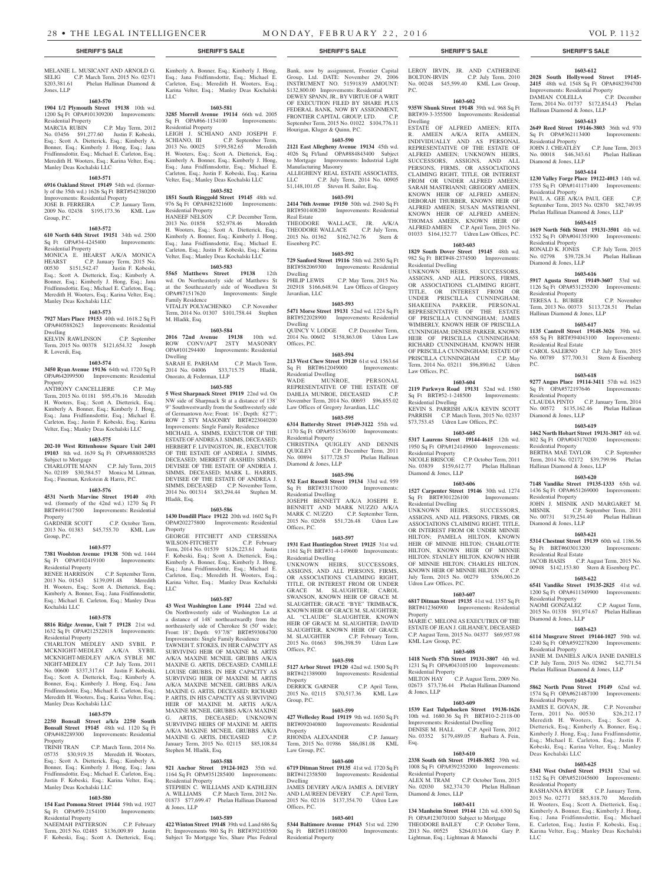#### MELANIE L. MUSICANT AND ARNOLD G. SELIG C.P. March Term, 2015 No. 02371<br>\$203,381.61 Phelan Hallinan Diamond & Phelan Hallinan Diamond & Jones, LLP

# **1603-570**

**1904 1/2 Plymouth Street 19138** 10th wd. 1200 Sq Ft OPA#101309200 Improvements: Residential Property<br>MARCIA RUBIN

C.P. May Term, 2012 No. 03456 \$91,277.60 Justin F. Kobeski, Esq.; Scott A. Dietterick, Esq.; Kimberly A. Bonner, Esq.; Kimberly J. Hong, Esq.; Jana Fridfinnsdottir, Esq.; Michael E. Carleton, Esq.; Meredith H. Wooters, Esq.; Karina Velter, Esq.; Manley Deas Kochalski LLC

#### **1603-571**

# **6916 Oakland Street 19149** 54th wd. (former-

ly of the 35th wd.) 1626 Sq Ft BRT#542380200 Improvements: Residential Property

JOSE B. FERREIRA C.P. January Term, 2009 No. 02438 \$195,173.36 KML Law Group, P.C.

#### **1603-572**

**610 North 64th Street 19151** 34th wd. 2500 Sq Ft OPA#34-4245400 Improvements: Residential Property

MONICA E. HEARST A/K/A MONICA<br>HEARST C.P. January Term, 2015 No.<br>00530 \$151,542.47 Justin F. Kobeski, HEARST C.P. January Term, 2015 No. 00530 \$151,542.47 Justin F. Kobeski, Esq.; Scott A. Dietterick, Esq.; Kimberly A. Bonner, Esq.; Kimberly J. Hong, Esq.; Jana Fridfinnsdottir, Esq.; Michael E. Carleton, Esq.; Meredith H. Wooters, Esq.; Karina Velter, Esq.; Manley Deas Kochalski LLC

# **1603-573**

**7927 Mars Place 19153** 40th wd. 1618.2 Sq Ft OPA#405882623 Improvements: Residential Dwelling

KELVIN RAWLINSON C.P. September Term, 2015 No. 00378 \$121,654.32 Joseph R. Loverdi, Esq.

#### **1603-574**

**3450 Ryan Avenue 19136** 64th wd. 1720 Sq Ft OPA#642099500 Improvements: Residential Property

ANTHONY CANCELLIERE C.P. May Term, 2015 No. 01181 \$95,476.16 Meredith H. Wooters, Esq.; Scott A. Dietterick, Esq.; Kimberly A. Bonner, Esq.; Kimberly J. Hong, Esq.; Jana Fridfinnsdottir, Esq.; Michael E. Carleton, Esq.; Justin F. Kobeski, Esq.; Karina Velter, Esq.; Manley Deas Kochalski LLC

#### **1603-575**

**202-10 West Rittenhouse Square Unit 2401 19103** 8th wd. 1639 Sq Ft OPA#888085285 Subject to Mortgage

CHARLOTTE MANN C.P. July Term, 2015 No. 02189 \$30,584.57 Monica M. Littman, Esq.; Fineman, Krekstein & Harris, P.C.

#### **1603-576**

**4531 North Marvine Street 19140** 49th wd. (formerly of the 42nd wd.) 1270 Sq Ft BRT#491417500 Improvements: Residential Property GARDNER SCOTT C.P. October Term,

2013 No. 01383 \$45,755.70 KML Law Group, P.C.

# **1603-577**

**7381 Woolston Avenue 19138** 50th wd. 1444 Sq Ft OPA#102419100 Improvements: Residential Property

RENEE HARRISON C.P. September Term, 2013 No. 01543 \$139,091.48 Meredith H. Wooters, Esq.; Scott A. Dietterick, Esq.; Kimberly A. Bonner, Esq.; Jana Fridfinnsdottir, Esq.; Michael E. Carleton, Esq.; Manley Deas Kochalski LLC

#### **1603-578**

**8816 Ridge Avenue, Unit 7 19128** 21st wd. 1632 Sq Ft OPA#212522818 Improvements: Residential Property

CHARLTON MEDLEY AND SYBIL P. MCKNIGHT-MEDLEY A/K/A SYBIL MCKNIGHT-MEDLEY A/K/A SYBLE MC NIGHT-MEDLEY C.P. July Term, 2011 No. 00600 \$337,317.61 Justin F. Kobeski, Esq.; Scott A. Dietterick, Esq.; Kimberly A. Bonner, Esq.; Kimberly J. Hong, Esq.; Jana Fridfinnsdottir, Esq.; Michael E. Carleton, Esq.; Meredith H. Wooters, Esq.; Karina Velter, Esq.; Manley Deas Kochalski LLC

#### **1603-579**

**2250 Bonsall Street a/k/a 2250 South Bonsall Street 19145** 48th wd. 1120 Sq Ft OPA#482289300 Improvements: Residential Property

TRINH TRAN C.P. March Term, 2014 No. 05735 \$30,919.35 Meredith H. Wooters, Esq.; Scott A. Dietterick, Esq.; Kimberly A. Bonner, Esq.; Kimberly J. Hong, Esq.; Jana Fridfinnsdottir, Esq.; Michael E. Carleton, Esq.; Justin F. Kobeski, Esq.; Karina Velter, Esq.; Manley Deas Kochalski LLC

#### **1603-580**

**154 East Pomona Street 19144** 59th wd. 1927 Sq Ft OPA#59-2154100 Improvements: Residential Property

NAEEMAH PATTERSON C.P. February Term, 2015 No. 02485 \$136,009.89 Justin F. Kobeski, Esq.; Scott A. Dietterick, Esq.;

Kimberly A. Bonner, Esq.; Kimberly J. Hong, Esq.; Jana Fridfinnsdottir, Esq.; Michael E. Carleton, Esq.; Meredith H. Wooters, Esq.; Karina Velter, Esq.; Manley Deas Kochalski LLC

#### **1603-581 3285 Morrell Avenue 19114** 66th wd. 2005

Sales Morren Hyenac 19114 86th was 2009<br>Sq Ft OPA#66-1134100 Improvements: sidential Property

LEIGH J. SCHIANO AND JOSEPH F.<br>SCHIANO, III C.P. September Term, SCHIANO, III C.P. September Term,<br>2013 No. 00025 \$199,582.65 Meredith \$199,582.65 Meredith H. Wooters, Esq.; Scott A. Dietterick, Esq.; Kimberly A. Bonner, Esq.; Kimberly J. Hong, Esq.; Jana Fridfinnsdottir, Esq.; Michael E. Carleton, Esq.; Justin F. Kobeski, Esq.; Karina Velter, Esq.; Manley Deas Kochalski LLC

# **1603-582**

**1851 South Ringgold Street 19145** 48th wd. 976 Sq Ft OPA#482321600 Improvements: Residential Property

HANEEF NELSON C.P. December Term, 2013 No. 01858 \$52,978.46 Meredith H. Wooters, Esq.; Scott A. Dietterick, Esq.; Kimberly A. Bonner, Esq.; Kimberly J. Hong, Esq.; Jana Fridfinnsdottir, Esq.; Michael E. Carleton, Esq.; Justin F. Kobeski, Esq.; Karina Velter, Esq.; Manley Deas Kochalski LLC

# **1603-583**

**5565 Matthews Street 19138** 12th wd. On Northeasterly side of Matthews St at the Southeasterly side of Woodlawn St OPA#871517620 Improvements: Single Family Residence VITALIY POLYACHENKO C.P. November Term, 2014 No. 01307 \$101,758.44 Stephen M. Hladik, Esq.

#### **1603-584**

**2016 72nd Avenue 19138** 10th wd. ROW CONV/APT 2STY MASONRY OPA#101294400 Improvements: Residential Dwelling SARAH E. PARHAM C.P. March Term, 2014 No. 04006 \$33,715.75 Hladik, Onorato, & Federman, LLP

#### **1603-585**

**5 West Sharpnack Street 19119** 22nd wd. On NW side of Sharpnack St at a distance of 138' 9" Southwestwardly from the Southwesterly side of Germantown Ave; Front: 16'; Depth: 82'7"; ROW 2 STY MASONRY BRT#223040200 Improvements: Single Family Residence MICHAEL A. SIMMS, EXECUTOR OF THE ESTATE OF ANDREA J. SIMMS, DECEASED; HERBERT F. LIVINGSTON, JR., EXECUTOR OF THE ESTATE OF ANDREA J. SIMMS, DECEASED; MERRETT (RASHID) SIMMS, DEVISEE OF THE ESTATE OF ANDREA J. SIMMS, DECEASED; MARK L. HARRIS, DEVISEE OF THE ESTATE OF ANDREA J. SIMMS, DECEASED C.P. November Term, 2014 No. 001314 \$83,294.44 Stephen M. Hladik, Esq.

#### **1603-586**

**1430 Dondill Place 19122** 20th wd. 1602 Sq Ft OPA#202275800 Improvements: Residential Property

GEORGE FITCHETT AND CERSSENA<br>WILSON-FITCHETT C.P. February WILSON-FITCHETT Term, 2014 No. 01539 \$126,223.61 Justin F. Kobeski, Esq.; Scott A. Dietterick, Esq.; Kimberly A. Bonner, Esq.; Kimberly J. Hong, Esq.; Jana Fridfinnsdottir, Esq.; Michael E. Carleton, Esq.; Meredith H. Wooters, Esq.; Karina Velter, Esq.; Manley Deas Kochalski LLC

#### **1603-587**

**43 West Washington Lane 19144** 22nd wd. On Northwesterly side of Washington Ln at a distance of 148' northeastwardly from the northeasterly side of Cherokee St (50' wide); Front: 18'; Depth: 93'7/8" BRT#593084700

Improvements: Single Family Residence TAWNEH T. STOKES, IN HER CAPACITY AS SURVIVING HEIR OF MAXINE M. ARTIS A/K/A MAXINE MCNEIL GRUBBS A/K/A MAXINE G. ARTIS, DECEASED; CAMILLE LOUISE GRUBBS, IN HER CAPACITY AS SURVIVING HEIR OF MAXINE M. ARTIS A/K/A MAXINE MCNEIL GRUBBS A/K/A MAXINE G. ARTIS, DECEASED; RICHARD P. ARTIS, IN HIS CAPACITY AS SURVIVING HEIR OF MAXINE M. ARTIS A/K/A MAXINE MCNEIL GRUBBS A/K/A MAXINE G. ARTIS, DECEASED; UNKNOWN SURVIVING HEIRS OF MAXINE M. ARTIS A/K/A MAXINE MCNEIL GRUBBS A/K/A

MAXINE G. ARTIS, DECEASED C.P. January Term, 2015 No. 02115 \$85,108.84 Stephen M. Hladik, Esq.

### **1603-588**

**921 Anchor Street 19124-1023** 35th wd. 1164 Sq Ft OPA#351285400 Improvements: Residential Property STEPHEN C. WILLIAMS AND KATHLEEN A. WILLIAMS C.P. March Term, 2012 No. 01873 \$77,699.47 Phelan Hallinan Diamond & Jones, LLP

#### **1603-589**

**422 Winton Street 19148** 39th wd. Land 686 Sq Ft; Improvements 980 Sq Ft BRT#392103500 Subject To Mortgage Yes, Share Plus Federal Bank, now by assignment, Frontier Capital Group, Ltd. DATE: November 29, 2006 INSTRUMENT NO. 51591839 AMOUNT: \$132,800.00 Improvements: Residential DEWEY SPANN, JR., BY VIRTUE OF A WRIT OF EXECUTION FILED BY SHARE PLUS FEDERAL BANK, NOW BY ASSIGNMENT, FRONTIER CAPITAL GROUP, LTD. C.P. September Term, 2015 No. 01022 \$104,776.11

# Hourigan, Kluger & Quinn, P.C. **1603-590**

**2121 East Allegheny Avenue 19134** 45th wd. 4026 Sq Ft/land OPA#884843400 Subject to Mortgage Improvements: Industrial Light Manufacturing Masonry ALLEGHENY REAL ESTATE ASSOCIATES, LLC C.P. July Term, 2014 No. 00905 \$1,148,101.05 Steven H. Sailer, Esq.

#### **1603-591**

**2414 76th Avenue 19150** 50th wd. 2940 Sq Ft BRT#501408200 Improvements: Residential Real Estate

THEODORE WALLACE, JR. A/K/A THEODORE WALLACE C.P. July Term, 2015 No. 01362 \$162,742.76 Stern & Eisenberg P.C.

# **1603-592**

**729 Sanford Street 19116** 58th wd. 2850 Sq Ft BRT#582069300 Improvements: Residential Dwelling C.P. May Term, 2015 No.

202918 \$166,648.94 Law Offices of Gregory Javardian, LLC **1603-593**

# **5471 Morse Street 19131** 52nd wd. 1224 Sq Ft

BRT#522028900 Improvements: Residential Dwelling QUINCY V. LODGE C.P. December Term, 2014 No. 00602 \$158,863.08 Udren Law

Offices, P.C. **1603-594**

# **213 West Chew Street 19120** 61st wd. 1563.64

Sq Ft BRT#612049000 Improvements: Residential Dwelling WADE MUNROE, PERSONAL REPRESENTATIVE OF THE ESTATE OF DAHLIA MUNROE, DECEASED C.P. November Term, 2014 No. 00693 \$96,855.02 Law Offices of Gregory Javardian, LLC

#### **1603-595**

**6314 Battersby Street 19149-3122** 55th wd. 1170 Sq Ft OPA#551536100 Improvements: Residential Property CHRISTINA QUIGLEY AND DENNIS C.P. December Term, 2011<br>77,728.57 Phelan Hallinan QUIGLEY C.P. Dec<br>No. 00894 \$177,728.57 Diamond & Jones, LLP

# **1603-596**

**932 East Russell Street 19134** 33rd wd. 959<br>Sq Ft BRT#331176100 Improvements: Sq Ft BRT#331176100 Residential Dwelling

JOSEPH BENNETT A/K/A JOSEPH E. BENNETT AND MARK NUZZO A/K/A MARK C. NUZZO C.P. September Term,<br>2015 No. 02658 \$51,726.48 Udren Law 2015 No. 02658 \$51,726.48 Offices, P.C.

#### **1603-597**

**1931 East Huntingdon Street 19125** 31st wd. 1161 Sq Ft BRT#31-4-149600 Improvements: Residential Dwelling

UNKNOWN HEIRS, SUCCESSORS, ASSIGNS, AND ALL PERSONS, FIRMS, OR ASSOCIATIONS CLAIMING RIGHT, TITLE, OR INTEREST FROM OR UNDER GRACE M. SLAUGHTER; CAROL SWANSON, KNOWN HEIR OF GRACE M. SLAUGHTER; GRACE "BYE" TRIMBACK, KNOWN HEIR OF GRACE M. SLAUGHTER; AL "CLAUDE" SLAUGHTER, KNOWN HEIR OF GRACE M. SLAUGHTER; DAVID SLAUGHTER, KNOWN HEIR OF GRACE<br>M. SLAUGHTER C.P. February Term, C.P. February Term, 2015 No. 01663 \$96,398.59 Udren Law Offices, P.C.

#### **1603-598**

**5127 Arbor Street 19120** 42nd wd. 1500 Sq Ft BRT#421389000 Improvements: Residential Property

DERRICK GARNER C.P. April Term, 2015 No. 02115 \$70,517.36 KML Law Group, P.C.

#### **1603-599**

**427 Wellesley Road 19119** 9th wd. 1650 Sq Ft BRT#092040800 Improvements: Residential **Property** 

RHONDA ALEXANDER C.P. January Term, 2015 No. 01986 \$86,081.08 KML Law Group, P.C.

#### **1603-600**

**6719 Ditman Street 19135** 41st wd. 1720 Sq Ft BRT#412358500 Improvements: Residential Dwelling JAMES DEVERY A/K/A JAMES A. DEVERY AND LAUREEN DEVERY C.P. April Term, 2015 No. 02116 \$137,354.70 Udren Law Offices, P.C.

# **1603-601**

**5344 Baltimore Avenue 19143** 51st wd. 2290 Sq Ft BRT#511080300 Improvements: Residential Property

LEROY IRVIN, JR. AND CATHERINE BOLTON-IRVIN C.P. July Term, 2010 No. 00248 \$45,599.40 KML Law Group,

**1603-612 2028 South Hollywood Street 19145- 2415** 48th wd. 1548 Sq Ft OPA#482394700 Improvements: Residential Property<br>
DAMIAN COLELLA C.P. December DAMIAN COLELLA C.P. December Term, 2014 No. 01737 \$172,854.43 Phelan

**1603-613 2649 Reed Street 19146-3803** 36th wd. 970 Sq Ft OPA#362113400 Improvements:

JOHN J. CHEATLEY C.P. June Term, 2013 No. 00018 \$46,343.61 Phelan Hallinan

**1603-614 1230 Valley Forge Place 19122-4013** 14th wd. 1755 Sq Ft OPA#141171400 Improvements:

PAUL A. GEE A/K/A PAUL GEE C.P. September Term, 2015 No. 02870 \$82,749.95 Phelan Hallinan Diamond & Jones, LLP **1603-615 1619 North 56th Street 19131-3501** 4th wd. 1552 Sq Ft OPA#041351900 Improvements:

RONALD K. JONES C.P. July Term, 2015 No. 02798 \$39,728.34 Phelan Hallinan

**1603-616 5917 Agusta Street 19149-3607** 53rd wd. 1126 Sq Ft OPA#531255200 Improvements:

TERESA L. BUBIER C.P. November Term, 2013 No. 00373 \$113,728.51 Phelan

**1603-617 1135 Cantrell Street 19148-3026** 39th wd. 658 Sq Ft BRT#394043100 Improvements:

CAROL SALERNO C.P. July Term, 2015 No. 00789 \$77,700.31 Stern & Eisenberg

**1603-618 9277 Angus Place 19114-3411** 57th wd. 1623 Sq Ft OPA#572197646 Improvements:

CLAUDIA PINTO C.P. January Term, 2014 No. 00572 \$135,162.46 Phelan Hallinan

**1603-619 1462 North Hobart Street 19131-3817** 4th wd. 802 Sq Ft OPA#043170200 Improvements:

BERTHA MAE TAYLOR C.P. September Term, 2014 No. 02172 \$39,799.96 Phelan

**1603-620 7148 Vandike Street 19135-1333** 65th wd. 1436 Sq Ft OPA#651269000 Improvements:

JOHN J. MISNIK AND MARGARET M. MISNIK C.P. September Term, 2011 No. 00731 \$139,254.40 Phelan Hallinan

**1603-621 5314 Chestnut Street 19139** 60th wd. 1186.56 Sq Ft BRT#603013200 Improvements:

JACOB HASIS C.P. August Term, 2015 No. 00948 \$142,153.80 Stern & Eisenberg P.C. **1603-622 6541 Vandike Street 19135-2825** 41st wd. 1200 Sq Ft OPA#411349900 Improvements:

NAOMI GONZALEZ C.P. August Term, 2015 No. 01338 \$91,974.67 Phelan Hallinan

**1603-623 6114 Musgrave Street 19144-1027** 59th wd. 1240 Sq Ft OPA#592278200 Improvements:

JANIE M. DANIELS A/K/A JANIE DANIELS C.P. July Term, 2015 No. 02862 \$42,771.54 Phelan Hallinan Diamond & Jones, LLP **1603-624 5862 North Penn Street 19149** 62nd wd. 1574 Sq Ft OPA#621487100 Improvements:

JAMES E. GOVAN, JR. C.P. November<br>Term, 2011 No. 00530 \$26,212.17

Meredith H. Wooters, Esq.; Scott A. Dietterick, Esq.; Kimberly A. Bonner, Esq.; Kimberly J. Hong, Esq.; Jana Fridfinnsdottir, Esq.; Michael E. Carleton, Esq.; Justin F. Kobeski, Esq.; Karina Velter, Esq.; Manley

**1603-625 5341 West Oxford Street 19131** 52nd wd. 1152 Sq Ft OPA#521045600 Improvements:

RASHANNA RYDER C.P. January Term, 2015 No. 02771 \$85,818.70 Meredith H. Wooters, Esq.; Scott A. Dietterick, Esq.; Kimberly A. Bonner, Esq.; Kimberly J. Hong, Esq.; Jana Fridfinnsdottir, Esq.; Michael E. Carleton, Esq.; Justin F. Kobeski, Esq.; Karina Velter, Esq.; Manley Deas Kochalski

Hallinan Diamond & Jones, LLP

Residential Property

Diamond & Jones, LLP

Residential Property

Residential Property

Residential Property

Residential Real Estate

Residential Property

Residential Property

Residential Property

Diamond & Jones, LLP

Residential Real Estate

Residential Property

Residential Property

Residential Property

Deas Kochalski LLC

Residential Property

LLC

Term, 2011 No. 00530

Diamond & Jones, LLP

Hallinan Diamond & Jones, LLP

Diamond & Jones, LLP

P.C.

Hallinan Diamond & Jones, LLP

Diamond & Jones, LLP

**1603-602**

P.C.

**935W Shunk Street 19148** 39th wd. 968 Sq Ft BRT#39-3-355500 Improvements: Residential Dwelling

ESTATE OF ALFRED AMEEN; RITA R. AMEEN A/K/A RITA AMEEN, INDIVIDUALLY AND AS PERSONAL REPRESENTATIVE OF THE ESTATE OF ALFRED AMEEN; UNKNOWN HEIRS, SUCCESSORS, ASSIGNS, AND ALL PERSONS, FIRMS, OR ASSOCIATIONS CLAIMING RIGHT, TITLE, OR INTEREST FROM OR UNDER ALFRED AMEEN; SARAH MASTRIANNI; GREGORY AMEEN, KNOWN HEIR OF ALFRED AMEEN; DEBORAH THURBER, KNOWN HEIR OF ALFRED AMEEN: SUSAN MASTRIANNI KNOWN HEIR OF ALFRED AMEEN; THOMAS AMEEN, KNOWN HEIR OF ALFRED AMEEN C.P. April Term, 2015 No. 01033 \$164,152.77 Udren Law Offices, P.C.

#### **1603-603 1829 South Dover Street 19145** 48th wd.

Law Offices, P.C.

Residential Dwelling

Residential Property

Diamond & Jones, LLP

Residential Dwelling

Udren Law Offices, P.C.

KML Law Group, P.C.

Residential Property

Residential Property

Diamond & Jones, LLP

& Jones, LLP

Esq.

Property

982 Sq Ft BRT#48-2374500 Improvements: Residential Dwelling UNKNOWN HEIRS, SUCCESSORS,

ASSIGNS, AND ALL PERSONS, FIRMS, OR ASSOCIATIONS CLAIMING RIGHT, TITLE, OR INTEREST FROM OR UNDER PRISCILLA CUNNINGHAM; SHAKEENA PARKER, PERSONAL REPRESENTATIVE OF THE ESTATE OF PRISCILLA CUNNINGHAM; JAMES WIMBERLY, KNOWN HEIR OF PRISCILLA CUNNINGHAM; DENISE PARKER, KNOWN HEIR OF PRISCILLA CUNNINGHAM; RICHARD CUNNINGHAM, KNOWN HEIR OF PRISCILLA CUNNINGHAM; ESTATE OF PRISCILLA CUNNINGHAM C.P. May Term, 2014 No. 03211 \$96,890.62 Udren

**1603-604 2119 Parkwyn Road 19131** 52nd wd. 1580 Sq Ft BRT#52-1-248500 Improvements:

KEVIN S. PARRISH A/K/A KEVIN SCOTT PARRISH C.P. March Term, 2015 No. 02337 \$73,753.45 Udren Law Offices, P.C. **1603-605 5317 Laurens Street 19144-4615** 12th wd. 1950 Sq Ft OPA#124149600 Improvements:

NICOLE BRISCOE C.P. October Term, 2011 No. 03839 \$159,612.77 Phelan Hallinan

**1603-606 1527 Carpenter Street 19146** 30th wd. 1274 Sq Ft BRT#301226100 Improvements:

UNKNOWN HEIRS, SUCCESSORS, ASSIGNS, AND ALL PERSONS, FIRMS, OR ASSOCIATIONS CLAIMING RIGHT, TITLE, OR INTEREST FROM OR UNDER MINNIE HILTON; PAMELA HILTON, KNOWN HEIR OF MINNIE HILTON; CHARLOTTE HILTON, KNOWN HEIR OF MINNIE HILTON; STANLEY HILTON, KNOWN HEIR OF MINNIE HILTON; CHARLES HILTON, KNOWN HEIR OF MINNIE HILTON C.P. July Term, 2015 No. 00279 \$356,003.26

**1603-607 6817 Ditman Street 19135** 41st wd. 1357 Sq Ft BRT#412360900 Improvements: Residential

MARIE C. MELONI AS EXECUTRIX OF THE ESTATE OF JEAN J. GILHANEY, DECEASED C.P. August Term, 2015 No. 04377 \$69,957.98

**1603-608 1418 North 57th Street 19131-3807** 4th wd. 1231 Sq Ft OPA#043105100 Improvements:

MILTON HAY C.P. August Term, 2009 No. 02673 \$73,736.44 Phelan Hallinan Diamond

**1603-609 1539 East Tulpehocken Street 19138-1626**  10th wd. 1680.36 Sq Ft BRT#10-2-2118-00

C.P. April Term, 2012

Improvements: Residential Dwelling<br>DENISE M. HALL C.P. April 7

\$179,489.05

**1603-610 2338 South 6th Street 19148-3852** 39th wd. 1008 Sq Ft OPA#392352000 Improvements:

ALEX M. TRAM C.P. October Term, 2015 NEEN M. HYMAN C.T. SCROOT TEM, 2015<br>No. 02030 \$82,374.70 Phelan Hallinan

**1603-611 134 Manheim Street 19144** 12th wd. 6300 Sq Ft OPA#123070100 Subject to Mortgage<br>THEODORE BAILEY C.P. October Term, THEODORE BAILEY C.P. October Term, 2013 No. 00525 \$264,013.04 Gary P. Lightman, Esq.; Lightman & Manochi